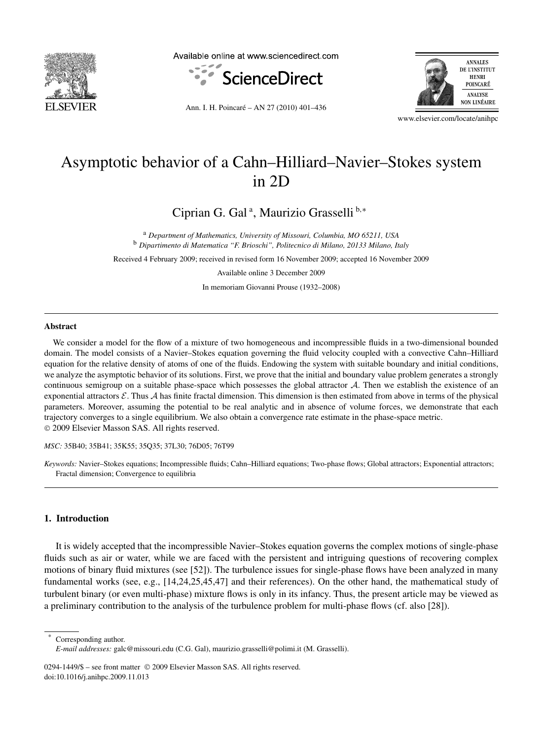

Available online at www.sciencedirect.com



**ANNALES** DE L'INSTITUT **HENRI** POINCARÉ ANALYSE **NON LINÉAIRE** 

Ann. I. H. Poincaré – AN 27 (2010) 401–436

www.elsevier.com/locate/anihpc

# Asymptotic behavior of a Cahn–Hilliard–Navier–Stokes system in 2D

Ciprian G. Gal<sup>a</sup>, Maurizio Grasselli<sup>b,\*</sup>

<sup>a</sup> *Department of Mathematics, University of Missouri, Columbia, MO 65211, USA* <sup>b</sup> *Dipartimento di Matematica "F. Brioschi", Politecnico di Milano, 20133 Milano, Italy*

Received 4 February 2009; received in revised form 16 November 2009; accepted 16 November 2009

Available online 3 December 2009

In memoriam Giovanni Prouse (1932–2008)

#### **Abstract**

We consider a model for the flow of a mixture of two homogeneous and incompressible fluids in a two-dimensional bounded domain. The model consists of a Navier–Stokes equation governing the fluid velocity coupled with a convective Cahn–Hilliard equation for the relative density of atoms of one of the fluids. Endowing the system with suitable boundary and initial conditions, we analyze the asymptotic behavior of its solutions. First, we prove that the initial and boundary value problem generates a strongly continuous semigroup on a suitable phase-space which possesses the global attractor  $A$ . Then we establish the existence of an exponential attractors  $\mathcal E$ . Thus A has finite fractal dimension. This dimension is then estimated from above in terms of the physical parameters. Moreover, assuming the potential to be real analytic and in absence of volume forces, we demonstrate that each trajectory converges to a single equilibrium. We also obtain a convergence rate estimate in the phase-space metric. © 2009 Elsevier Masson SAS. All rights reserved.

*MSC:* 35B40; 35B41; 35K55; 35Q35; 37L30; 76D05; 76T99

# **1. Introduction**

It is widely accepted that the incompressible Navier–Stokes equation governs the complex motions of single-phase fluids such as air or water, while we are faced with the persistent and intriguing questions of recovering complex motions of binary fluid mixtures (see [52]). The turbulence issues for single-phase flows have been analyzed in many fundamental works (see, e.g., [14,24,25,45,47] and their references). On the other hand, the mathematical study of turbulent binary (or even multi-phase) mixture flows is only in its infancy. Thus, the present article may be viewed as a preliminary contribution to the analysis of the turbulence problem for multi-phase flows (cf. also [28]).

Corresponding author.

0294-1449/\$ – see front matter © 2009 Elsevier Masson SAS. All rights reserved. doi:10.1016/j.anihpc.2009.11.013

*Keywords:* Navier–Stokes equations; Incompressible fluids; Cahn–Hilliard equations; Two-phase flows; Global attractors; Exponential attractors; Fractal dimension; Convergence to equilibria

*E-mail addresses:* galc@missouri.edu (C.G. Gal), maurizio.grasselli@polimi.it (M. Grasselli).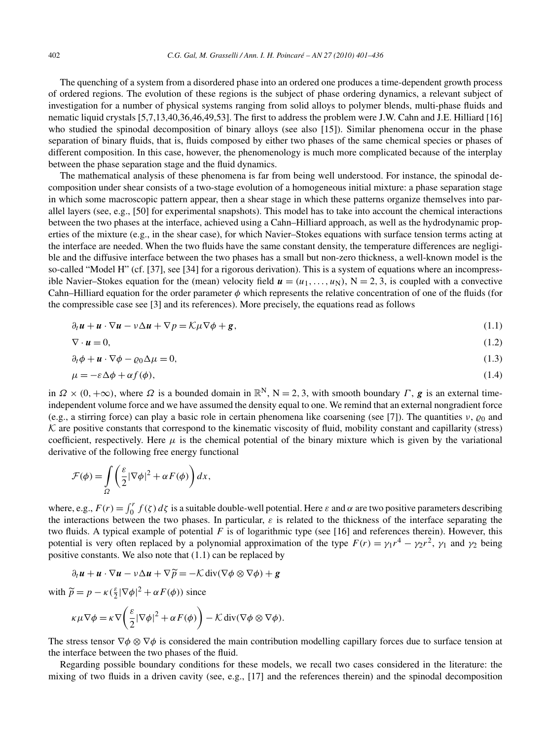The quenching of a system from a disordered phase into an ordered one produces a time-dependent growth process of ordered regions. The evolution of these regions is the subject of phase ordering dynamics, a relevant subject of investigation for a number of physical systems ranging from solid alloys to polymer blends, multi-phase fluids and nematic liquid crystals [5,7,13,40,36,46,49,53]. The first to address the problem were J.W. Cahn and J.E. Hilliard [16] who studied the spinodal decomposition of binary alloys (see also [15]). Similar phenomena occur in the phase separation of binary fluids, that is, fluids composed by either two phases of the same chemical species or phases of different composition. In this case, however, the phenomenology is much more complicated because of the interplay between the phase separation stage and the fluid dynamics.

The mathematical analysis of these phenomena is far from being well understood. For instance, the spinodal decomposition under shear consists of a two-stage evolution of a homogeneous initial mixture: a phase separation stage in which some macroscopic pattern appear, then a shear stage in which these patterns organize themselves into parallel layers (see, e.g., [50] for experimental snapshots). This model has to take into account the chemical interactions between the two phases at the interface, achieved using a Cahn–Hilliard approach, as well as the hydrodynamic properties of the mixture (e.g., in the shear case), for which Navier–Stokes equations with surface tension terms acting at the interface are needed. When the two fluids have the same constant density, the temperature differences are negligible and the diffusive interface between the two phases has a small but non-zero thickness, a well-known model is the so-called "Model H" (cf. [37], see [34] for a rigorous derivation). This is a system of equations where an incompressible Navier–Stokes equation for the (mean) velocity field  $u = (u_1, \ldots, u_N)$ ,  $N = 2, 3$ , is coupled with a convective Cahn–Hilliard equation for the order parameter *φ* which represents the relative concentration of one of the fluids (for the compressible case see [3] and its references). More precisely, the equations read as follows

$$
\partial_t \mathbf{u} + \mathbf{u} \cdot \nabla \mathbf{u} - \nu \Delta \mathbf{u} + \nabla p = \mathcal{K} \mu \nabla \phi + \mathbf{g},\tag{1.1}
$$

$$
\nabla \cdot \mathbf{u} = 0,\tag{1.2}
$$

$$
\partial_t \phi + \boldsymbol{u} \cdot \nabla \phi - \varrho_0 \Delta \mu = 0, \tag{1.3}
$$

$$
\mu = -\varepsilon \Delta \phi + \alpha f(\phi),\tag{1.4}
$$

in  $\Omega \times (0, +\infty)$ , where  $\Omega$  is a bounded domain in  $\mathbb{R}^N$ ,  $N = 2, 3$ , with smooth boundary  $\Gamma$ , *g* is an external timeindependent volume force and we have assumed the density equal to one. We remind that an external nongradient force (e.g., a stirring force) can play a basic role in certain phenomena like coarsening (see [7]). The quantities  $v$ ,  $\varrho_0$  and  $K$  are positive constants that correspond to the kinematic viscosity of fluid, mobility constant and capillarity (stress) coefficient, respectively. Here  $\mu$  is the chemical potential of the binary mixture which is given by the variational derivative of the following free energy functional

$$
\mathcal{F}(\phi) = \int_{\Omega} \left( \frac{\varepsilon}{2} |\nabla \phi|^2 + \alpha F(\phi) \right) dx,
$$

where, e.g.,  $F(r) = \int_0^r f(\zeta) d\zeta$  is a suitable double-well potential. Here  $\varepsilon$  and  $\alpha$  are two positive parameters describing the interactions between the two phases. In particular,  $\varepsilon$  is related to the thickness of the interface separating the two fluids. A typical example of potential  $F$  is of logarithmic type (see [16] and references therein). However, this potential is very often replaced by a polynomial approximation of the type  $F(r) = \gamma_1 r^4 - \gamma_2 r^2$ ,  $\gamma_1$  and  $\gamma_2$  being positive constants. We also note that (1.1) can be replaced by

$$
\partial_t \boldsymbol{u} + \boldsymbol{u} \cdot \nabla \boldsymbol{u} - \nu \Delta \boldsymbol{u} + \nabla \widetilde{\boldsymbol{p}} = -\mathcal{K} \operatorname{div} (\nabla \phi \otimes \nabla \phi) + \boldsymbol{g}
$$

with  $\tilde{p} = p - \kappa (\frac{\varepsilon}{2} |\nabla \phi|^2 + \alpha F(\phi))$  since

$$
\kappa \mu \nabla \phi = \kappa \nabla \left( \frac{\varepsilon}{2} |\nabla \phi|^2 + \alpha F(\phi) \right) - \mathcal{K} \operatorname{div} (\nabla \phi \otimes \nabla \phi).
$$

The stress tensor ∇*φ* ⊗ ∇*φ* is considered the main contribution modelling capillary forces due to surface tension at the interface between the two phases of the fluid.

Regarding possible boundary conditions for these models, we recall two cases considered in the literature: the mixing of two fluids in a driven cavity (see, e.g., [17] and the references therein) and the spinodal decomposition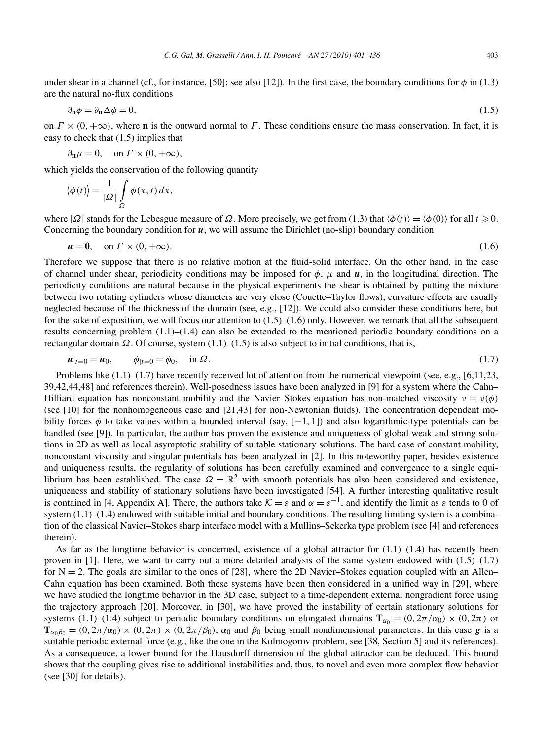under shear in a channel (cf., for instance, [50]; see also [12]). In the first case, the boundary conditions for  $\phi$  in (1.3) are the natural no-flux conditions

$$
\partial_{\mathbf{n}}\phi = \partial_{\mathbf{n}}\Delta\phi = 0,\tag{1.5}
$$

on  $\Gamma \times (0, +\infty)$ , where **n** is the outward normal to *Γ*. These conditions ensure the mass conservation. In fact, it is easy to check that (1.5) implies that

$$
\partial_{\mathbf{n}}\mu=0, \quad \text{on } \Gamma \times (0,+\infty),
$$

which yields the conservation of the following quantity

$$
\langle \phi(t) \rangle = \frac{1}{|\Omega|} \int_{\Omega} \phi(x, t) \, dx,
$$

where  $|\Omega|$  stands for the Lebesgue measure of  $\Omega$ . More precisely, we get from (1.3) that  $\langle \phi(t) \rangle = \langle \phi(0) \rangle$  for all  $t \ge 0$ . Concerning the boundary condition for *u*, we will assume the Dirichlet (no-slip) boundary condition

$$
u = 0, \quad \text{on } \Gamma \times (0, +\infty). \tag{1.6}
$$

Therefore we suppose that there is no relative motion at the fluid-solid interface. On the other hand, in the case of channel under shear, periodicity conditions may be imposed for  $\phi$ ,  $\mu$  and  $\mu$ , in the longitudinal direction. The periodicity conditions are natural because in the physical experiments the shear is obtained by putting the mixture between two rotating cylinders whose diameters are very close (Couette–Taylor flows), curvature effects are usually neglected because of the thickness of the domain (see, e.g., [12]). We could also consider these conditions here, but for the sake of exposition, we will focus our attention to  $(1.5)$ – $(1.6)$  only. However, we remark that all the subsequent results concerning problem (1.1)–(1.4) can also be extended to the mentioned periodic boundary conditions on a rectangular domain  $\Omega$ . Of course, system  $(1.1)$ – $(1.5)$  is also subject to initial conditions, that is,

$$
u_{|t=0} = u_0, \qquad \phi_{|t=0} = \phi_0, \quad \text{in } \Omega. \tag{1.7}
$$

Problems like  $(1.1)$ – $(1.7)$  have recently received lot of attention from the numerical viewpoint (see, e.g., [6,11,23,] 39,42,44,48] and references therein). Well-posedness issues have been analyzed in [9] for a system where the Cahn– Hilliard equation has nonconstant mobility and the Navier–Stokes equation has non-matched viscosity  $v = v(\phi)$ (see [10] for the nonhomogeneous case and [21,43] for non-Newtonian fluids). The concentration dependent mobility forces  $\phi$  to take values within a bounded interval (say,  $[-1, 1]$ ) and also logarithmic-type potentials can be handled (see [9]). In particular, the author has proven the existence and uniqueness of global weak and strong solutions in 2D as well as local asymptotic stability of suitable stationary solutions. The hard case of constant mobility, nonconstant viscosity and singular potentials has been analyzed in [2]. In this noteworthy paper, besides existence and uniqueness results, the regularity of solutions has been carefully examined and convergence to a single equilibrium has been established. The case  $\Omega = \mathbb{R}^2$  with smooth potentials has also been considered and existence, uniqueness and stability of stationary solutions have been investigated [54]. A further interesting qualitative result is contained in [4, Appendix A]. There, the authors take  $K = \varepsilon$  and  $\alpha = \varepsilon^{-1}$ , and identify the limit as  $\varepsilon$  tends to 0 of system  $(1.1)$ – $(1.4)$  endowed with suitable initial and boundary conditions. The resulting limiting system is a combination of the classical Navier–Stokes sharp interface model with a Mullins–Sekerka type problem (see [4] and references therein).

As far as the longtime behavior is concerned, existence of a global attractor for  $(1.1)$ – $(1.4)$  has recently been proven in [1]. Here, we want to carry out a more detailed analysis of the same system endowed with  $(1.5)$ – $(1.7)$ for  $N = 2$ . The goals are similar to the ones of [28], where the 2D Navier–Stokes equation coupled with an Allen– Cahn equation has been examined. Both these systems have been then considered in a unified way in [29], where we have studied the longtime behavior in the 3D case, subject to a time-dependent external nongradient force using the trajectory approach [20]. Moreover, in [30], we have proved the instability of certain stationary solutions for systems (1.1)–(1.4) subject to periodic boundary conditions on elongated domains  $\mathbf{T}_{\alpha_0} = (0, 2\pi/\alpha_0) \times (0, 2\pi)$  or  $T_{\alpha_0\beta_0} = (0, 2\pi/\alpha_0) \times (0, 2\pi) \times (0, 2\pi/\beta_0)$ ,  $\alpha_0$  and  $\beta_0$  being small nondimensional parameters. In this case **g** is a suitable periodic external force (e.g., like the one in the Kolmogorov problem, see [38, Section 5] and its references). As a consequence, a lower bound for the Hausdorff dimension of the global attractor can be deduced. This bound shows that the coupling gives rise to additional instabilities and, thus, to novel and even more complex flow behavior (see [30] for details).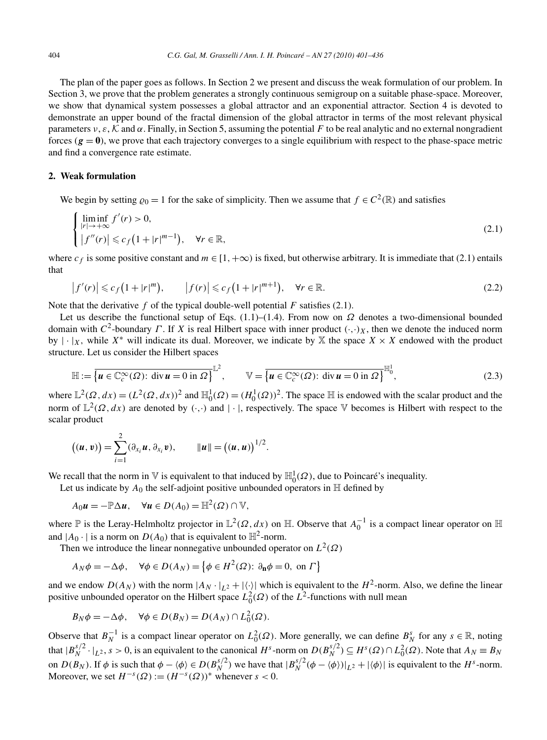The plan of the paper goes as follows. In Section 2 we present and discuss the weak formulation of our problem. In Section 3, we prove that the problem generates a strongly continuous semigroup on a suitable phase-space. Moreover, we show that dynamical system possesses a global attractor and an exponential attractor. Section 4 is devoted to demonstrate an upper bound of the fractal dimension of the global attractor in terms of the most relevant physical parameters  $v, \varepsilon, K$  and  $\alpha$ . Finally, in Section 5, assuming the potential F to be real analytic and no external nongradient forces  $(g = 0)$ , we prove that each trajectory converges to a single equilibrium with respect to the phase-space metric and find a convergence rate estimate.

## **2. Weak formulation**

We begin by setting  $\varrho_0 = 1$  for the sake of simplicity. Then we assume that  $f \in C^2(\mathbb{R})$  and satisfies

$$
\begin{cases}\n\liminf_{|r| \to +\infty} f'(r) > 0, \\
\left|f''(r)\right| \leqslant c_f \left(1 + |r|^{m-1}\right), \quad \forall r \in \mathbb{R},\n\end{cases} \tag{2.1}
$$

where  $c_f$  is some positive constant and  $m \in [1, +\infty)$  is fixed, but otherwise arbitrary. It is immediate that (2.1) entails that

$$
\left|f'(r)\right| \leqslant c_f\left(1+|r|^m\right), \qquad \left|f(r)\right| \leqslant c_f\left(1+|r|^{m+1}\right), \quad \forall r \in \mathbb{R}.\tag{2.2}
$$

Note that the derivative  $f$  of the typical double-well potential  $F$  satisfies (2.1).

Let us describe the functional setup of Eqs.  $(1.1)$ – $(1.4)$ . From now on  $\Omega$  denotes a two-dimensional bounded domain with  $C^2$ -boundary  $\Gamma$ . If  $X$  is real Hilbert space with inner product  $(\cdot, \cdot)_X$ , then we denote the induced norm by  $|\cdot|_X$ , while  $X^*$  will indicate its dual. Moreover, we indicate by X the space  $X \times X$  endowed with the product structure. Let us consider the Hilbert spaces

$$
\mathbb{H} := \overline{\left\{ u \in \mathbb{C}_c^\infty(\Omega) : \operatorname{div} u = 0 \text{ in } \Omega \right\}}^{\mathbb{L}^2}, \qquad \mathbb{V} = \overline{\left\{ u \in \mathbb{C}_c^\infty(\Omega) : \operatorname{div} u = 0 \text{ in } \Omega \right\}}^{\mathbb{H}^1_0}, \tag{2.3}
$$

where  $\mathbb{L}^2(\Omega, dx) = (L^2(\Omega, dx))^2$  and  $\mathbb{H}_0^1(\Omega) = (H_0^1(\Omega))^2$ . The space  $\mathbb H$  is endowed with the scalar product and the norm of  $\mathbb{L}^2(\Omega, dx)$  are denoted by  $(\cdot, \cdot)$  and  $|\cdot|$ , respectively. The space V becomes is Hilbert with respect to the scalar product

$$
((u, v)) = \sum_{i=1}^{2} (\partial_{x_i} u, \partial_{x_i} v), \qquad ||u|| = ((u, u))^{1/2}.
$$

We recall that the norm in  $\mathbb V$  is equivalent to that induced by  $\mathbb H^1_0(\Omega)$ , due to Poincaré's inequality.

Let us indicate by  $A_0$  the self-adjoint positive unbounded operators in  $\mathbb H$  defined by

$$
A_0\mathbf{u} = -\mathbb{P}\Delta\mathbf{u}, \quad \forall \mathbf{u} \in D(A_0) = \mathbb{H}^2(\Omega) \cap \mathbb{V},
$$

where P is the Leray-Helmholtz projector in  $\mathbb{L}^2(\Omega, dx)$  on H. Observe that  $A_0^{-1}$  is a compact linear operator on H and  $|A_0 \cdot|$  is a norm on  $D(A_0)$  that is equivalent to  $\mathbb{H}^2$ -norm.

Then we introduce the linear nonnegative unbounded operator on  $L^2(\Omega)$ 

$$
A_N \phi = -\Delta \phi, \quad \forall \phi \in D(A_N) = \left\{ \phi \in H^2(\Omega) : \partial_{\mathbf{n}} \phi = 0, \text{ on } \Gamma \right\}
$$

and we endow  $D(A_N)$  with the norm  $|A_N \cdot |_{L^2} + |\langle \cdot \rangle|$  which is equivalent to the  $H^2$ -norm. Also, we define the linear positive unbounded operator on the Hilbert space  $L_0^2(\Omega)$  of the  $L^2$ -functions with null mean

$$
B_N \phi = -\Delta \phi, \quad \forall \phi \in D(B_N) = D(A_N) \cap L_0^2(\Omega).
$$

Observe that  $B_N^{-1}$  is a compact linear operator on  $L_0^2(\Omega)$ . More generally, we can define  $B_N^s$  for any  $s \in \mathbb{R}$ , noting that  $|B_N^{s/2} \cdot |_{L^2}$ ,  $s > 0$ , is an equivalent to the canonical  $H^s$ -norm on  $D(B_N^{s/2}) \subseteq H^s(\Omega) \cap L^2_0(\Omega)$ . Note that  $A_N \equiv B_N$ on  $D(B_N)$ . If  $\phi$  is such that  $\phi - \langle \phi \rangle \in D(B_N^{s/2})$  we have that  $|B_N^{s/2}(\phi - \langle \phi \rangle)|_{L^2} + |\langle \phi \rangle|$  is equivalent to the  $H^s$ -norm. Moreover, we set  $H^{-s}(\Omega) := (H^{-s}(\Omega))^*$  whenever  $s < 0$ .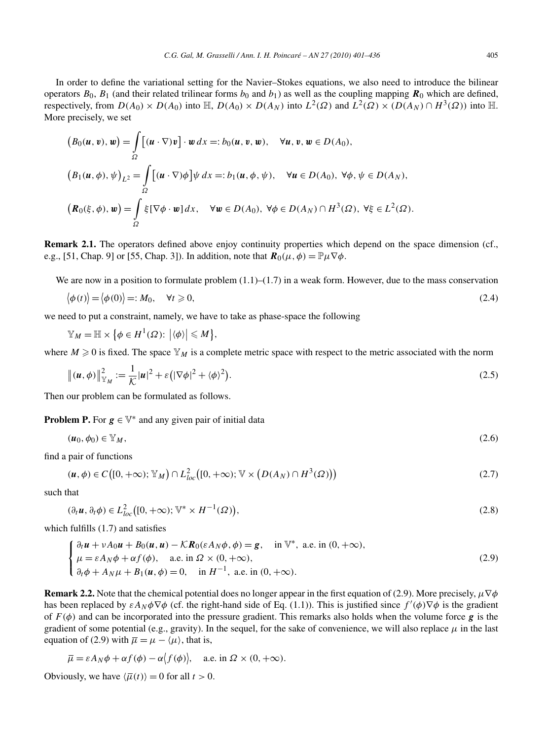In order to define the variational setting for the Navier–Stokes equations, we also need to introduce the bilinear operators  $B_0$ ,  $B_1$  (and their related trilinear forms  $b_0$  and  $b_1$ ) as well as the coupling mapping  $\mathbf{R}_0$  which are defined, respectively, from  $D(A_0) \times D(A_0)$  into  $\mathbb{H}$ ,  $D(A_0) \times D(A_N)$  into  $L^2(\Omega)$  and  $L^2(\Omega) \times (D(A_N) \cap H^3(\Omega))$  into  $\mathbb{H}$ . More precisely, we set

$$
(B_0(u, v), w) = \int_{\Omega} [(u \cdot \nabla) v] \cdot w \, dx =: b_0(u, v, w), \quad \forall u, v, w \in D(A_0),
$$
  

$$
(B_1(u, \phi), \psi)_{L^2} = \int_{\Omega} [(u \cdot \nabla) \phi] \psi \, dx =: b_1(u, \phi, \psi), \quad \forall u \in D(A_0), \forall \phi, \psi \in D(A_N),
$$
  

$$
(\mathbf{R}_0(\xi, \phi), w) = \int_{\Omega} \xi [\nabla \phi \cdot w] \, dx, \quad \forall w \in D(A_0), \forall \phi \in D(A_N) \cap H^3(\Omega), \forall \xi \in L^2(\Omega).
$$

**Remark 2.1.** The operators defined above enjoy continuity properties which depend on the space dimension (cf., e.g., [51, Chap. 9] or [55, Chap. 3]). In addition, note that  $\mathbf{R}_0(\mu, \phi) = \mathbb{P}_{\mu} \nabla \phi$ .

We are now in a position to formulate problem  $(1.1)$ – $(1.7)$  in a weak form. However, due to the mass conservation

$$
\langle \phi(t) \rangle = \langle \phi(0) \rangle =: M_0, \quad \forall t \ge 0,
$$
\n(2.4)

we need to put a constraint, namely, we have to take as phase-space the following

$$
\mathbb{Y}_M=\mathbb{H}\times\big\{\phi\in H^1(\Omega)\colon \big|\langle\phi\rangle\big|\leqslant M\big\},\
$$

where  $M \geq 0$  is fixed. The space  $\mathbb{Y}_M$  is a complete metric space with respect to the metric associated with the norm

$$
\left\| \left( \boldsymbol{u}, \boldsymbol{\phi} \right) \right\|_{\mathbb{Y}_M}^2 := \frac{1}{\mathcal{K}} |\boldsymbol{u}|^2 + \varepsilon \left( |\nabla \boldsymbol{\phi}|^2 + \langle \boldsymbol{\phi} \rangle^2 \right). \tag{2.5}
$$

Then our problem can be formulated as follows.

**Problem P.** For  $g \in V^*$  and any given pair of initial data

$$
(\boldsymbol{u}_0, \phi_0) \in \mathbb{Y}_M,\tag{2.6}
$$

find a pair of functions

$$
(\boldsymbol{u}, \phi) \in C([0, +\infty); \mathbb{Y}_M) \cap L^2_{loc}([0, +\infty); \mathbb{V} \times (D(A_N) \cap H^3(\Omega)))
$$
\n(2.7)

such that

$$
(\partial_t \mathbf{u}, \partial_t \phi) \in L^2_{loc}([0, +\infty); \mathbb{V}^* \times H^{-1}(\Omega)),
$$
\n(2.8)

which fulfills (1.7) and satisfies

$$
\begin{cases} \n\partial_t \mathbf{u} + vA_0 \mathbf{u} + B_0(\mathbf{u}, \mathbf{u}) - \mathcal{K} \mathbf{R}_0(\varepsilon A_N \phi, \phi) = \mathbf{g}, & \text{in } \mathbb{V}^*, \text{ a.e. in } (0, +\infty), \\
\mu = \varepsilon A_N \phi + \alpha f(\phi), & \text{a.e. in } \Omega \times (0, +\infty), \\
\partial_t \phi + A_N \mu + B_1(\mathbf{u}, \phi) = 0, & \text{in } H^{-1}, \text{ a.e. in } (0, +\infty). \n\end{cases} \tag{2.9}
$$

**Remark 2.2.** Note that the chemical potential does no longer appear in the first equation of (2.9). More precisely,  $\mu \nabla \phi$ has been replaced by  $\epsilon A_N \phi \nabla \phi$  (cf. the right-hand side of Eq. (1.1)). This is justified since  $f'(\phi) \nabla \phi$  is the gradient of  $F(\phi)$  and can be incorporated into the pressure gradient. This remarks also holds when the volume force **g** is the gradient of some potential (e.g., gravity). In the sequel, for the sake of convenience, we will also replace  $\mu$  in the last equation of (2.9) with  $\overline{\mu} = \mu - \langle \mu \rangle$ , that is,

$$
\overline{\mu} = \varepsilon A_N \phi + \alpha f(\phi) - \alpha \langle f(\phi) \rangle
$$
, a.e. in  $\Omega \times (0, +\infty)$ .

Obviously, we have  $\langle \overline{\mu}(t) \rangle = 0$  for all  $t > 0$ .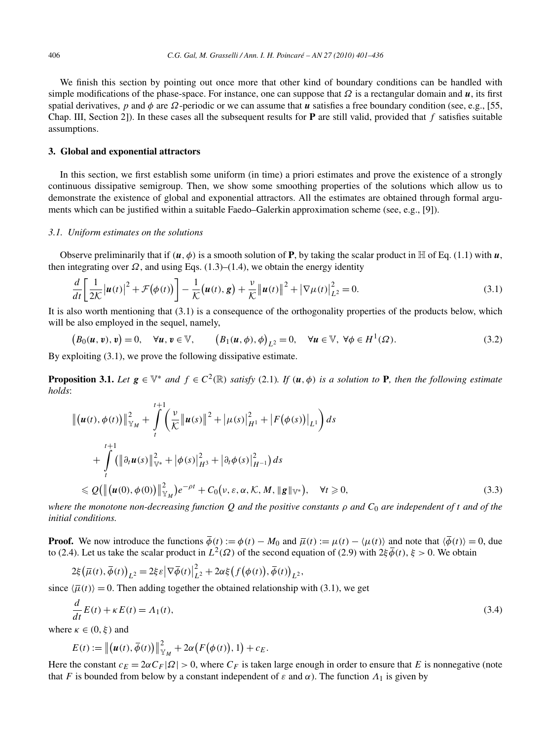We finish this section by pointing out once more that other kind of boundary conditions can be handled with simple modifications of the phase-space. For instance, one can suppose that  $\Omega$  is a rectangular domain and  $\mu$ , its first spatial derivatives, *p* and  $\phi$  are  $\Omega$ -periodic or we can assume that *u* satisfies a free boundary condition (see, e.g., [55, Chap. III, Section 2]). In these cases all the subsequent results for **P** are still valid, provided that *f* satisfies suitable assumptions.

## **3. Global and exponential attractors**

In this section, we first establish some uniform (in time) a priori estimates and prove the existence of a strongly continuous dissipative semigroup. Then, we show some smoothing properties of the solutions which allow us to demonstrate the existence of global and exponential attractors. All the estimates are obtained through formal arguments which can be justified within a suitable Faedo–Galerkin approximation scheme (see, e.g., [9]).

#### *3.1. Uniform estimates on the solutions*

Observe preliminarily that if  $(u, \phi)$  is a smooth solution of **P**, by taking the scalar product in H of Eq. (1.1) with *u*, then integrating over  $\Omega$ , and using Eqs. (1.3)–(1.4), we obtain the energy identity

$$
\frac{d}{dt}\left[\frac{1}{2K}\left|\boldsymbol{u}(t)\right|^2 + \mathcal{F}(\phi(t))\right] - \frac{1}{K}\left(\boldsymbol{u}(t), \boldsymbol{g}\right) + \frac{\nu}{K}\left\|\boldsymbol{u}(t)\right\|^2 + \left|\nabla\mu(t)\right|_{L^2}^2 = 0.
$$
\n(3.1)

It is also worth mentioning that (3.1) is a consequence of the orthogonality properties of the products below, which will be also employed in the sequel, namely,

$$
(B_0(u, v), v) = 0, \quad \forall u, v \in \mathbb{V}, \qquad (B_1(u, \phi), \phi)_{L^2} = 0, \quad \forall u \in \mathbb{V}, \ \forall \phi \in H^1(\Omega). \tag{3.2}
$$

By exploiting (3.1), we prove the following dissipative estimate.

**Proposition 3.1.** Let  $g \in \mathbb{V}^*$  and  $f \in C^2(\mathbb{R})$  satisfy (2.1). If  $(u, \phi)$  is a solution to **P**, then the following estimate *holds*:

$$
\| (u(t), \phi(t)) \|_{\mathbb{Y}_M}^2 + \int_t^{t+1} \left( \frac{v}{\mathcal{K}} \| u(s) \|^2 + |\mu(s)|_{H^1}^2 + |F(\phi(s))|_{L^1} \right) ds + \int_t^{t+1} (\| \partial_t u(s) \|_{\mathbb{V}^*}^2 + |\phi(s)|_{H^3}^2 + |\partial_t \phi(s)|_{H^{-1}}^2) ds \leq \mathcal{Q}(\| (u(0), \phi(0)) \|_{\mathbb{Y}_M}^2) e^{-\rho t} + C_0(v, \varepsilon, \alpha, \mathcal{K}, M, \| g \|_{\mathbb{V}^*}), \quad \forall t \geq 0,
$$
\n(3.3)

*where the monotone non-decreasing function Q and the positive constants ρ and C*<sup>0</sup> *are independent of t and of the initial conditions.*

**Proof.** We now introduce the functions  $\overline{\phi}(t) := \phi(t) - M_0$  and  $\overline{\mu}(t) := \mu(t) - \langle \mu(t) \rangle$  and note that  $\langle \overline{\phi}(t) \rangle = 0$ , due to (2.4). Let us take the scalar product in  $L^2(\Omega)$  of the second equation of (2.9) with  $2\xi \overline{\phi}(t)$ ,  $\xi > 0$ . We obtain

$$
2\xi\big(\overline{\mu}(t),\overline{\phi}(t)\big)_{L^2}=2\xi\varepsilon\big|\nabla\overline{\phi}(t)\big|_{L^2}^2+2\alpha\xi\big(f\big(\phi(t)\big),\overline{\phi}(t)\big)_{L^2},
$$

since  $\langle \overline{\mu}(t) \rangle = 0$ . Then adding together the obtained relationship with (3.1), we get

$$
\frac{d}{dt}E(t) + \kappa E(t) = A_1(t),\tag{3.4}
$$

where  $\kappa \in (0, \xi)$  and

$$
E(t) := \left\| \left( \boldsymbol{u}(t), \overline{\phi}(t) \right) \right\|_{\mathbb{Y}_M}^2 + 2\alpha \big( F(\phi(t)), 1 \big) + c_E.
$$

Here the constant  $c_E = 2\alpha C_F |\Omega| > 0$ , where  $C_F$  is taken large enough in order to ensure that *E* is nonnegative (note that *F* is bounded from below by a constant independent of  $\varepsilon$  and  $\alpha$ ). The function  $\Lambda_1$  is given by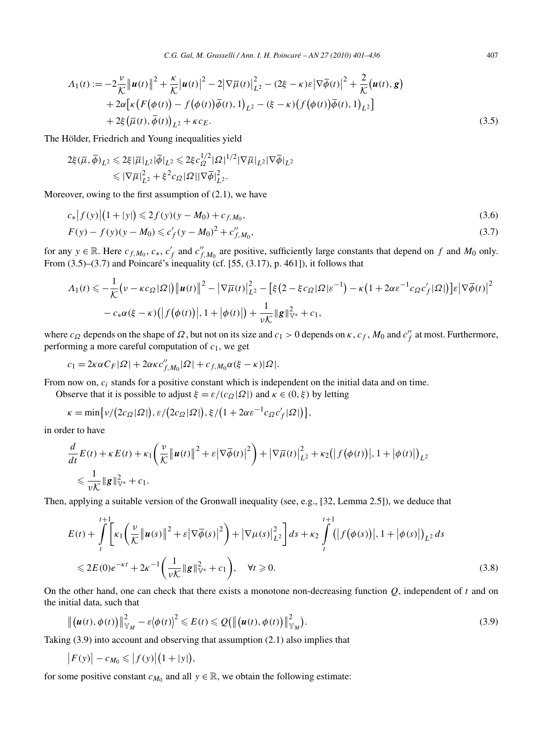$$
\Lambda_1(t) := -2\frac{\nu}{\mathcal{K}} \|\boldsymbol{u}(t)\|^2 + \frac{\kappa}{\mathcal{K}} |\boldsymbol{u}(t)|^2 - 2|\nabla \overline{\mu}(t)|_{L^2}^2 - (2\xi - \kappa)\varepsilon |\nabla \overline{\phi}(t)|^2 + \frac{2}{\mathcal{K}} (\boldsymbol{u}(t), \boldsymbol{g}) + 2\alpha [\kappa (F(\phi(t)) - f(\phi(t))\overline{\phi}(t), 1)_{L^2} - (\xi - \kappa)(f(\phi(t))\overline{\phi}(t), 1)_{L^2}] + 2\xi (\overline{\mu}(t), \overline{\phi}(t))_{L^2} + \kappa c_E.
$$
\n(3.5)

The Hölder, Friedrich and Young inequalities yield

$$
2\xi(\overline{\mu}, \overline{\phi})_{L^2} \leq 2\xi |\overline{\mu}|_{L^2} |\overline{\phi}|_{L^2} \leq 2\xi c_{\Omega}^{1/2} |\Omega|^{1/2} |\nabla \overline{\mu}|_{L^2} |\nabla \overline{\phi}|_{L^2}
$$
  

$$
\leq |\nabla \overline{\mu}|_{L^2}^2 + \xi^2 c_{\Omega} |\Omega| |\nabla \overline{\phi}|_{L^2}^2.
$$

Moreover, owing to the first assumption of (2.1), we have

$$
c_*|f(y)|(1+|y|) \leq 2f(y)(y-M_0) + c_{f,M_0},\tag{3.6}
$$

$$
F(y) - f(y)(y - M_0) \leq c'_f (y - M_0)^2 + c''_{f, M_0},
$$
\n(3.7)

for any  $y \in \mathbb{R}$ . Here  $c_{f,M_0}$ ,  $c_*, c'_f$  and  $c''_{f,M_0}$  are positive, sufficiently large constants that depend on  $f$  and  $M_0$  only. From  $(3.5)$ – $(3.7)$  and Poincaré's inequality (cf. [55,  $(3.17)$ , p. 461]), it follows that

$$
\Lambda_1(t) \leqslant -\frac{1}{\mathcal{K}} \big( v - \kappa c_{\Omega} |\Omega| \big) \big\| u(t) \big\|^2 - \big| \nabla \overline{\mu}(t) \big\|_{L^2}^2 - \big[ \xi \big( 2 - \xi c_{\Omega} |\Omega| \varepsilon^{-1} \big) - \kappa \big( 1 + 2 \alpha \varepsilon^{-1} c_{\Omega} c_f' |\Omega| \big) \big] \varepsilon \big| \nabla \overline{\phi}(t) \big|^2
$$
  
 
$$
- c_* \alpha(\xi - \kappa) \big( \big| f \big( \phi(t) \big) \big|, 1 + \big| \phi(t) \big| \big) + \frac{1}{\nu \mathcal{K}} \|\mathbf{g}\|_{\mathbb{V}^*}^2 + c_1,
$$

where  $c_{\Omega}$  depends on the shape of  $\Omega$ , but not on its size and  $c_1 > 0$  depends on  $\kappa$ ,  $c_f$ ,  $M_0$  and  $c''_f$  at most. Furthermore, performing a more careful computation of *c*1, we get

$$
c_1 = 2\kappa \alpha C_F |\Omega| + 2\alpha \kappa c''_{f,M_0} |\Omega| + c_{f,M_0} \alpha(\xi - \kappa) |\Omega|.
$$

From now on, *ci* stands for a positive constant which is independent on the initial data and on time.

Observe that it is possible to adjust  $\xi = \varepsilon/(c_{\Omega}|\Omega|)$  and  $\kappa \in (0,\xi)$  by letting

$$
\kappa = \min\{\nu/(2c_{\Omega}|\Omega|), \varepsilon/(2c_{\Omega}|\Omega|), \xi/(1+2\alpha\varepsilon^{-1}c_{\Omega}c'_f|\Omega|)\},\
$$

in order to have

 $\begin{array}{c} \hline \end{array}$ 

$$
\frac{d}{dt}E(t) + \kappa E(t) + \kappa_1 \left(\frac{\nu}{\mathcal{K}} \|\boldsymbol{u}(t)\|^2 + \varepsilon |\nabla \overline{\phi}(t)|^2\right) + |\nabla \overline{\mu}(t)|_{L^2}^2 + \kappa_2 (|f(\phi(t))|, 1 + |\phi(t)|)_{L^2}
$$
\n
$$
\leq \frac{1}{\nu \mathcal{K}} \|\boldsymbol{g}\|_{\mathbb{V}^*}^2 + c_1.
$$

Then, applying a suitable version of the Gronwall inequality (see, e.g., [32, Lemma 2.5]), we deduce that

$$
E(t) + \int_{t}^{t+1} \left[ \kappa_{1} \left( \frac{\nu}{\mathcal{K}} \left\| u(s) \right\|^{2} + \varepsilon \left| \nabla \overline{\phi}(s) \right|^{2} \right) + \left| \nabla \mu(s) \right|_{L^{2}}^{2} \right] ds + \kappa_{2} \int_{t}^{t+1} (|f(\phi(s))|, 1 + |\phi(s)|)_{L^{2}} ds
$$
  

$$
\leq 2E(0)e^{-\kappa t} + 2\kappa^{-1} \left( \frac{1}{\nu \mathcal{K}} \| \mathbf{g} \|_{\mathbb{V}^{*}}^{2} + c_{1} \right), \quad \forall t \geq 0.
$$
 (3.8)

On the other hand, one can check that there exists a monotone non-decreasing function *Q*, independent of *t* and on the initial data, such that

$$
\left\| \left( \boldsymbol{u}(t), \phi(t) \right) \right\|_{\mathbb{Y}_M}^2 - \varepsilon \langle \phi(t) \rangle^2 \leqslant E(t) \leqslant Q\left( \left\| \left( \boldsymbol{u}(t), \phi(t) \right) \right\|_{\mathbb{Y}_M}^2 \right).
$$
\n(3.9)

Taking (3.9) into account and observing that assumption (2.1) also implies that

$$
|F(y)| - c_{M_0} \leq |f(y)| (1 + |y|),
$$

for some positive constant  $c_{M_0}$  and all  $y \in \mathbb{R}$ , we obtain the following estimate: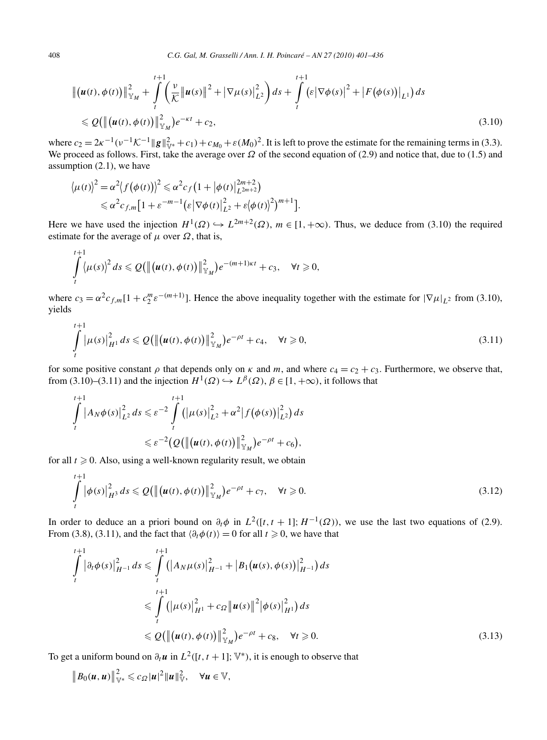$$
\| (u(t), \phi(t)) \|_{\mathbb{Y}_M}^2 + \int_t^{t+1} \left( \frac{v}{\mathcal{K}} \| u(s) \|^2 + |\nabla \mu(s) |_{L^2}^2 \right) ds + \int_t^{t+1} \left( \varepsilon |\nabla \phi(s) |^2 + |F(\phi(s)) |_{L^1} \right) ds
$$
  
\$\leqslant \mathcal{Q} \big( \| (u(t), \phi(t)) \|\_{\mathbb{Y}\_M}^2 \big) e^{-\kappa t} + c\_2, \tag{3.10}

where  $c_2 = 2\kappa^{-1}(v^{-1}K^{-1}||g||_{V^*}^2 + c_1) + c_{M_0} + \varepsilon(M_0)^2$ . It is left to prove the estimate for the remaining terms in (3.3). We proceed as follows. First, take the average over *Ω* of the second equation of (2.9) and notice that, due to (1.5) and assumption (2.1), we have

$$
\langle \mu(t) \rangle^2 = \alpha^2 \langle f(\phi(t)) \rangle^2 \leq \alpha^2 c_f \left( 1 + |\phi(t)|_{L^{2m+2}}^{2m+2} \right)
$$
  
 
$$
\leq \alpha^2 c_{f,m} \left[ 1 + \varepsilon^{-m-1} \left( \varepsilon \left| \nabla \phi(t) \right|_{L^2}^2 + \varepsilon \left| \phi(t) \right|^2 \right)^{m+1} \right].
$$

Here we have used the injection  $H^1(\Omega) \hookrightarrow L^{2m+2}(\Omega)$ ,  $m \in [1, +\infty)$ . Thus, we deduce from (3.10) the required estimate for the average of  $\mu$  over  $\Omega$ , that is,

$$
\int\limits_t^{t+1} \langle \mu(s) \rangle^2 ds \leqslant Q\big(\big\| \big(\boldsymbol{u}(t), \phi(t)\big) \big\|_{\mathbb{Y}_M}^2\big) e^{-(m+1)\kappa t} + c_3, \quad \forall t \geqslant 0,
$$

where  $c_3 = \alpha^2 c_{f,m} [1 + c_2^m \varepsilon^{-(m+1)}]$ . Hence the above inequality together with the estimate for  $|\nabla \mu|_{L^2}$  from (3.10), yields

$$
\int_{t}^{t+1} |\mu(s)|_{H^{1}}^{2} ds \leq \mathcal{Q}(\left\| (u(t), \phi(t)) \right\|_{\mathbb{Y}_{M}}^{2}) e^{-\rho t} + c_{4}, \quad \forall t \geq 0,
$$
\n(3.11)

for some positive constant  $\rho$  that depends only on  $\kappa$  and  $m$ , and where  $c_4 = c_2 + c_3$ . Furthermore, we observe that, from (3.10)–(3.11) and the injection  $H^1(\Omega) \hookrightarrow L^{\beta}(\Omega)$ ,  $\beta \in [1, +\infty)$ , it follows that

$$
\int_{t}^{t+1} |A_{N}\phi(s)|^{2}_{L^{2}} ds \leq \varepsilon^{-2} \int_{t}^{t+1} (|\mu(s)|^{2}_{L^{2}} + \alpha^{2}|f(\phi(s))|^{2}_{L^{2}}) ds
$$
  

$$
\leq \varepsilon^{-2} (Q(||(\mu(t), \phi(t))|^{2}_{\mathbb{Y}_{M}})e^{-\rho t} + c_{6}),
$$

for all  $t \geqslant 0$ . Also, using a well-known regularity result, we obtain

$$
\int_{t}^{t+1} |\phi(s)|_{H^{3}}^{2} ds \leq Q(\|(\boldsymbol{u}(t), \phi(t))\|_{\mathbb{Y}_{M}}^{2}) e^{-\rho t} + c_{7}, \quad \forall t \geq 0.
$$
\n(3.12)

In order to deduce an a priori bound on  $\partial_t \phi$  in  $L^2([t, t + 1]; H^{-1}(\Omega))$ , we use the last two equations of (2.9). From (3.8), (3.11), and the fact that  $\langle \partial_t \phi(t) \rangle = 0$  for all  $t \ge 0$ , we have that

$$
\int_{t}^{t+1} |\partial_{t} \phi(s)|_{H^{-1}}^{2} ds \leq \int_{t}^{t+1} (|A_{N} \mu(s)|_{H^{-1}}^{2} + |B_{1} (u(s), \phi(s))|_{H^{-1}}^{2}) ds
$$
\n
$$
\leq \int_{t}^{t+1} (|\mu(s)|_{H^{1}}^{2} + c_{\Omega} ||u(s)||^{2} |\phi(s)|_{H^{1}}^{2}) ds
$$
\n
$$
\leq \mathcal{Q}(\| (u(t), \phi(t)) \|_{\mathbb{Y}_{M}}^{2}) e^{-\rho t} + c_{8}, \quad \forall t \geq 0.
$$
\n(3.13)

To get a uniform bound on  $\partial_t \mathbf{u}$  in  $L^2([t, t+1]; \mathbb{V}^*)$ , it is enough to observe that

$$
\|B_0(u,u)\|_{\mathbb{V}^*}^2\leqslant c_{\Omega}|u|^2\|u\|_{\mathbb{V}}^2,\quad \forall u\in\mathbb{V},
$$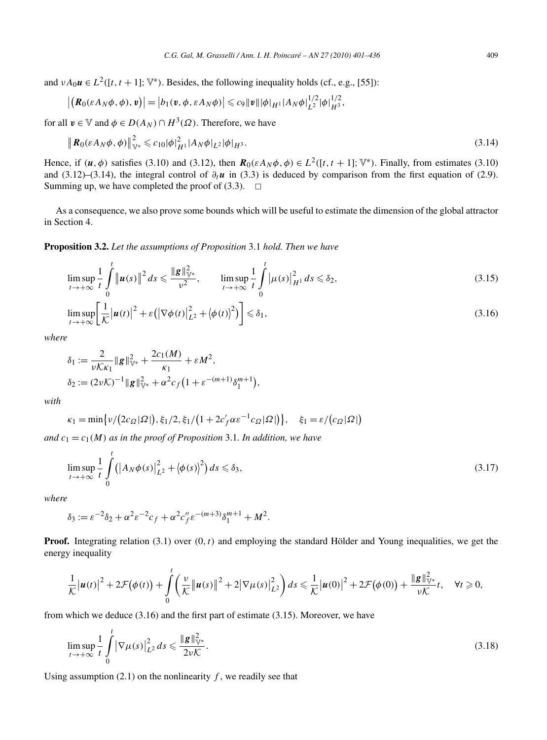and  $vA_0u \in L^2([t, t+1]; \mathbb{V}^*)$ . Besides, the following inequality holds (cf., e.g., [55]):

$$
\left| \left( \mathbf{R}_{0}(\varepsilon A_{N} \phi, \phi), \mathbf{v} \right) \right| = \left| b_{1}(\mathbf{v}, \phi, \varepsilon A_{N} \phi) \right| \leqslant c_{9} \|\mathbf{v}\| \|\phi\|_{H^{1}} |A_{N} \phi|_{L^{2}}^{1/2} |\phi|_{H^{3}}^{1/2},
$$

for all  $v \in V$  and  $\phi \in D(A_N) \cap H^3(\Omega)$ . Therefore, we have

$$
\|\mathbf{R}_{0}(\varepsilon A_{N}\phi,\phi)\|_{\mathbb{V}^{*}}^{2} \leqslant c_{10}|\phi|_{H^{1}}^{2}|A_{N}\phi|_{L^{2}}|\phi|_{H^{3}}.
$$
\n(3.14)

Hence, if  $(\mathbf{u}, \phi)$  satisfies (3.10) and (3.12), then  $\mathbf{R}_0(\varepsilon A_N \phi, \phi) \in L^2([t, t + 1]; \mathbb{V}^*)$ . Finally, from estimates (3.10) and (3.12)–(3.14), the integral control of  $\partial_t \mathbf{u}$  in (3.3) is deduced by comparison from the first equation of (2.9). Summing up, we have completed the proof of  $(3.3)$ .  $\Box$ 

As a consequence, we also prove some bounds which will be useful to estimate the dimension of the global attractor in Section 4.

**Proposition 3.2.** *Let the assumptions of Proposition* 3.1 *hold. Then we have*

$$
\limsup_{t \to +\infty} \frac{1}{t} \int_{0}^{t} \|\boldsymbol{u}(s)\|^{2} ds \leq \frac{\|\boldsymbol{g}\|_{\mathbb{V}^{*}}^{2}}{\nu^{2}}, \qquad \limsup_{t \to +\infty} \frac{1}{t} \int_{0}^{t} |\mu(s)|_{H^{1}}^{2} ds \leq \delta_{2}, \tag{3.15}
$$

$$
\limsup_{t \to +\infty} \left[ \frac{1}{\mathcal{K}} \left| \boldsymbol{u}(t) \right|^2 + \varepsilon \left( \left| \nabla \phi(t) \right|_{L^2}^2 + \left\langle \phi(t) \right\rangle^2 \right) \right] \leq \delta_1,
$$
\n(3.16)

*where*

$$
\delta_1 := \frac{2}{\nu K \kappa_1} \|g\|_{\mathbb{V}^*}^2 + \frac{2c_1(M)}{\kappa_1} + \varepsilon M^2,
$$
  

$$
\delta_2 := (2\nu K)^{-1} \|g\|_{\mathbb{V}^*}^2 + \alpha^2 c_f (1 + \varepsilon^{-(m+1)} \delta_1^{m+1}),
$$

*with*

$$
\kappa_1 = \min\left\{\nu/(2c_{\Omega}|\Omega|), \xi_1/2, \xi_1/(1+2c_f'\alpha\varepsilon^{-1}c_{\Omega}|\Omega|)\right\}, \quad \xi_1 = \varepsilon/(c_{\Omega}|\Omega|)
$$

*and*  $c_1 = c_1(M)$  *as in the proof of Proposition* 3.1*. In addition, we have* 

$$
\limsup_{t \to +\infty} \frac{1}{t} \int_{0}^{t} (|A_N \phi(s)|^2_{L^2} + |\phi(s)|^2) ds \leq \delta_3,
$$
\n(3.17)

*where*

$$
\delta_3 := \varepsilon^{-2} \delta_2 + \alpha^2 \varepsilon^{-2} c_f + \alpha^2 c''_f \varepsilon^{-(m+3)} \delta_1^{m+1} + M^2.
$$

**Proof.** Integrating relation (3.1) over *(*0*,t)* and employing the standard Hölder and Young inequalities, we get the energy inequality

$$
\frac{1}{\mathcal{K}}\big|\boldsymbol{u}(t)\big|^2+2\mathcal{F}\big(\phi(t)\big)+\int\limits_0^t\bigg(\frac{\nu}{\mathcal{K}}\big\|\boldsymbol{u}(s)\big\|^2+2\big|\nabla\mu(s)\big|^2_{L^2}\bigg)ds\leqslant \frac{1}{\mathcal{K}}\big|\boldsymbol{u}(0)\big|^2+2\mathcal{F}\big(\phi(0)\big)+\frac{\|\boldsymbol{g}\|_{\mathbb{V}^*}^2}{\nu\mathcal{K}}t,\quad \forall t\geqslant 0,
$$

from which we deduce (3.16) and the first part of estimate (3.15). Moreover, we have

$$
\limsup_{t \to +\infty} \frac{1}{t} \int_{0}^{t} |\nabla \mu(s)|_{L^{2}}^{2} ds \leq \frac{\|g\|_{\mathbb{V}^{*}}^{2}}{2\nu\mathcal{K}}.
$$
\n(3.18)

Using assumption  $(2.1)$  on the nonlinearity  $f$ , we readily see that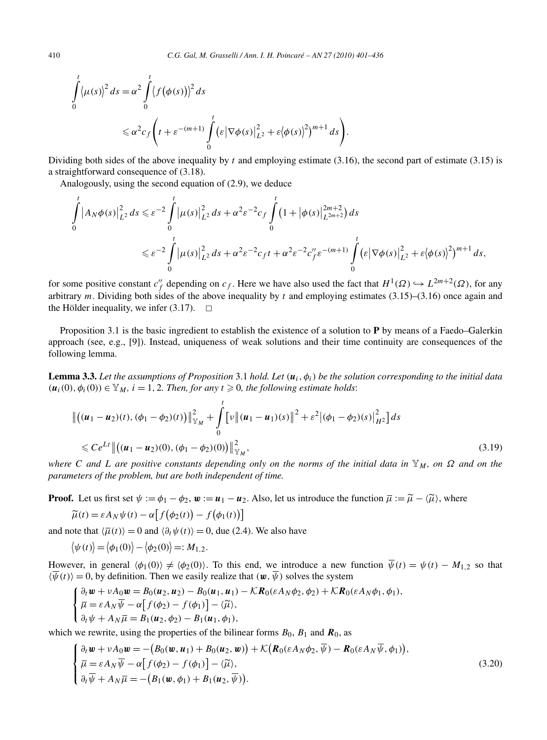$$
\int_{0}^{t} \langle \mu(s) \rangle^{2} ds = \alpha^{2} \int_{0}^{t} \langle f(\phi(s)) \rangle^{2} ds
$$
\n
$$
\leq \alpha^{2} c_{f} \left( t + \varepsilon^{-(m+1)} \int_{0}^{t} (\varepsilon |\nabla \phi(s)|_{L^{2}}^{2} + \varepsilon \langle \phi(s) \rangle^{2})^{m+1} ds \right).
$$

Dividing both sides of the above inequality by *t* and employing estimate (3.16), the second part of estimate (3.15) is a straightforward consequence of (3.18).

Analogously, using the second equation of (2.9), we deduce

$$
\int_{0}^{t} |A_{N}\phi(s)|^{2}_{L^{2}} ds \leq \varepsilon^{-2} \int_{0}^{t} |\mu(s)|^{2}_{L^{2}} ds + \alpha^{2} \varepsilon^{-2} c_{f} \int_{0}^{t} (1 + |\phi(s)|^{2m+2}_{L^{2m+2}}) ds
$$
\n
$$
\leq \varepsilon^{-2} \int_{0}^{t} |\mu(s)|^{2}_{L^{2}} ds + \alpha^{2} \varepsilon^{-2} c_{f} t + \alpha^{2} \varepsilon^{-2} c_{f}'' \varepsilon^{-(m+1)} \int_{0}^{t} (\varepsilon |\nabla \phi(s)|^{2}_{L^{2}} + \varepsilon |\phi(s)|^{2})^{m+1} ds,
$$

for some positive constant  $c''_f$  depending on  $c_f$ . Here we have also used the fact that  $H^1(\Omega) \hookrightarrow L^{2m+2}(\Omega)$ , for any arbitrary *m*. Dividing both sides of the above inequality by *t* and employing estimates (3.15)–(3.16) once again and the Hölder inequality, we infer  $(3.17)$ .  $\Box$ 

Proposition 3.1 is the basic ingredient to establish the existence of a solution to **P** by means of a Faedo–Galerkin approach (see, e.g., [9]). Instead, uniqueness of weak solutions and their time continuity are consequences of the following lemma.

**Lemma 3.3.** Let the assumptions of Proposition 3.1 hold. Let  $(u_i, \phi_i)$  be the solution corresponding to the initial data  $(\mathbf{u}_i(0), \phi_i(0)) \in \mathbb{Y}_M$ ,  $i = 1, 2$ . Then, for any  $t \geq 0$ , the following estimate holds:

$$
\begin{aligned} & \left\| \left( (\boldsymbol{u}_1 - \boldsymbol{u}_2)(t), (\phi_1 - \phi_2)(t) \right) \right\|_{\mathbb{Y}_M}^2 + \int_0^t \left[ \nu \left\| (\boldsymbol{u}_1 - \boldsymbol{u}_1)(s) \right\|^2 + \varepsilon^2 \left| (\phi_1 - \phi_2)(s) \right|_{H^2}^2 \right] ds \\ & \leqslant C e^{Lt} \left\| \left( (\boldsymbol{u}_1 - \boldsymbol{u}_2)(0), (\phi_1 - \phi_2)(0) \right) \right\|_{\mathbb{Y}_M}^2, \end{aligned} \tag{3.19}
$$

*where C* and *L* are positive constants depending only on the norms of the initial data in  $\mathbb{Y}_M$ , on  $\Omega$  and on the *parameters of the problem, but are both independent of time.*

**Proof.** Let us first set  $\psi := \phi_1 - \phi_2$ ,  $\mathbf{w} := \mathbf{u}_1 - \mathbf{u}_2$ . Also, let us introduce the function  $\overline{\mu} := \widetilde{\mu} - \langle \widetilde{\mu} \rangle$ , where

$$
\widetilde{\mu}(t) = \varepsilon A_N \psi(t) - \alpha \big[ f(\phi_2(t)) - f(\phi_1(t)) \big]
$$

and note that  $\langle \overline{\mu}(t) \rangle = 0$  and  $\langle \partial_t \psi(t) \rangle = 0$ , due (2.4). We also have

$$
\langle \psi(t) \rangle = \langle \phi_1(0) \rangle - \langle \phi_2(0) \rangle =: M_{1,2}.
$$

However, in general  $\langle \phi_1(0) \rangle \neq \langle \phi_2(0) \rangle$ . To this end, we introduce a new function  $\overline{\psi}(t) = \psi(t) - M_{1,2}$  so that  $\langle \overline{\psi}(t) \rangle = 0$ , by definition. Then we easily realize that  $(\mathbf{w}, \overline{\psi})$  solves the system

$$
\begin{cases} \n\frac{\partial_t \mathbf{w} + \nu A_0 \mathbf{w} = B_0(\mathbf{u}_2, \mathbf{u}_2) - B_0(\mathbf{u}_1, \mathbf{u}_1) - \mathcal{K} \mathbf{R}_0(\varepsilon A_N \phi_2, \phi_2) + \mathcal{K} \mathbf{R}_0(\varepsilon A_N \phi_1, \phi_1), \\ \n\overline{\mu} = \varepsilon A_N \overline{\psi} - \alpha \big[ f(\phi_2) - f(\phi_1) \big] - \langle \widetilde{\mu} \rangle, \\ \n\partial_t \psi + A_N \overline{\mu} = B_1(\mathbf{u}_2, \phi_2) - B_1(\mathbf{u}_1, \phi_1), \n\end{cases}
$$

which we rewrite, using the properties of the bilinear forms  $B_0$ ,  $B_1$  and  $\mathbf{R}_0$ , as

$$
\begin{cases}\n\partial_t \mathbf{w} + vA_0 \mathbf{w} = -(B_0(\mathbf{w}, \mathbf{u}_1) + B_0(\mathbf{u}_2, \mathbf{w})) + \mathcal{K}(\mathbf{R}_0(\varepsilon A_N \phi_2, \overline{\psi}) - \mathbf{R}_0(\varepsilon A_N \overline{\psi}, \phi_1)), \\
\overline{\mu} = \varepsilon A_N \overline{\psi} - \alpha \big[ f(\phi_2) - f(\phi_1) \big] - \langle \widetilde{\mu} \rangle, \\
\partial_t \overline{\psi} + A_N \overline{\mu} = -(B_1(\mathbf{w}, \phi_1) + B_1(\mathbf{u}_2, \overline{\psi})).\n\end{cases} (3.20)
$$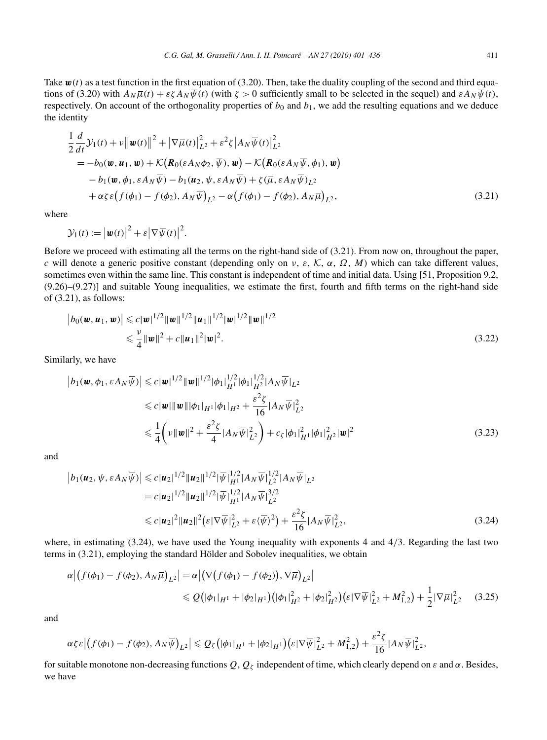$$
\frac{1}{2}\frac{d}{dt}\mathcal{Y}_1(t) + v \|\boldsymbol{w}(t)\|^2 + |\nabla \overline{\mu}(t)|_{L^2}^2 + \varepsilon^2 \zeta |A_N \overline{\psi}(t)|_{L^2}^2 \n= -b_0(\boldsymbol{w}, \boldsymbol{u}_1, \boldsymbol{w}) + \mathcal{K}(\boldsymbol{R}_0(\varepsilon A_N \phi_2, \overline{\psi}), \boldsymbol{w}) - \mathcal{K}(\boldsymbol{R}_0(\varepsilon A_N \overline{\psi}, \phi_1), \boldsymbol{w}) \n- b_1(\boldsymbol{w}, \phi_1, \varepsilon A_N \overline{\psi}) - b_1(\boldsymbol{u}_2, \psi, \varepsilon A_N \overline{\psi}) + \zeta(\overline{\mu}, \varepsilon A_N \overline{\psi})_{L^2} \n+ \alpha \zeta \varepsilon (f(\phi_1) - f(\phi_2), A_N \overline{\psi})_{L^2} - \alpha (f(\phi_1) - f(\phi_2), A_N \overline{\mu})_{L^2},
$$
\n(3.21)

where

$$
\mathcal{Y}_1(t) := \left| \boldsymbol{w}(t) \right|^2 + \varepsilon \left| \nabla \overline{\psi}(t) \right|^2.
$$

Before we proceed with estimating all the terms on the right-hand side of (3.21). From now on, throughout the paper, *c* will denote a generic positive constant (depending only on *ν*, *ε*, K, *α*, *Ω*, *M*) which can take different values, sometimes even within the same line. This constant is independent of time and initial data. Using [51, Proposition 9.2, (9.26)–(9.27)] and suitable Young inequalities, we estimate the first, fourth and fifth terms on the right-hand side of (3.21), as follows:

$$
|b_0(\mathbf{w}, \mathbf{u}_1, \mathbf{w})| \leqslant c |\mathbf{w}|^{1/2} \|\mathbf{w}\|^{1/2} \|\mathbf{u}_1\|^{1/2} |\mathbf{w}|^{1/2} \|\mathbf{w}\|^{1/2}
$$
  

$$
\leqslant \frac{\nu}{4} \|\mathbf{w}\|^2 + c \|\mathbf{u}_1\|^2 |\mathbf{w}|^2. \tag{3.22}
$$

Similarly, we have

$$
\begin{split} \left| b_1(\boldsymbol{w}, \phi_1, \varepsilon A_N \overline{\psi}) \right| &\leq c |\boldsymbol{w}|^{1/2} |\boldsymbol{w}|^{1/2} |\phi_1|_{H^1}^{1/2} |\phi_1|_{H^2}^{1/2} |A_N \overline{\psi}|_{L^2} \\ &\leq c |\boldsymbol{w}| |\|\boldsymbol{w}\| |\phi_1|_{H^1} |\phi_1|_{H^2} + \frac{\varepsilon^2 \zeta}{16} |A_N \overline{\psi}|_{L^2}^2 \\ &\leq \frac{1}{4} \left( \nu \|\boldsymbol{w}\|^2 + \frac{\varepsilon^2 \zeta}{4} |A_N \overline{\psi}|_{L^2}^2 \right) + c_{\zeta} |\phi_1|_{H^1}^2 |\phi_1|_{H^2}^2 |\boldsymbol{w}|^2 \end{split} \tag{3.23}
$$

and

$$
\left| b_1(\boldsymbol{u}_2, \psi, \varepsilon A_N \overline{\psi}) \right| \leq c |\boldsymbol{u}_2|^{1/2} |\boldsymbol{u}_2|^{1/2} |\overline{\psi}|_{H^1}^{1/2} |A_N \overline{\psi}|_{L^2}^{1/2} |A_N \overline{\psi}|_{L^2}
$$
  
\n
$$
= c |\boldsymbol{u}_2|^{1/2} |\boldsymbol{u}_2|^{1/2} |\overline{\psi}|_{H^1}^{1/2} |A_N \overline{\psi}|_{L^2}^{3/2}
$$
  
\n
$$
\leq c |\boldsymbol{u}_2|^2 |\boldsymbol{u}_2|^2 \left( \varepsilon |\nabla \overline{\psi}|_{L^2}^2 + \varepsilon \langle \overline{\psi} \rangle^2 \right) + \frac{\varepsilon^2 \zeta}{16} |A_N \overline{\psi}|_{L^2}^2, \tag{3.24}
$$

where, in estimating (3.24), we have used the Young inequality with exponents 4 and 4/3. Regarding the last two terms in (3.21), employing the standard Hölder and Sobolev inequalities, we obtain

$$
\alpha | (f(\phi_1) - f(\phi_2), A_N \overline{\mu})_{L^2} | = \alpha | (\nabla (f(\phi_1) - f(\phi_2)), \nabla \overline{\mu})_{L^2} |
$$
  
\$\leq Q (|\phi\_1|\_{H^1} + |\phi\_2|\_{H^1}) (|\phi\_1|\_{H^2}^2 + |\phi\_2|\_{H^2}^2) (\varepsilon |\nabla \overline{\psi}|\_{L^2}^2 + M\_{1,2}^2) + \frac{1}{2} |\nabla \overline{\mu}|\_{L^2}^2 \t(3.25)

and

$$
\alpha \zeta \varepsilon \left| \left( f(\phi_1) - f(\phi_2), A_N \overline{\psi} \right)_{L^2} \right| \leqslant Q_{\zeta} \left( |\phi_1|_{H^1} + |\phi_2|_{H^1} \right) \left( \varepsilon |\nabla \overline{\psi}|_{L^2}^2 + M_{1,2}^2 \right) + \frac{\varepsilon^2 \zeta}{16} |A_N \overline{\psi}|_{L^2}^2,
$$

for suitable monotone non-decreasing functions  $Q$ ,  $Q_\zeta$  independent of time, which clearly depend on  $\varepsilon$  and  $\alpha$ . Besides, we have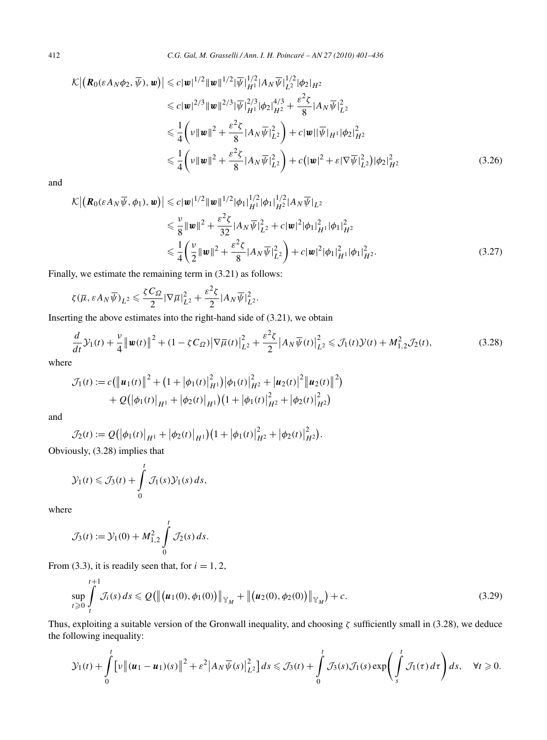$$
\mathcal{K} \left| \left( \mathbf{R}_{0}(\varepsilon A_{N} \phi_{2}, \overline{\psi}), \mathbf{w} \right) \right| \leq c | \mathbf{w} |^{1/2} \| \mathbf{w} \|^{1/2} | \overline{\psi} |_{H}^{1/2} | A_{N} \overline{\psi} |_{L^{2}}^{1/2} | \phi_{2} |_{H^{2}} \n\leq c | \mathbf{w} |^{2/3} \| \mathbf{w} \|^{2/3} | \overline{\psi} |_{H^{1}}^{2/3} | \phi_{2} |_{H^{2}}^{4/3} + \frac{\varepsilon^{2} \zeta}{8} | A_{N} \overline{\psi} |_{L^{2}}^{2} \n\leq \frac{1}{4} \left( v \| \mathbf{w} \|^{2} + \frac{\varepsilon^{2} \zeta}{8} | A_{N} \overline{\psi} |_{L^{2}}^{2} \right) + c | \mathbf{w} | | \overline{\psi} |_{H^{1}} | \phi_{2} |_{H^{2}}^{2} \n\leq \frac{1}{4} \left( v \| \mathbf{w} \|^{2} + \frac{\varepsilon^{2} \zeta}{8} | A_{N} \overline{\psi} |_{L^{2}}^{2} \right) + c \left( | \mathbf{w} |^{2} + \varepsilon | \nabla \overline{\psi} |_{L^{2}}^{2} \right) | \phi_{2} |_{H^{2}}^{2}
$$
\n(3.26)

and

$$
\mathcal{K} \left| \left( \mathbf{R}_0(\varepsilon A_N \overline{\psi}, \phi_1), \mathbf{w} \right) \right| \leqslant c |\mathbf{w}|^{1/2} \|\mathbf{w}\|^{1/2} |\phi_1|_{H^1}^{1/2} |\phi_1|_{H^2}^{1/2} |A_N \overline{\psi}|_{L^2}
$$
\n
$$
\leqslant \frac{\nu}{8} \|\mathbf{w}\|^2 + \frac{\varepsilon^2 \zeta}{32} |A_N \overline{\psi}|_{L^2}^2 + c |\mathbf{w}|^2 |\phi_1|_{H^1}^2 |\phi_1|_{H^2}^2
$$
\n
$$
\leqslant \frac{1}{4} \left( \frac{\nu}{2} \|\mathbf{w}\|^2 + \frac{\varepsilon^2 \zeta}{8} |A_N \overline{\psi}|_{L^2}^2 \right) + c |\mathbf{w}|^2 |\phi_1|_{H^1}^2 |\phi_1|_{H^2}^2. \tag{3.27}
$$

Finally, we estimate the remaining term in (3.21) as follows:

$$
\zeta(\overline{\mu}, \varepsilon A_N \overline{\psi})_{L^2} \leqslant \frac{\zeta C_{\Omega}}{2} |\nabla \overline{\mu}|_{L^2}^2 + \frac{\varepsilon^2 \zeta}{2} |A_N \overline{\psi}|_{L^2}^2.
$$

Inserting the above estimates into the right-hand side of (3.21), we obtain

$$
\frac{d}{dt}\mathcal{Y}_1(t) + \frac{\nu}{4} ||\mathbf{w}(t)||^2 + (1 - \zeta C_{\Omega}) |\nabla \overline{\mu}(t)|_{L^2}^2 + \frac{\varepsilon^2 \zeta}{2} |A_N \overline{\psi}(t)|_{L^2}^2 \le \mathcal{J}_1(t)\mathcal{Y}(t) + M_{1,2}^2 \mathcal{J}_2(t),
$$
\n(3.28)

where

$$
\mathcal{J}_1(t) := c \left( \left\| \boldsymbol{u}_1(t) \right\|^2 + \left( 1 + \left| \phi_1(t) \right|_{H^1}^2 \right) \left| \phi_1(t) \right|_{H^2}^2 + \left| \boldsymbol{u}_2(t) \right|^2 \left\| \boldsymbol{u}_2(t) \right\|^2 \right) + \mathcal{Q} \left( \left| \phi_1(t) \right|_{H^1} + \left| \phi_2(t) \right|_{H^1} \right) \left( 1 + \left| \phi_1(t) \right|_{H^2}^2 + \left| \phi_2(t) \right|_{H^2}^2 \right)
$$

and

$$
\mathcal{J}_2(t) := Q\big(|\phi_1(t)|_{H^1} + |\phi_2(t)|_{H^1}\big)\big(1 + |\phi_1(t)|_{H^2}^2 + |\phi_2(t)|_{H^2}^2\big).
$$

Obviously, (3.28) implies that

$$
\mathcal{Y}_1(t) \leqslant \mathcal{J}_3(t) + \int_0^t \mathcal{J}_1(s) \mathcal{Y}_1(s) ds,
$$

where

$$
\mathcal{J}_3(t) := \mathcal{Y}_1(0) + M_{1,2}^2 \int\limits_0^t \mathcal{J}_2(s) \, ds.
$$

From (3.3), it is readily seen that, for  $i = 1, 2$ ,

$$
\sup_{t\geqslant 0}\int\limits_t^{t+1}\mathcal{J}_i(s)\,ds\leqslant\mathcal{Q}\big(\big\|\big(\mathbf{u}_1(0),\phi_1(0)\big)\big\|_{\mathbb{Y}_M}+\big\|\big(\mathbf{u}_2(0),\phi_2(0)\big)\big\|_{\mathbb{Y}_M}\big)+c.\tag{3.29}
$$

Thus, exploiting a suitable version of the Gronwall inequality, and choosing *ζ* sufficiently small in (3.28), we deduce the following inequality:

$$
\mathcal{Y}_1(t) + \int_0^t \left[ v \left\| (u_1 - u_1)(s) \right\|^2 + \varepsilon^2 \left| A_N \overline{\psi}(s) \right|_{L^2}^2 \right] ds \leq \mathcal{J}_3(t) + \int_0^t \mathcal{J}_3(s) \mathcal{J}_1(s) \exp \left( \int_s^t \mathcal{J}_1(\tau) d\tau \right) ds, \quad \forall t \geq 0.
$$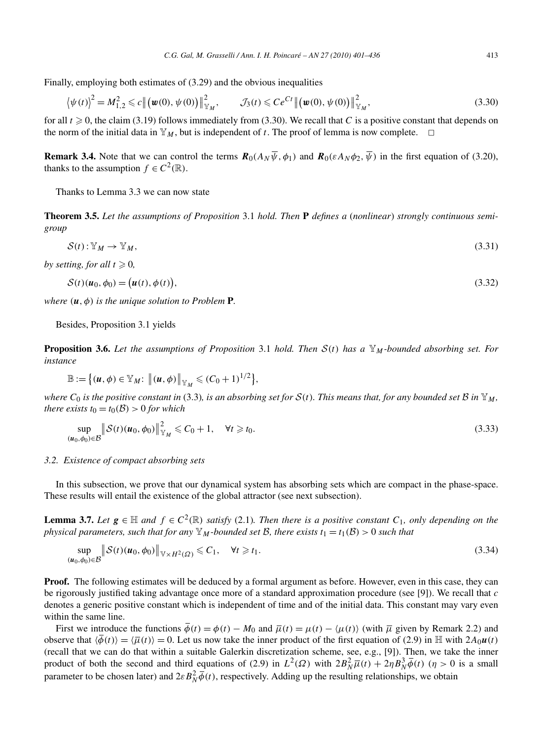Finally, employing both estimates of (3.29) and the obvious inequalities

$$
\left\langle \psi(t) \right\rangle^2 = M_{1,2}^2 \leq c \left\| \left( \psi(0), \psi(0) \right) \right\|_{\mathbb{Y}_M}^2, \qquad \mathcal{J}_3(t) \leqslant Ce^{Ct} \left\| \left( \psi(0), \psi(0) \right) \right\|_{\mathbb{Y}_M}^2, \tag{3.30}
$$

for all  $t \ge 0$ , the claim (3.19) follows immediately from (3.30). We recall that *C* is a positive constant that depends on the norm of the initial data in  $\mathbb{Y}_M$ , but is independent of *t*. The proof of lemma is now complete.  $\Box$ 

**Remark 3.4.** Note that we can control the terms  $\mathbf{R}_0(A_N\overline{\psi}, \phi_1)$  and  $\mathbf{R}_0(\varepsilon A_N\phi_2, \overline{\psi})$  in the first equation of (3.20), thanks to the assumption  $f \in C^2(\mathbb{R})$ .

Thanks to Lemma 3.3 we can now state

**Theorem 3.5.** *Let the assumptions of Proposition* 3.1 *hold. Then* **P** *defines a* (*nonlinear*) *strongly continuous semigroup*

 $S(t): Y_M \to Y_M,$  (3.31)

*by setting, for all*  $t \geq 0$ ,

$$
\mathcal{S}(t)(\boldsymbol{u}_0, \phi_0) = (\boldsymbol{u}(t), \phi(t)),
$$
\n(3.32)

*where*  $(u, \phi)$  *is the unique solution to Problem P.* 

Besides, Proposition 3.1 yields

**Proposition 3.6.** Let the assumptions of Proposition 3.1 hold. Then  $S(t)$  has a  $\mathbb{Y}_M$ -bounded absorbing set. For *instance*

$$
\mathbb{B}:=\big\{(\boldsymbol{u},\boldsymbol{\phi})\in\mathbb{Y}_M\colon\,\big\|(\boldsymbol{u},\boldsymbol{\phi})\big\|_{\mathbb{Y}_M}\leqslant (C_0+1)^{1/2}\big\},
$$

*where*  $C_0$  *is the positive constant in* (3.3)*, is an absorbing set for*  $S(t)$ *. This means that, for any bounded set*  $B$  *in*  $\mathbb{Y}_M$ *, there exists*  $t_0 = t_0(\mathcal{B}) > 0$  *for which* 

$$
\sup_{(\boldsymbol{u}_0,\phi_0)\in\mathcal{B}}\|\mathcal{S}(t)(\boldsymbol{u}_0,\phi_0)\|_{\mathbb{Y}_M}^2\leq C_0+1,\quad \forall t\geq t_0.
$$
\n(3.33)

#### *3.2. Existence of compact absorbing sets*

In this subsection, we prove that our dynamical system has absorbing sets which are compact in the phase-space. These results will entail the existence of the global attractor (see next subsection).

**Lemma 3.7.** *Let*  $g \in \mathbb{H}$  *and*  $f \in C^2(\mathbb{R})$  *satisfy* (2.1)*. Then there is a positive constant*  $C_1$ *, only depending on the physical parameters, such that for any*  $\mathbb{Y}_M$ *-bounded set B, there exists*  $t_1 = t_1(\mathcal{B}) > 0$  *such that* 

$$
\sup_{(\boldsymbol{u}_0,\phi_0)\in\mathcal{B}}\|\mathcal{S}(t)(\boldsymbol{u}_0,\phi_0)\|_{\mathbb{V}\times H^2(\Omega)}\leq C_1,\quad \forall t\geq t_1.
$$
\n(3.34)

**Proof.** The following estimates will be deduced by a formal argument as before. However, even in this case, they can be rigorously justified taking advantage once more of a standard approximation procedure (see [9]). We recall that *c* denotes a generic positive constant which is independent of time and of the initial data. This constant may vary even within the same line.

First we introduce the functions  $\overline{\phi}(t) = \phi(t) - M_0$  and  $\overline{\mu}(t) = \mu(t) - \langle \mu(t) \rangle$  (with  $\overline{\mu}$  given by Remark 2.2) and observe that  $\langle \phi(t) \rangle = \langle \overline{\mu}(t) \rangle = 0$ . Let us now take the inner product of the first equation of (2.9) in H with  $2A_0u(t)$ (recall that we can do that within a suitable Galerkin discretization scheme, see, e.g., [9]). Then, we take the inner product of both the second and third equations of (2.9) in  $L^2(\Omega)$  with  $2B_N^2\bar{\mu}(t) + 2\eta B_N^3\bar{\phi}(t)$  ( $\eta > 0$  is a small parameter to be chosen later) and  $2\varepsilon B_N^2 \overline{\phi}(t)$ , respectively. Adding up the resulting relationships, we obtain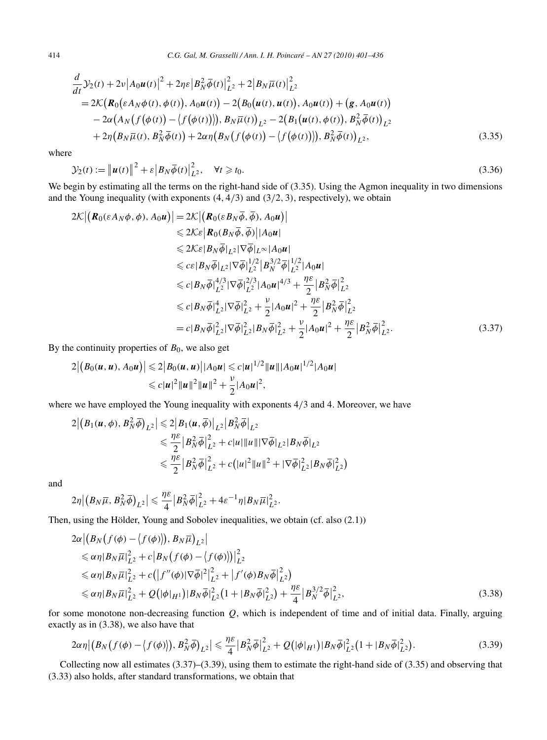$$
\frac{d}{dt}\mathcal{Y}_2(t) + 2\nu |A_0 u(t)|^2 + 2\eta \varepsilon |B_N^2 \overline{\phi}(t)|_{L^2}^2 + 2|B_N \overline{\mu}(t)|_{L^2}^2 \n= 2\mathcal{K}\big(\mathbf{R}_0(\varepsilon A_N \phi(t), \phi(t)), A_0 u(t)\big) - 2\big(B_0(u(t), u(t)), A_0 u(t)\big) + \big(\mathbf{g}, A_0 u(t)\big) \n- 2\alpha \big(A_N\big(f(\phi(t)) - \big(f(\phi(t))\big)\big), B_N \overline{\mu}(t)\big)_{L^2} - 2\big(B_1(u(t), \phi(t)), B_N^2 \overline{\phi}(t)\big)_{L^2} \n+ 2\eta \big(B_N \overline{\mu}(t), B_N^2 \overline{\phi}(t)\big) + 2\alpha \eta \big(B_N\big(f(\phi(t)) - \big(f(\phi(t))\big)\big), B_N^2 \overline{\phi}(t)\big)_{L^2},
$$
\n(3.35)

where

$$
\mathcal{Y}_2(t) := \left\| \boldsymbol{u}(t) \right\|^2 + \varepsilon \left| B_N \overline{\phi}(t) \right|_{L^2}^2, \quad \forall t \geq t_0.
$$
\n(3.36)

We begin by estimating all the terms on the right-hand side of (3.35). Using the Agmon inequality in two dimensions and the Young inequality (with exponents *(*4*,* 4*/*3*)* and *(*3*/*2*,* 3*)*, respectively), we obtain

$$
2\mathcal{K} \left| \left( \boldsymbol{R}_{0}(\varepsilon A_{N}\phi, \phi), A_{0}\boldsymbol{u} \right) \right| = 2\mathcal{K} \left| \left( \boldsymbol{R}_{0}(\varepsilon B_{N}\overline{\phi}, \overline{\phi}), A_{0}\boldsymbol{u} \right) \right|
$$
  
\n
$$
\leq 2\mathcal{K}\varepsilon \left| \boldsymbol{R}_{0}(\boldsymbol{B}_{N}\overline{\phi}, \overline{\phi}) \right| |A_{0}\boldsymbol{u}|
$$
  
\n
$$
\leq 2\mathcal{K}\varepsilon |B_{N}\overline{\phi}|_{L^{2}} |\nabla \overline{\phi}|_{L^{\infty}} |A_{0}\boldsymbol{u}|
$$
  
\n
$$
\leq c\varepsilon |B_{N}\overline{\phi}|_{L^{2}} |\nabla \overline{\phi}|_{L^{2}}^{1/2} |B_{N}^{3/2}\overline{\phi}|_{L^{2}}^{1/2} |A_{0}\boldsymbol{u}|
$$
  
\n
$$
\leq c|B_{N}\overline{\phi}|_{L^{2}}^{4/3} |\nabla \overline{\phi}|_{L^{2}}^{2/3} |A_{0}\boldsymbol{u}|^{4/3} + \frac{\eta\varepsilon}{2} |B_{N}^{2}\overline{\phi}|_{L^{2}}^{2}
$$
  
\n
$$
\leq c|B_{N}\overline{\phi}|_{L^{2}}^{4} |\nabla \overline{\phi}|_{L^{2}}^{2} + \frac{\nu}{2} |A_{0}\boldsymbol{u}|^{2} + \frac{\eta\varepsilon}{2} |B_{N}^{2}\overline{\phi}|_{L^{2}}^{2}
$$
  
\n
$$
= c|B_{N}\overline{\phi}|_{L^{2}}^{2} |\nabla \overline{\phi}|_{L^{2}}^{2} |B_{N}\overline{\phi}|_{L^{2}}^{2} + \frac{\nu}{2} |A_{0}\boldsymbol{u}|^{2} + \frac{\eta\varepsilon}{2} |B_{N}^{2}\overline{\phi}|_{L^{2}}^{2}.
$$
 (3.37)

By the continuity properties of  $B_0$ , we also get

$$
2|(B_0(u, u), A_0u)| \leq 2|B_0(u, u)||A_0u| \leq c|u|^{1/2}||u|||A_0u|^{1/2}|A_0u|
$$
  

$$
\leq c|u|^2||u||^2||u||^2 + \frac{\nu}{2}|A_0u|^2,
$$

where we have employed the Young inequality with exponents 4*/*3 and 4. Moreover, we have

$$
2|(B_1(u,\phi),B_N^2\overline{\phi})_{L^2}| \le 2|B_1(u,\overline{\phi})|_{L^2}|B_N^2\overline{\phi}|_{L^2}
$$
  
\n
$$
\le \frac{\eta\epsilon}{2}|B_N^2\overline{\phi}|_{L^2}^2 + c|u|\|u\| |\nabla \overline{\phi}|_{L^2}|B_N\overline{\phi}|_{L^2}
$$
  
\n
$$
\le \frac{\eta\epsilon}{2}|B_N^2\overline{\phi}|_{L^2}^2 + c(|u|^2\|u\|^2 + |\nabla \overline{\phi}|_{L^2}^2|B_N\overline{\phi}|_{L^2}^2)
$$

and

$$
2\eta \big|\big(B_N\overline{\mu},B_N^2\overline{\phi}\big)_{L^2}\big| \leq \frac{\eta \varepsilon }{4}\big|B_N^2\overline{\phi}\big|_{L^2}^2 + 4\varepsilon^{-1}\eta |B_N\overline{\mu}|_{L^2}^2.
$$

Then, using the Hölder, Young and Sobolev inequalities, we obtain (cf. also (2.1))

$$
2\alpha | (B_N(f(\phi) - \langle f(\phi) \rangle), B_N \overline{\mu})_{L^2}|
$$
  
\n
$$
\leq \alpha \eta | B_N \overline{\mu}|_{L^2}^2 + c |B_N(f(\phi) - \langle f(\phi) \rangle)|_{L^2}^2
$$
  
\n
$$
\leq \alpha \eta | B_N \overline{\mu}|_{L^2}^2 + c (|f''(\phi)|\nabla \overline{\phi}|^2|_{L^2}^2 + |f'(\phi)B_N \overline{\phi}|_{L^2}^2)
$$
  
\n
$$
\leq \alpha \eta | B_N \overline{\mu}|_{L^2}^2 + Q (|\phi|_{H^1}) |B_N \overline{\phi}|_{L^2}^2 (1 + |B_N \overline{\phi}|_{L^2}^2) + \frac{\eta \varepsilon}{4} |B_N^{3/2} \overline{\phi}|_{L^2}^2, \tag{3.38}
$$

for some monotone non-decreasing function *Q*, which is independent of time and of initial data. Finally, arguing exactly as in (3.38), we also have that

$$
2\alpha\eta | (B_N(f(\phi) - \langle f(\phi) \rangle), B_N^2 \overline{\phi})_{L^2}| \leq \frac{\eta \varepsilon}{4} |B_N^2 \overline{\phi}|_{L^2}^2 + \mathcal{Q}(|\phi|_{H^1}) |B_N \overline{\phi}|_{L^2}^2 (1 + |B_N \overline{\phi}|_{L^2}^2).
$$
 (3.39)

Collecting now all estimates (3.37)–(3.39), using them to estimate the right-hand side of (3.35) and observing that (3.33) also holds, after standard transformations, we obtain that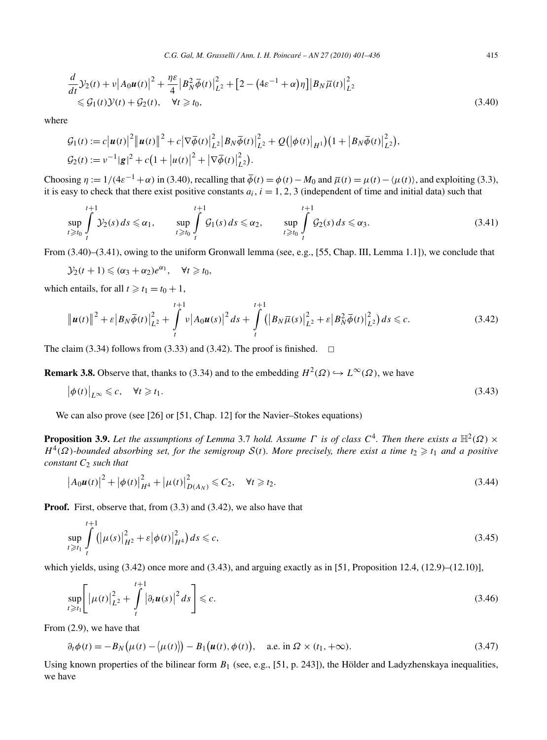$$
\frac{d}{dt}\mathcal{Y}_2(t) + v |A_0 \mathbf{u}(t)|^2 + \frac{\eta \varepsilon}{4} |B_N^2 \overline{\phi}(t)|_{L^2}^2 + [2 - (4\varepsilon^{-1} + \alpha)\eta] |B_N \overline{\mu}(t)|_{L^2}^2 \leq \mathcal{G}_1(t)\mathcal{Y}(t) + \mathcal{G}_2(t), \quad \forall t \geq t_0,
$$
\n(3.40)

where

$$
G_1(t) := c |u(t)|^2 ||u(t)||^2 + c |\nabla \overline{\phi}(t)|_{L^2}^2 |B_N \overline{\phi}(t)|_{L^2}^2 + Q(|\phi(t)|_{H^1}) (1 + |B_N \overline{\phi}(t)|_{L^2}^2),
$$
  
\n
$$
G_2(t) := \nu^{-1} |g|^2 + c (1 + |u(t)|^2 + |\nabla \overline{\phi}(t)|_{L^2}^2).
$$

Choosing  $\eta := 1/(4\varepsilon^{-1} + \alpha)$  in (3.40), recalling that  $\overline{\phi}(t) = \phi(t) - M_0$  and  $\overline{\mu}(t) = \mu(t) - \langle \mu(t) \rangle$ , and exploiting (3.3), it is easy to check that there exist positive constants  $a_i$ ,  $i = 1, 2, 3$  (independent of time and initial data) such that

$$
\sup_{t \geq t_0} \int_{t}^{t+1} \mathcal{Y}_2(s) \, ds \leq \alpha_1, \qquad \sup_{t \geq t_0} \int_{t}^{t+1} \mathcal{G}_1(s) \, ds \leq \alpha_2, \qquad \sup_{t \geq t_0} \int_{t}^{t+1} \mathcal{G}_2(s) \, ds \leq \alpha_3. \tag{3.41}
$$

From (3.40)–(3.41), owing to the uniform Gronwall lemma (see, e.g., [55, Chap. III, Lemma 1.1]), we conclude that

$$
\mathcal{Y}_2(t+1) \leqslant (\alpha_3+\alpha_2)e^{\alpha_1}, \quad \forall t \geqslant t_0,
$$

which entails, for all  $t \ge t_1 = t_0 + 1$ ,

$$
\|\boldsymbol{u}(t)\|^2 + \varepsilon |B_N \overline{\phi}(t)|_{L^2}^2 + \int_t^{t+1} v |A_0 \boldsymbol{u}(s)|^2 ds + \int_t^{t+1} (|B_N \overline{\mu}(s)|_{L^2}^2 + \varepsilon |B_N^2 \overline{\phi}(t)|_{L^2}^2) ds \leq c.
$$
 (3.42)

The claim (3.34) follows from (3.33) and (3.42). The proof is finished.  $\Box$ 

**Remark 3.8.** Observe that, thanks to (3.34) and to the embedding  $H^2(\Omega) \hookrightarrow L^{\infty}(\Omega)$ , we have

$$
\left|\phi(t)\right|_{L^{\infty}} \leqslant c, \quad \forall t \geqslant t_1. \tag{3.43}
$$

We can also prove (see [26] or [51, Chap. 12] for the Navier–Stokes equations)

**Proposition 3.9.** *Let the assumptions of Lemma* 3.7 *hold. Assume*  $\Gamma$  *is of class*  $C^4$ *. Then there exists a*  $\mathbb{H}^2(\Omega) \times$  $H^4(\Omega)$ *-bounded absorbing set, for the semigroup*  $S(t)$ *. More precisely, there exist a time*  $t_2 \geq t_1$  *and a positive constant C*<sup>2</sup> *such that*

$$
\left| A_0 u(t) \right|^2 + \left| \phi(t) \right|^2_{H^4} + \left| \mu(t) \right|^2_{D(A_N)} \leqslant C_2, \quad \forall t \geqslant t_2. \tag{3.44}
$$

**Proof.** First, observe that, from  $(3.3)$  and  $(3.42)$ , we also have that

$$
\sup_{t \ge t_1} \int_{t}^{t+1} (|\mu(s)|_{H^2}^2 + \varepsilon |\phi(t)|_{H^4}^2) ds \le c,
$$
\n(3.45)

which yields, using  $(3.42)$  once more and  $(3.43)$ , and arguing exactly as in [51, Proposition 12.4,  $(12.9)$ – $(12.10)$ ],

$$
\sup_{t \ge t_1} \left[ \left| \mu(t) \right|_{L^2}^2 + \int_t^{t+1} \left| \partial_t \mathbf{u}(s) \right|^2 ds \right] \le c. \tag{3.46}
$$

From (2.9), we have that

$$
\partial_t \phi(t) = -B_N\big(\mu(t) - \langle \mu(t) \rangle\big) - B_1\big(\mathbf{u}(t), \phi(t)\big), \quad \text{a.e. in } \Omega \times (t_1, +\infty). \tag{3.47}
$$

Using known properties of the bilinear form  $B_1$  (see, e.g., [51, p. 243]), the Hölder and Ladyzhenskaya inequalities, we have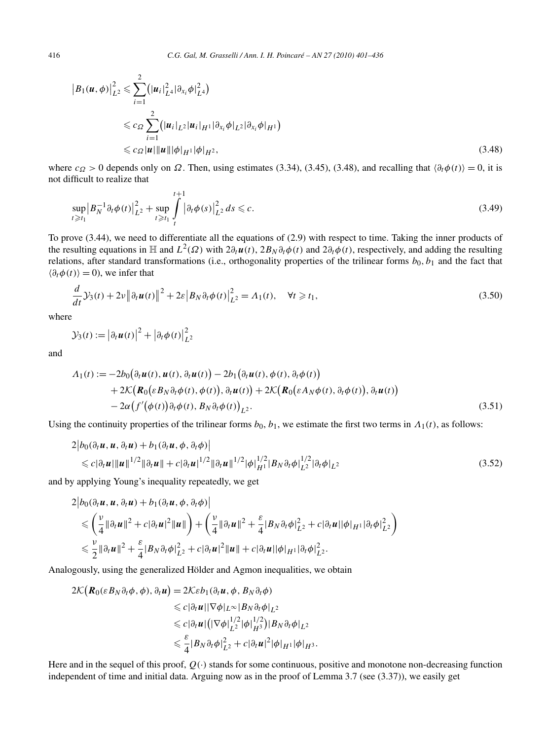$$
\begin{split} \left| B_{1}(\boldsymbol{u},\phi) \right|_{L^{2}}^{2} &\leq \sum_{i=1}^{2} \left( |\boldsymbol{u}_{i}|_{L^{4}}^{2} |\partial_{x_{i}} \phi|_{L^{4}}^{2} \right) \\ &\leqslant c_{\Omega} \sum_{i=1}^{2} \left( |\boldsymbol{u}_{i}|_{L^{2}} |\boldsymbol{u}_{i}|_{H^{1}} |\partial_{x_{i}} \phi|_{L^{2}} |\partial_{x_{i}} \phi|_{H^{1}} \right) \\ &\leqslant c_{\Omega} |\boldsymbol{u}| ||\boldsymbol{u}|| |\phi|_{H^{1}} |\phi|_{H^{2}}, \end{split} \tag{3.48}
$$

where  $c_{\Omega} > 0$  depends only on  $\Omega$ . Then, using estimates (3.34), (3.45), (3.48), and recalling that  $\langle \partial_t \phi(t) \rangle = 0$ , it is not difficult to realize that

$$
\sup_{t \ge t_1} |B_N^{-1} \partial_t \phi(t)|_{L^2}^2 + \sup_{t \ge t_1} \int_{t}^{t+1} |\partial_t \phi(s)|_{L^2}^2 ds \le c.
$$
\n(3.49)

To prove (3.44), we need to differentiate all the equations of (2.9) with respect to time. Taking the inner products of the resulting equations in H and  $L^2(\Omega)$  with  $2\partial_t\vec{u}(t)$ ,  $2B_N\partial_t\phi(t)$  and  $2\partial_t\phi(t)$ , respectively, and adding the resulting relations, after standard transformations (i.e., orthogonality properties of the trilinear forms  $b_0$ ,  $b_1$  and the fact that  $\langle \partial_t \phi(t) \rangle = 0$ , we infer that

$$
\frac{d}{dt}\mathcal{Y}_3(t) + 2\nu \left\| \partial_t \boldsymbol{u}(t) \right\|^2 + 2\varepsilon \left| B_N \partial_t \phi(t) \right|_{L^2}^2 = \Lambda_1(t), \quad \forall t \geq t_1,
$$
\n(3.50)

where

$$
\mathcal{Y}_3(t) := \left| \partial_t \boldsymbol{u}(t) \right|^2 + \left| \partial_t \phi(t) \right|^2_{L^2}
$$

and

$$
\Lambda_1(t) := -2b_0(\partial_t \boldsymbol{u}(t), \boldsymbol{u}(t), \partial_t \boldsymbol{u}(t)) - 2b_1(\partial_t \boldsymbol{u}(t), \phi(t), \partial_t \phi(t)) \n+ 2\mathcal{K}(\boldsymbol{R}_0(\varepsilon B_N \partial_t \phi(t), \phi(t)), \partial_t \boldsymbol{u}(t)) + 2\mathcal{K}(\boldsymbol{R}_0(\varepsilon A_N \phi(t), \partial_t \phi(t)), \partial_t \boldsymbol{u}(t)) \n- 2\alpha(f'(\phi(t))\partial_t \phi(t), B_N \partial_t \phi(t))_{L^2}.
$$
\n(3.51)

Using the continuity properties of the trilinear forms  $b_0$ ,  $b_1$ , we estimate the first two terms in  $\Lambda_1(t)$ , as follows:

$$
2|b_0(\partial_t \mathbf{u}, \mathbf{u}, \partial_t \mathbf{u}) + b_1(\partial_t \mathbf{u}, \phi, \partial_t \phi)|
$$
  
\$\leq c |\partial\_t \mathbf{u}| \|\mathbf{u}\|^{1/2} \|\partial\_t \mathbf{u}\| + c |\partial\_t \mathbf{u}|^{1/2} \|\partial\_t \mathbf{u}\|^{1/2} |\phi|\_{H^1}^{1/2} |B\_N \partial\_t \phi|\_{L^2}^{1/2} |\partial\_t \phi|\_{L^2}\$ (3.52)

and by applying Young's inequality repeatedly, we get

$$
2|b_0(\partial_t \boldsymbol{u}, \boldsymbol{u}, \partial_t \boldsymbol{u}) + b_1(\partial_t \boldsymbol{u}, \phi, \partial_t \phi)|
$$
  
\$\leqslant \left(\frac{v}{4} \|\partial\_t \boldsymbol{u}\|^2 + c |\partial\_t \boldsymbol{u}|^2 \|\boldsymbol{u}\| \right) + \left(\frac{v}{4} \|\partial\_t \boldsymbol{u}\|^2 + \frac{\varepsilon}{4} |B\_N \partial\_t \phi|\_{L^2}^2 + c |\partial\_t \boldsymbol{u}| |\phi|\_{H^1} |\partial\_t \phi|\_{L^2}^2 \right)\$  
\$\leqslant \frac{v}{2} \|\partial\_t \boldsymbol{u}\|^2 + \frac{\varepsilon}{4} |B\_N \partial\_t \phi|\_{L^2}^2 + c |\partial\_t \boldsymbol{u}|^2 \|\boldsymbol{u}\| + c |\partial\_t \boldsymbol{u}| |\phi|\_{H^1} |\partial\_t \phi|\_{L^2}^2.

Analogously, using the generalized Hölder and Agmon inequalities, we obtain

$$
2\mathcal{K}(\mathbf{R}_{0}(\varepsilon B_{N}\partial_{t}\phi,\phi),\partial_{t}\mathbf{u}) = 2\mathcal{K}\varepsilon b_{1}(\partial_{t}\mathbf{u},\phi,B_{N}\partial_{t}\phi)
$$
  
\n
$$
\leq c|\partial_{t}\mathbf{u}||\nabla\phi|_{L^{\infty}}|B_{N}\partial_{t}\phi|_{L^{2}}
$$
  
\n
$$
\leq c|\partial_{t}\mathbf{u}|(|\nabla\phi|_{L^{2}}^{1/2}|\phi|_{H^{3}}^{1/2})|B_{N}\partial_{t}\phi|_{L^{2}}
$$
  
\n
$$
\leq \frac{\varepsilon}{4}|B_{N}\partial_{t}\phi|_{L^{2}}^{2} + c|\partial_{t}\mathbf{u}|^{2}|\phi|_{H^{1}}|\phi|_{H^{3}}.
$$

Here and in the sequel of this proof,  $Q(\cdot)$  stands for some continuous, positive and monotone non-decreasing function independent of time and initial data. Arguing now as in the proof of Lemma 3.7 (see (3.37)), we easily get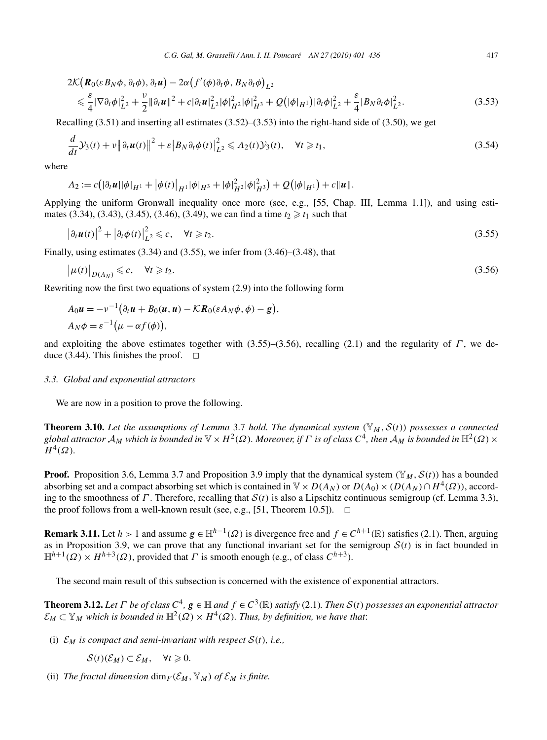$$
2\mathcal{K}(\mathbf{R}_{0}(\varepsilon B_{N}\phi,\partial_{t}\phi),\partial_{t}\mathbf{u}) - 2\alpha (f'(\phi)\partial_{t}\phi,B_{N}\partial_{t}\phi)_{L^{2}}\leq \frac{\varepsilon}{4}|\nabla\partial_{t}\phi|_{L^{2}}^{2} + \frac{\nu}{2}\|\partial_{t}\mathbf{u}\|^{2} + c|\partial_{t}\mathbf{u}|_{L^{2}}^{2}|\phi|_{H^{2}}^{2}|\phi|_{H^{3}}^{2} + \mathcal{Q}(|\phi|_{H^{1}})|\partial_{t}\phi|_{L^{2}}^{2} + \frac{\varepsilon}{4}|B_{N}\partial_{t}\phi|_{L^{2}}^{2}.
$$
\n(3.53)

Recalling (3.51) and inserting all estimates (3.52)–(3.53) into the right-hand side of (3.50), we get

$$
\frac{d}{dt}\mathcal{Y}_3(t) + v \left\|\partial_t \boldsymbol{u}(t)\right\|^2 + \varepsilon \left|B_N \partial_t \phi(t)\right|^2_{L^2} \leqslant \Lambda_2(t)\mathcal{Y}_3(t), \quad \forall t \geqslant t_1,
$$
\n(3.54)

where

$$
\Lambda_2 := c(|\partial_t \boldsymbol{u}||\phi|_{H^1} + |\phi(t)|_{H^1} |\phi|_{H^3} + |\phi|_{H^2}^2 |\phi|_{H^3}^2) + Q(|\phi|_{H^1}) + c \|\boldsymbol{u}\|.
$$

Applying the uniform Gronwall inequality once more (see, e.g., [55, Chap. III, Lemma 1.1]), and using estimates  $(3.34)$ ,  $(3.43)$ ,  $(3.45)$ ,  $(3.46)$ ,  $(3.49)$ , we can find a time  $t_2 \ge t_1$  such that

$$
\left|\partial_t \boldsymbol{u}(t)\right|^2 + \left|\partial_t \phi(t)\right|^2_{L^2} \leqslant c, \quad \forall t \geqslant t_2. \tag{3.55}
$$

Finally, using estimates (3.34) and (3.55), we infer from (3.46)–(3.48), that

$$
\left|\mu(t)\right|_{D(A_N)} \leqslant c, \quad \forall t \geqslant t_2. \tag{3.56}
$$

*,*

Rewriting now the first two equations of system (2.9) into the following form

$$
A_0 u = -v^{-1}(\partial_t u + B_0(u, u) - \mathcal{K}R_0(\varepsilon A_N \phi, \phi) - g)
$$
  
 
$$
A_N \phi = \varepsilon^{-1}(\mu - \alpha f(\phi)),
$$

and exploiting the above estimates together with (3.55)–(3.56), recalling (2.1) and the regularity of *Γ* , we deduce (3.44). This finishes the proof.  $\Box$ 

## *3.3. Global and exponential attractors*

We are now in a position to prove the following.

**Theorem 3.10.** *Let the assumptions of Lemma* 3.7 *hold. The dynamical system (*Y*M,*S*(t)) possesses a connected global attractor*  $A_M$  *which is bounded in*  $\mathbb{V} \times H^2(\Omega)$ *. Moreover, if*  $\Gamma$  *is of class*  $C^4$ *, then*  $A_M$  *is bounded in*  $\mathbb{H}^2(\Omega) \times$  $H^4(\Omega)$ *.* 

**Proof.** Proposition 3.6, Lemma 3.7 and Proposition 3.9 imply that the dynamical system  $(\mathbb{Y}_M, \mathcal{S}(t))$  has a bounded absorbing set and a compact absorbing set which is contained in  $\mathbb{V} \times D(A_N)$  or  $D(A_0) \times (D(A_N) \cap H^4(\Omega))$ , according to the smoothness of *Γ*. Therefore, recalling that  $S(t)$  is also a Lipschitz continuous semigroup (cf. Lemma 3.3), the proof follows from a well-known result (see, e.g., [51, Theorem 10.5]).  $\Box$ the proof follows from a well-known result (see, e.g.,  $[51,$  Theorem 10.5]).

**Remark 3.11.** Let  $h > 1$  and assume  $g \in \mathbb{H}^{h-1}(\Omega)$  is divergence free and  $f \in C^{h+1}(\mathbb{R})$  satisfies (2.1). Then, arguing as in Proposition 3.9, we can prove that any functional invariant set for the semigroup  $S(t)$  is in fact bounded in  $\mathbb{H}^{h+1}(\Omega) \times H^{h+3}(\Omega)$ , provided that *Γ* is smooth enough (e.g., of class  $C^{h+3}$ ).

The second main result of this subsection is concerned with the existence of exponential attractors.

**Theorem 3.12.** Let  $\Gamma$  be of class  $C^4$ ,  $g \in \mathbb{H}$  and  $f \in C^3(\mathbb{R})$  satisfy (2.1). Then  $S(t)$  possesses an exponential attractor  $\mathcal{E}_M \subset \mathbb{Y}_M$  *which is bounded in*  $\mathbb{H}^2(\Omega) \times H^4(\Omega)$ *. Thus, by definition, we have that:* 

(i)  $\mathcal{E}_M$  *is compact and semi-invariant with respect*  $\mathcal{S}(t)$ *, i.e.,* 

 $\mathcal{S}(t)(\mathcal{E}_M) \subset \mathcal{E}_M, \quad \forall t \geq 0.$ 

(ii) *The fractal dimension*  $\dim_F(\mathcal{E}_M, \mathbb{Y}_M)$  *of*  $\mathcal{E}_M$  *is finite.*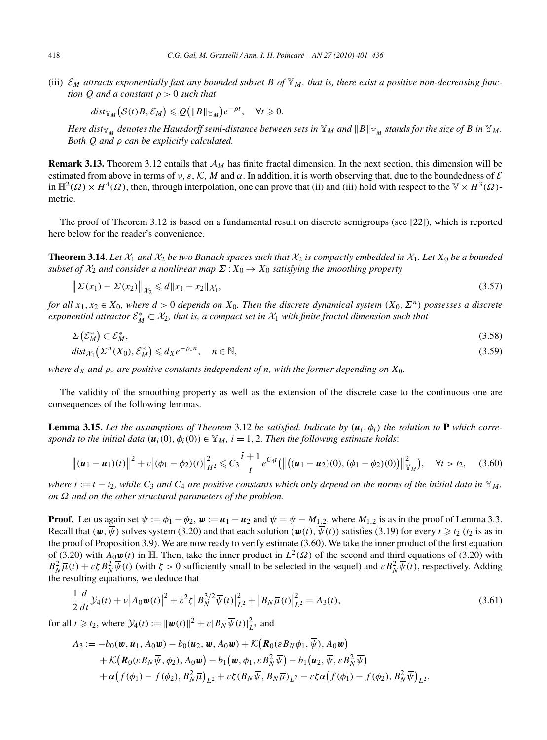(iii)  $\mathcal{E}_M$  attracts exponentially fast any bounded subset B of  $\mathbb{Y}_M$ , that is, there exist a positive non-decreasing func*tion Q and a constant ρ >* 0 *such that*

$$
dist_{\mathbb{Y}_M}\big(\mathcal{S}(t)B,\mathcal{E}_M\big)\leqslant \mathcal{Q}\big(\|B\|_{\mathbb{Y}_M}\big)e^{-\rho t},\quad \forall t\geqslant 0.
$$

*Here dist*<sub>Y*M*</sub> *denotes the Hausdorff semi-distance between sets in*  $\mathbb{Y}_M$  *and*  $\|B\|_{\mathbb{Y}_M}$  *stands for the size of B in*  $\mathbb{Y}_M$ *. Both Q and ρ can be explicitly calculated.*

**Remark 3.13.** Theorem 3.12 entails that  $A_M$  has finite fractal dimension. In the next section, this dimension will be estimated from above in terms of *ν*, *ε*, K, M and  $\alpha$ . In addition, it is worth observing that, due to the boundedness of E in  $\mathbb{H}^2(\Omega) \times H^4(\Omega)$ , then, through interpolation, one can prove that (ii) and (iii) hold with respect to the  $\mathbb{V} \times H^3(\Omega)$ metric.

The proof of Theorem 3.12 is based on a fundamental result on discrete semigroups (see [22]), which is reported here below for the reader's convenience.

**Theorem 3.14.** Let  $X_1$  and  $X_2$  be two Banach spaces such that  $X_2$  is compactly embedded in  $X_1$ . Let  $X_0$  be a bounded *subset of*  $\mathcal{X}_2$  *and consider a nonlinear map*  $\Sigma$  :  $X_0 \rightarrow X_0$  *satisfying the smoothing property* 

$$
\|\Sigma(x_1) - \Sigma(x_2)\|_{\mathcal{X}_2} \le d\|x_1 - x_2\|_{\mathcal{X}_1},\tag{3.57}
$$

*for all*  $x_1, x_2 \in X_0$ , where  $d > 0$  depends on  $X_0$ . Then the discrete dynamical system  $(X_0, \Sigma^n)$  possesses a discrete *exponential attractor*  $\mathcal{E}_M^* \subset \mathcal{X}_2$ , that is, a compact set in  $\mathcal{X}_1$  with finite fractal dimension such that

$$
\Sigma(\mathcal{E}_M^*) \subset \mathcal{E}_M^*,\tag{3.58}
$$

$$
dist_{\mathcal{X}_1}(\Sigma^n(X_0), \mathcal{E}_M^*) \leq d_X e^{-\rho_* n}, \quad n \in \mathbb{N}, \tag{3.59}
$$

*where*  $d_X$  *and*  $\rho_*$  *are positive constants independent of n, with the former depending on*  $X_0$ *.* 

The validity of the smoothing property as well as the extension of the discrete case to the continuous one are consequences of the following lemmas.

**Lemma 3.15.** Let the assumptions of Theorem 3.12 be satisfied. Indicate by  $(u_i, \phi_i)$  the solution to **P** which corre*sponds to the initial data*  $(\mathbf{u}_i(0), \phi_i(0)) \in \mathbb{Y}_M$ ,  $i = 1, 2$ . Then the following estimate holds:

$$
\left\| (u_1 - u_1)(t) \right\|^2 + \varepsilon \left| (\phi_1 - \phi_2)(t) \right\|_{H^2}^2 \leqslant C_3 \frac{\bar{t} + 1}{\bar{t}} e^{C_4 t} \left( \left\| \left( (u_1 - u_2)(0), (\phi_1 - \phi_2)(0) \right) \right\|_{\mathbb{Y}_M}^2 \right), \quad \forall t > t_2, \quad (3.60)
$$

*where*  $t := t - t_2$ , while  $C_3$  and  $C_4$  are positive constants which only depend on the norms of the initial data in  $\mathbb{Y}_M$ , *on Ω and on the other structural parameters of the problem.*

**Proof.** Let us again set  $\psi := \phi_1 - \phi_2$ ,  $\mathbf{w} := \mathbf{u}_1 - \mathbf{u}_2$  and  $\overline{\psi} = \psi - M_{1,2}$ , where  $M_{1,2}$  is as in the proof of Lemma 3.3. Recall that  $(w, \psi)$  solves system (3.20) and that each solution  $(w(t), \psi(t))$  satisfies (3.19) for every  $t \ge t_2$  ( $t_2$  is as in the proof of Proposition 3.9). We are now ready to verify estimate (3.60). We take the inner product of the first equation of (3.20) with  $A_0w(t)$  in H. Then, take the inner product in  $L^2(\Omega)$  of the second and third equations of (3.20) with  $B_N^2 \bar{\mu}(t) + \varepsilon \zeta B_N^2 \bar{\psi}(t)$  (with  $\zeta > 0$  sufficiently small to be selected in the sequel) and  $\varepsilon B_N^2 \bar{\psi}(t)$ , respectively. Adding the resulting equations, we deduce that

$$
\frac{1}{2}\frac{d}{dt}\mathcal{Y}_4(t) + \nu \left| A_0 \boldsymbol{w}(t) \right|^2 + \varepsilon^2 \zeta \left| B_N^{3/2} \overline{\psi}(t) \right|^2_{L^2} + \left| B_N \overline{\mu}(t) \right|^2_{L^2} = A_3(t),\tag{3.61}
$$

for all  $t \ge t_2$ , where  $\mathcal{Y}_4(t) := ||\boldsymbol{w}(t)||^2 + \varepsilon |B_N \overline{\psi}(t)|_{L^2}^2$  and

$$
A_3 := -b_0(\boldsymbol{w}, \boldsymbol{u}_1, A_0 \boldsymbol{w}) - b_0(\boldsymbol{u}_2, \boldsymbol{w}, A_0 \boldsymbol{w}) + \mathcal{K}(\boldsymbol{R}_0(\varepsilon B_N \phi_1, \overline{\psi}), A_0 \boldsymbol{w}) + \mathcal{K}(\boldsymbol{R}_0(\varepsilon B_N \overline{\psi}, \phi_2), A_0 \boldsymbol{w}) - b_1(\boldsymbol{w}, \phi_1, \varepsilon B_N^2 \overline{\psi}) - b_1(\boldsymbol{u}_2, \overline{\psi}, \varepsilon B_N^2 \overline{\psi}) + \alpha (f(\phi_1) - f(\phi_2), B_N^2 \overline{\mu})_{L^2} + \varepsilon \zeta (B_N \overline{\psi}, B_N \overline{\mu})_{L^2} - \varepsilon \zeta \alpha (f(\phi_1) - f(\phi_2), B_N^2 \overline{\psi})_{L^2}.
$$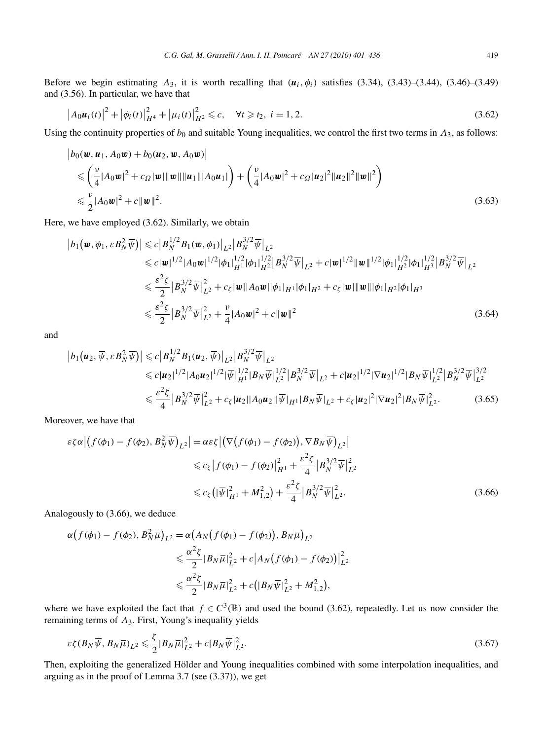Before we begin estimating  $\Lambda_3$ , it is worth recalling that  $(\mathbf{u}_i, \phi_i)$  satisfies (3.34), (3.43)–(3.44), (3.46)–(3.49) and (3.56). In particular, we have that

$$
\left| A_0 u_i(t) \right|^2 + \left| \phi_i(t) \right|^2_{H^4} + \left| \mu_i(t) \right|^2_{H^2} \leq c, \quad \forall t \geq t_2, \ i = 1, 2. \tag{3.62}
$$

Using the continuity properties of  $b_0$  and suitable Young inequalities, we control the first two terms in  $\Lambda_3$ , as follows:

$$
\begin{split} \left| b_0(\boldsymbol{w}, \boldsymbol{u}_1, A_0 \boldsymbol{w}) + b_0(\boldsymbol{u}_2, \boldsymbol{w}, A_0 \boldsymbol{w}) \right| \\ &\leqslant \left( \frac{\nu}{4} |A_0 \boldsymbol{w}|^2 + c_{\Omega} |\boldsymbol{w}| ||\boldsymbol{w}|| ||\boldsymbol{u}_1|| |A_0 \boldsymbol{u}_1| \right) + \left( \frac{\nu}{4} |A_0 \boldsymbol{w}|^2 + c_{\Omega} |\boldsymbol{u}_2|^2 ||\boldsymbol{u}_2||^2 ||\boldsymbol{w}||^2 \right) \\ &\leqslant \frac{\nu}{2} |A_0 \boldsymbol{w}|^2 + c ||\boldsymbol{w}||^2. \end{split} \tag{3.63}
$$

Here, we have employed (3.62). Similarly, we obtain

$$
\begin{split} \left| b_{1}(\boldsymbol{w},\phi_{1},\varepsilon B_{N}^{2}\overline{\psi}) \right| &\leq c\left| B_{N}^{1/2}B_{1}(\boldsymbol{w},\phi_{1}) \right|_{L^{2}}\left| B_{N}^{3/2}\overline{\psi} \right|_{L^{2}} \\ &\leq c|\boldsymbol{w}|^{1/2}|A_{0}\boldsymbol{w}|^{1/2}|\phi_{1}|_{H^{1}}^{1/2}|\phi_{1}|_{H^{2}}^{1/2}\left| B_{N}^{3/2}\overline{\psi} \right|_{L^{2}} + c|\boldsymbol{w}|^{1/2}|\boldsymbol{w}\|^{1/2}|\phi_{1}|_{H^{2}}^{1/2}|\phi_{1}|_{H^{3}}^{1/2}\left| B_{N}^{3/2}\overline{\psi} \right|_{L^{2}} \\ &\leq \frac{\varepsilon^{2}\xi}{2}\left| B_{N}^{3/2}\overline{\psi} \right|_{L^{2}}^{2} + c_{\xi}|\boldsymbol{w}||A_{0}\boldsymbol{w}||\phi_{1}|_{H^{1}}|\phi_{1}|_{H^{2}} + c_{\xi}|\boldsymbol{w}|\|\boldsymbol{w}\||\phi_{1}|_{H^{2}}|\phi_{1}|_{H^{3}} \\ &\leq \frac{\varepsilon^{2}\xi}{2}\left| B_{N}^{3/2}\overline{\psi} \right|_{L^{2}}^{2} + \frac{\nu}{4}|A_{0}\boldsymbol{w}|^{2} + c\|\boldsymbol{w}\|^{2} \end{split} \tag{3.64}
$$

and

$$
\begin{split} \left| b_{1} \left( \boldsymbol{u}_{2}, \overline{\psi}, \varepsilon B_{N}^{2} \overline{\psi} \right) \right| &\leq c \left| B_{N}^{1/2} B_{1} \left( \boldsymbol{u}_{2}, \overline{\psi} \right) \right|_{L^{2}} \left| B_{N}^{3/2} \overline{\psi} \right|_{L^{2}} \\ &\leq c \left| \boldsymbol{u}_{2} \right|^{1/2} \left| A_{0} \boldsymbol{u}_{2} \right|^{1/2} \left| \overline{\psi} \right|_{H^{1}}^{1/2} \left| B_{N} \overline{\psi} \right|_{L^{2}}^{1/2} \left| B_{N}^{3/2} \overline{\psi} \right|_{L^{2}} + c \left| \boldsymbol{u}_{2} \right|^{1/2} \left| \nabla \boldsymbol{u}_{2} \right|^{1/2} \left| B_{N} \overline{\psi} \right|_{L^{2}}^{1/2} \left| B_{N}^{3/2} \overline{\psi} \right|_{L^{2}}^{3/2} \\ &\leq \frac{\varepsilon^{2} \zeta}{4} \left| B_{N}^{3/2} \overline{\psi} \right|_{L^{2}}^{2} + c_{\zeta} \left| \boldsymbol{u}_{2} \right| \left| A_{0} \boldsymbol{u}_{2} \right| \left| \overline{\psi} \right|_{H^{1}} \left| B_{N} \overline{\psi} \right|_{L^{2}} + c_{\zeta} \left| \boldsymbol{u}_{2} \right|^{2} \left| \nabla \boldsymbol{u}_{2} \right|^{2} \left| B_{N} \overline{\psi} \right|_{L^{2}}^{2}. \end{split} \tag{3.65}
$$

Moreover, we have that

$$
\varepsilon \zeta \alpha | \left( f(\phi_1) - f(\phi_2), B_N^2 \overline{\psi} \right)_{L^2} | = \alpha \varepsilon \zeta | \left( \nabla \left( f(\phi_1) - f(\phi_2) \right), \nabla B_N \overline{\psi} \right)_{L^2} |
$$
  
\n
$$
\leq c_{\zeta} | f(\phi_1) - f(\phi_2) |_{H^1}^2 + \frac{\varepsilon^2 \zeta}{4} |B_N^{3/2} \overline{\psi}|_{L^2}^2
$$
  
\n
$$
\leq c_{\zeta} \left( |\overline{\psi}|_{H^1}^2 + M_{1,2}^2 \right) + \frac{\varepsilon^2 \zeta}{4} |B_N^{3/2} \overline{\psi}|_{L^2}^2.
$$
 (3.66)

Analogously to (3.66), we deduce

$$
\alpha \big(f(\phi_1) - f(\phi_2), B_N^2 \overline{\mu}\big)_{L^2} = \alpha \big(A_N \big(f(\phi_1) - f(\phi_2)\big), B_N \overline{\mu}\big)_{L^2}
$$
  

$$
\leq \frac{\alpha^2 \zeta}{2} |B_N \overline{\mu}|_{L^2}^2 + c \big| A_N \big(f(\phi_1) - f(\phi_2)\big)\big|_{L^2}^2
$$
  

$$
\leq \frac{\alpha^2 \zeta}{2} |B_N \overline{\mu}|_{L^2}^2 + c \big(|B_N \overline{\psi}|_{L^2}^2 + M_{1,2}^2\big),
$$

where we have exploited the fact that  $f \in C^3(\mathbb{R})$  and used the bound (3.62), repeatedly. Let us now consider the remaining terms of *Λ*3. First, Young's inequality yields

$$
\varepsilon \zeta (B_N \overline{\psi}, B_N \overline{\mu})_{L^2} \leqslant \frac{\zeta}{2} |B_N \overline{\mu}|_{L^2}^2 + c |B_N \overline{\psi}|_{L^2}^2.
$$
\n(3.67)

Then, exploiting the generalized Hölder and Young inequalities combined with some interpolation inequalities, and arguing as in the proof of Lemma 3.7 (see (3.37)), we get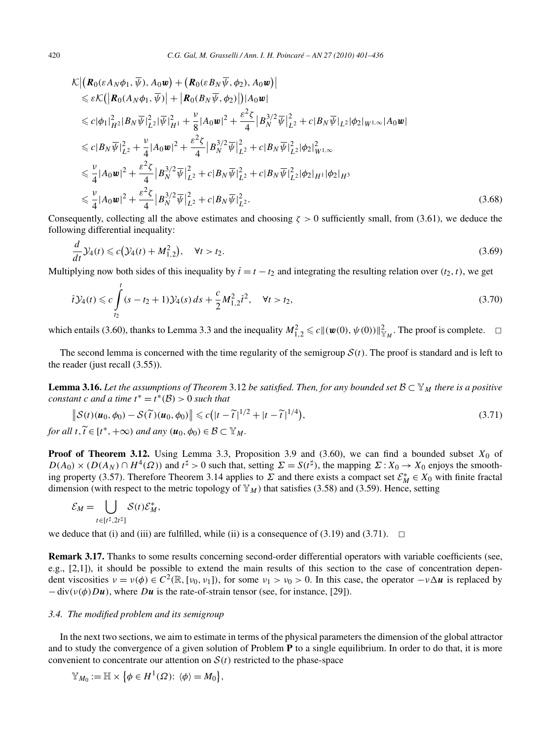$$
\mathcal{K} \left| \left( \mathbf{R}_{0}(\varepsilon A_{N} \phi_{1}, \overline{\psi}), A_{0} \mathbf{w} \right) + \left( \mathbf{R}_{0}(\varepsilon B_{N} \overline{\psi}, \phi_{2}), A_{0} \mathbf{w} \right) \right|
$$
\n
$$
\leq \varepsilon \mathcal{K} \left( \left| \mathbf{R}_{0}(\mathbf{A}_{N} \phi_{1}, \overline{\psi}) \right| + \left| \mathbf{R}_{0}(\mathbf{B}_{N} \overline{\psi}, \phi_{2}) \right| \right) |A_{0} \mathbf{w}|
$$
\n
$$
\leq c |\phi_{1}|_{H^{2}}^{2} |B_{N} \overline{\psi}|_{L^{2}}^{2} |\overline{\psi}|_{H^{1}}^{2} + \frac{\nu}{8} |A_{0} \mathbf{w}|^{2} + \frac{\varepsilon^{2} \zeta}{4} |B_{N}^{3/2} \overline{\psi}|_{L^{2}}^{2} + c |B_{N} \overline{\psi}|_{L^{2}} |\phi_{2}|_{W^{1,\infty}} |A_{0} \mathbf{w}|
$$
\n
$$
\leq c |B_{N} \overline{\psi}|_{L^{2}}^{2} + \frac{\nu}{4} |A_{0} \mathbf{w}|^{2} + \frac{\varepsilon^{2} \zeta}{4} |B_{N}^{3/2} \overline{\psi}|_{L^{2}}^{2} + c |B_{N} \overline{\psi}|_{L^{2}}^{2} |\phi_{2}|_{W^{1,\infty}}^{2}
$$
\n
$$
\leq \frac{\nu}{4} |A_{0} \mathbf{w}|^{2} + \frac{\varepsilon^{2} \zeta}{4} |B_{N}^{3/2} \overline{\psi}|_{L^{2}}^{2} + c |B_{N} \overline{\psi}|_{L^{2}}^{2} + c |B_{N} \overline{\psi}|_{L^{2}}^{2} |\phi_{2}|_{H^{1}} |\phi_{2}|_{H^{3}}
$$
\n
$$
\leq \frac{\nu}{4} |A_{0} \mathbf{w}|^{2} + \frac{\varepsilon^{2} \zeta}{4} |B_{N}^{3/2} \overline{\psi}|_{L^{2}}^{2} + c |B_{N} \overline{\psi}|_{L^{2}}^{2}.
$$
\n(3.68)

Consequently, collecting all the above estimates and choosing *ζ >* 0 sufficiently small, from (3.61), we deduce the following differential inequality:

$$
\frac{d}{dt}\mathcal{Y}_4(t) \leq c(\mathcal{Y}_4(t) + M_{1,2}^2), \quad \forall t > t_2.
$$
\n(3.69)

Multiplying now both sides of this inequality by  $\overline{t} = t - t_2$  and integrating the resulting relation over  $(t_2, t)$ , we get

$$
\bar{t}y_4(t) \leqslant c \int_{t_2}^t (s - t_2 + 1) y_4(s) \, ds + \frac{c}{2} M_{1,2}^2 \bar{t}^2, \quad \forall t > t_2,\tag{3.70}
$$

which entails (3.60), thanks to Lemma 3.3 and the inequality  $M_{1,2}^2 \le c \|(\boldsymbol{w}(0), \psi(0))\|_{\mathbb{Y}_M}^2$ . The proof is complete.  $\Box$ 

The second lemma is concerned with the time regularity of the semigroup  $S(t)$ . The proof is standard and is left to the reader (just recall (3.55)).

**Lemma 3.16.** Let the assumptions of Theorem 3.12 be satisfied. Then, for any bounded set  $B \subset Y_M$  there is a positive *constant c and a time*  $t^* = t^*(\mathcal{B}) > 0$  *such that* 

$$
\|\mathcal{S}(t)(\boldsymbol{u}_0,\phi_0) - \mathcal{S}(\tilde{t})(\boldsymbol{u}_0,\phi_0)\| \leq c\big(|t-\tilde{t}|^{1/2} + |t-\tilde{t}|^{1/4}\big),\tag{3.71}
$$

*for all*  $t, t \in [t^*, +\infty)$  *and any*  $(u_0, \phi_0) \in \mathcal{B} \subset \mathbb{Y}_M$ .

**Proof of Theorem 3.12.** Using Lemma 3.3, Proposition 3.9 and (3.60), we can find a bounded subset  $X_0$  of  $D(A_0) \times (D(A_N) \cap H^4(\Omega))$  and  $t^{\sharp} > 0$  such that, setting  $\Sigma = S(t^{\sharp})$ , the mapping  $\Sigma : X_0 \to X_0$  enjoys the smoothing property (3.57). Therefore Theorem 3.14 applies to  $\Sigma$  and there exists a compact set  $\mathcal{E}_M^* \in X_0$  with finite fractal dimension (with respect to the metric topology of  $\mathbb{Y}_M$ ) that satisfies (3.58) and (3.59). Hence, setting

$$
\mathcal{E}_M = \bigcup_{t \in [t^\sharp, 2t^\sharp]} \mathcal{S}(t) \mathcal{E}_M^*,
$$

we deduce that (i) and (iii) are fulfilled, while (ii) is a consequence of  $(3.19)$  and  $(3.71)$ .  $\Box$ 

**Remark 3.17.** Thanks to some results concerning second-order differential operators with variable coefficients (see, e.g., [2,1]), it should be possible to extend the main results of this section to the case of concentration dependent viscosities *ν* = *ν(φ)* ∈ *C*2*(*R*,*[*ν*0*,ν*1]*)*, for some *ν*<sup>1</sup> *> ν*<sup>0</sup> *>* 0. In this case, the operator −*νu* is replaced by  $-div(v(\phi)Du)$ , where *Du* is the rate-of-strain tensor (see, for instance, [29]).

#### *3.4. The modified problem and its semigroup*

In the next two sections, we aim to estimate in terms of the physical parameters the dimension of the global attractor and to study the convergence of a given solution of Problem **P** to a single equilibrium. In order to do that, it is more convenient to concentrate our attention on  $S(t)$  restricted to the phase-space

$$
\mathbb{Y}_{M_0}:=\mathbb{H}\times \big\{\phi\in H^1(\Omega)\colon\left\langle \phi\right\rangle=M_0\big\},\
$$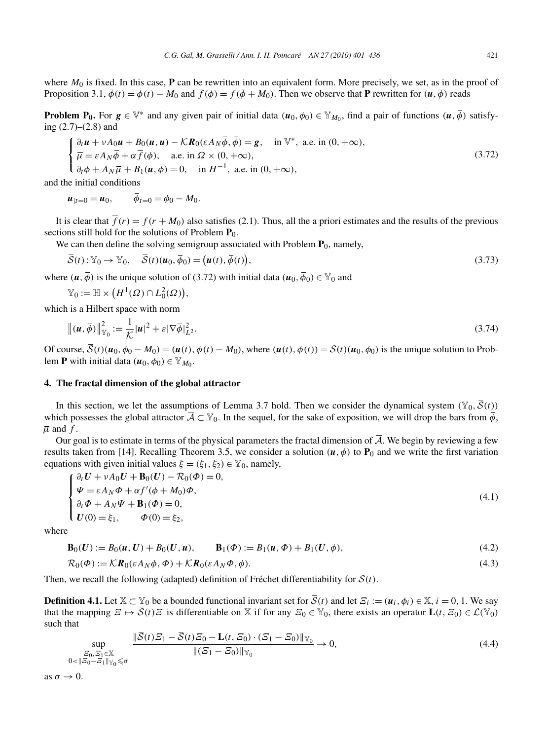where  $M_0$  is fixed. In this case,  $P$  can be rewritten into an equivalent form. More precisely, we set, as in the proof of Proposition 3.1,  $\overline{\phi}(t) = \phi(t) - M_0$  and  $\overline{f}(\phi) = f(\overline{\phi} + M_0)$ . Then we observe that **P** rewritten for  $(u, \overline{\phi})$  reads

**Problem P<sub>0</sub>.** For  $g \in \mathbb{V}^*$  and any given pair of initial data  $(u_0, \phi_0) \in \mathbb{Y}_{M_0}$ , find a pair of functions  $(u, \bar{\phi})$  satisfying (2.7)–(2.8) and

$$
\begin{cases}\n\frac{\partial_t \mathbf{u} + vA_0 \mathbf{u} + B_0(\mathbf{u}, \mathbf{u}) - \mathcal{K} \mathbf{R}_0(\varepsilon A_N \overline{\phi}, \overline{\phi}) = \mathbf{g}, & \text{in } \mathbb{V}^*, \text{ a.e. in } (0, +\infty), \\
\overline{\mu} = \varepsilon A_N \overline{\phi} + \alpha \overline{f}(\phi), & \text{a.e. in } \Omega \times (0, +\infty), \\
\frac{\partial_t \phi + A_N \overline{\mu} + B_1(\mathbf{u}, \overline{\phi}) = 0, & \text{in } H^{-1}, \text{ a.e. in } (0, +\infty),\n\end{cases}
$$
\n(3.72)

and the initial conditions

 $u_{1t=0} = u_0, \qquad \bar{\phi}_{t=0} = \phi_0 - M_0.$ 

It is clear that  $\overline{f}(r) = f(r + M_0)$  also satisfies (2.1). Thus, all the a priori estimates and the results of the previous sections still hold for the solutions of Problem  $\mathbf{P}_0$ .

We can then define the solving semigroup associated with Problem  $P_0$ , namely,

$$
\overline{S}(t): \mathbb{Y}_0 \to \mathbb{Y}_0, \quad \overline{S}(t)(\boldsymbol{u}_0, \overline{\phi}_0) = (\boldsymbol{u}(t), \overline{\phi}(t)), \tag{3.73}
$$

where  $(\mathbf{u}, \overline{\phi})$  is the unique solution of (3.72) with initial data  $(\mathbf{u}_0, \overline{\phi}_0) \in \mathbb{Y}_0$  and

$$
\mathbb{Y}_0 := \mathbb{H} \times \big( H^1(\Omega) \cap L_0^2(\Omega) \big),
$$

which is a Hilbert space with norm

$$
\left\| \left( \mathbf{u}, \overline{\phi} \right) \right\|_{\mathbb{Y}_0}^2 := \frac{1}{\mathcal{K}} |\mathbf{u}|^2 + \varepsilon |\nabla \overline{\phi}|_{L^2}^2.
$$
 (3.74)

Of course,  $\overline{S}(t)(u_0, \phi_0 - M_0) = (u(t), \phi(t) - M_0)$ , where  $(u(t), \phi(t)) = S(t)(u_0, \phi_0)$  is the unique solution to Problem **P** with initial data  $(\mathbf{u}_0, \phi_0) \in \mathbb{Y}_{M_0}$ .

## **4. The fractal dimension of the global attractor**

In this section, we let the assumptions of Lemma 3.7 hold. Then we consider the dynamical system  $(\mathbb{Y}_0, \overline{S}(t))$ which possesses the global attractor  $\overline{A} \subset \mathbb{Y}_0$ . In the sequel, for the sake of exposition, we will drop the bars from  $\overline{\phi}$ ,  $\overline{\mu}$  and  $f$ .

Our goal is to estimate in terms of the physical parameters the fractal dimension of  $\overline{A}$ . We begin by reviewing a few results taken from [14]. Recalling Theorem 3.5, we consider a solution  $(u, \phi)$  to  $P_0$  and we write the first variation equations with given initial values  $\xi = (\xi_1, \xi_2) \in \mathbb{Y}_0$ , namely,

$$
\begin{cases}\n\partial_t \mathbf{U} + vA_0 \mathbf{U} + \mathbf{B}_0(\mathbf{U}) - \mathcal{R}_0(\Phi) = 0, \\
\Psi = \varepsilon A_N \Phi + \alpha f'(\phi + M_0) \Phi, \\
\partial_t \Phi + A_N \Psi + \mathbf{B}_1(\Phi) = 0, \\
\mathbf{U}(0) = \xi_1, \qquad \Phi(0) = \xi_2,\n\end{cases}
$$
\n(4.1)

where

$$
\mathbf{B}_0(U) := B_0(u, U) + B_0(U, u), \qquad \mathbf{B}_1(\Phi) := B_1(u, \Phi) + B_1(U, \phi), \tag{4.2}
$$

$$
\mathcal{R}_0(\Phi) := \mathcal{K} \mathbf{R}_0(\varepsilon A_N \phi, \Phi) + \mathcal{K} \mathbf{R}_0(\varepsilon A_N \Phi, \phi).
$$
\n(4.3)

Then, we recall the following (adapted) definition of Fréchet differentiability for  $\overline{S}(t)$ .

**Definition 4.1.** Let  $\mathbb{X} \subset \mathbb{Y}_0$  be a bounded functional invariant set for  $\overline{S}(t)$  and let  $\overline{S}_i := (\mathbf{u}_i, \phi_i) \in \mathbb{X}, i = 0, 1$ . We say that the mapping  $\mathcal{Z} \mapsto \overline{\mathcal{S}}(t)\mathcal{Z}$  is differentiable on X if for any  $\mathcal{Z}_0 \in \mathbb{Y}_0$ , there exists an operator  $\mathbf{L}(t, \mathcal{Z}_0) \in \mathcal{L}(\mathbb{Y}_0)$ such that

$$
\sup_{\substack{\mathcal{Z}_0, \mathcal{Z}_1 \in \mathbb{X} \\ 0 < \|\mathcal{Z}_0 - \mathcal{Z}_1\|_{\mathbb{Y}_0} \leq \sigma}} \frac{\|\overline{\mathcal{S}}(t)\mathcal{Z}_1 - \overline{\mathcal{S}}(t)\mathcal{Z}_0 - \mathbf{L}(t, \mathcal{Z}_0) \cdot (\mathcal{Z}_1 - \mathcal{Z}_0)\|_{\mathbb{Y}_0}}{\|(\mathcal{Z}_1 - \mathcal{Z}_0)\|_{\mathbb{Y}_0}} \to 0,
$$
\n
$$
(4.4)
$$

as  $\sigma \rightarrow 0$ .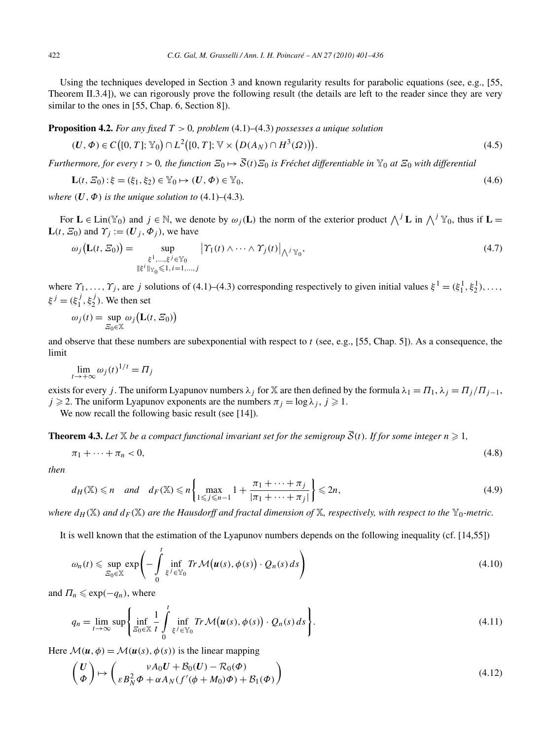Using the techniques developed in Section 3 and known regularity results for parabolic equations (see, e.g., [55, Theorem II.3.4]), we can rigorously prove the following result (the details are left to the reader since they are very similar to the ones in [55, Chap. 6, Section 8]).

**Proposition 4.2.** *For any fixed T >* 0*, problem* (4.1)–(4.3) *possesses a unique solution*

$$
(U, \Phi) \in C([0, T]; \mathbb{Y}_0) \cap L^2([0, T]; \mathbb{V} \times (D(A_N) \cap H^3(\Omega))).
$$
\n(4.5)

*Furthermore, for every*  $t > 0$ , the function  $E_0 \mapsto \overline{S}(t)E_0$  is Fréchet differentiable in  $\mathbb{Y}_0$  at  $E_0$  with differential

$$
\mathbf{L}(t, \mathcal{E}_0): \xi = (\xi_1, \xi_2) \in \mathbb{Y}_0 \mapsto (\mathbf{U}, \Phi) \in \mathbb{Y}_0,
$$
\n(4.6)

*where*  $(U, \Phi)$  *is the unique solution to*  $(4.1)$ – $(4.3)$ *.* 

For  $\mathbf{L} \in \text{Lin}(\mathbb{Y}_0)$  and  $j \in \mathbb{N}$ , we denote by  $\omega_j(\mathbf{L})$  the norm of the exterior product  $\bigwedge^j \mathbf{L}$  in  $\bigwedge^j \mathbb{Y}_0$ , thus if  $\mathbf{L} =$  $L(t, \mathcal{E}_0)$  and  $\Upsilon_i := (\mathbf{U}_i, \Phi_i)$ , we have

$$
\omega_j\big(\mathbf{L}(t,\varXi_0)\big) = \sup_{\substack{\xi^1,\ldots,\xi^j\in\mathbb{Y}_0\\ \|\xi^i\|_{\mathbb{Y}_0}\leqslant 1,\,i=1,\ldots,j}} \left|\varUpsilon_1(t)\wedge\cdots\wedge\varUpsilon_j(t)\right|_{\bigwedge^j\mathbb{Y}_0},\tag{4.7}
$$

where  $\gamma_1, \ldots, \gamma_j$ , are *j* solutions of (4.1)–(4.3) corresponding respectively to given initial values  $\xi^1 = (\xi_1^1, \xi_2^1), \ldots,$  $\xi^{j} = (\xi_1^{j}, \xi_2^{j})$ . We then set

$$
\omega_j(t) = \sup_{\mathcal{Z}_0 \in \mathbb{X}} \omega_j \big( \mathbf{L}(t, \mathcal{Z}_0) \big)
$$

and observe that these numbers are subexponential with respect to *t* (see, e.g., [55, Chap. 5]). As a consequence, the limit

$$
\lim_{t \to +\infty} \omega_j(t)^{1/t} = \Pi_j
$$

exists for every *j*. The uniform Lyapunov numbers  $\lambda_j$  for X are then defined by the formula  $\lambda_1 = \Pi_1$ ,  $\lambda_j = \Pi_j/\Pi_{j-1}$ ,  $j \ge 2$ . The uniform Lyapunov exponents are the numbers  $\pi_j = \log \lambda_j$ ,  $j \ge 1$ .

We now recall the following basic result (see [14]).

**Theorem 4.3.** Let  $\mathbb{X}$  be a compact functional invariant set for the semigroup  $\overline{S}(t)$ . If for some integer  $n \geq 1$ ,

$$
\pi_1 + \dots + \pi_n < 0,\tag{4.8}
$$

*then*

$$
d_H(\mathbb{X}) \leqslant n \quad \text{and} \quad d_F(\mathbb{X}) \leqslant n \left\{ \max_{1 \leqslant j \leqslant n-1} 1 + \frac{\pi_1 + \dots + \pi_j}{|\pi_1 + \dots + \pi_j|} \right\} \leqslant 2n, \tag{4.9}
$$

*where*  $d_H(\mathbb{X})$  *and*  $d_F(\mathbb{X})$  *are the Hausdorff and fractal dimension of*  $\mathbb{X}$ *, respectively, with respect to the*  $\mathbb{Y}_0$ *-metric.* 

It is well known that the estimation of the Lyapunov numbers depends on the following inequality (cf. [14,55])

$$
\omega_n(t) \leq \sup_{S_0 \in \mathbb{X}} \exp\left(-\int\limits_0^t \inf_{\xi^j \in \mathbb{Y}_0} \text{Tr}\,\mathcal{M}\big(\boldsymbol{u}(s), \phi(s)\big) \cdot Q_n(s) \, ds\right) \tag{4.10}
$$

and  $\Pi_n \leqslant \exp(-q_n)$ , where

$$
q_n = \lim_{t \to \infty} \sup \left\{ \inf_{\mathcal{Z}_0 \in \mathbb{X}} \frac{1}{t} \int_{0}^{t} \inf_{\xi^j \in \mathbb{Y}_0} Tr \mathcal{M}(\boldsymbol{u}(s), \phi(s)) \cdot Q_n(s) ds \right\}.
$$
 (4.11)

Here  $\mathcal{M}(\boldsymbol{u}, \phi) = \mathcal{M}(\boldsymbol{u}(s), \phi(s))$  is the linear mapping

$$
\begin{pmatrix}\nU \\
\phi\n\end{pmatrix}\n\mapsto\n\begin{pmatrix}\n\nu A_0 U + B_0 (U) - \mathcal{R}_0 (\phi) \\
\varepsilon B_N^2 \phi + \alpha A_N (f'(\phi + M_0) \phi) + \mathcal{B}_1 (\phi)\n\end{pmatrix}
$$
\n(4.12)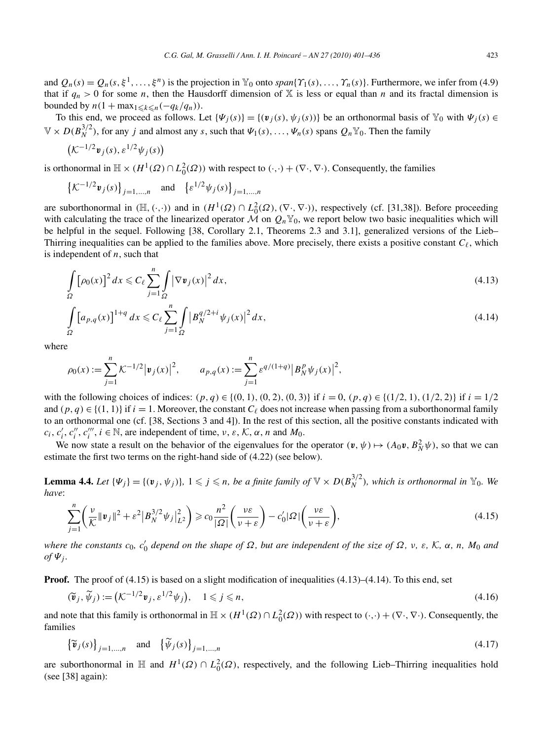and  $Q_n(s) = Q_n(s, \xi^1, \ldots, \xi^n)$  is the projection in  $\mathbb{Y}_0$  onto  $span\{Y_1(s), \ldots, Y_n(s)\}\)$ . Furthermore, we infer from (4.9) that if  $q_n > 0$  for some *n*, then the Hausdorff dimension of X is less or equal than *n* and its fractal dimension is bounded by  $n(1 + \max_{1 \leq k \leq n}(-q_k/q_n)).$ 

To this end, we proceed as follows. Let  $\{\Psi_j(s)\} = \{(\mathbf{v}_j(s), \psi_j(s))\}$  be an orthonormal basis of  $\mathbb{Y}_0$  with  $\Psi_j(s) \in$  $\mathbb{V} \times D(B_N^{3/2})$ , for any *j* and almost any *s*, such that  $\Psi_1(s), \ldots, \Psi_n(s)$  spans  $Q_n \mathbb{Y}_0$ . Then the family

$$
\left(\mathcal{K}^{-1/2}\mathbf{v}_j(s),\varepsilon^{1/2}\psi_j(s)\right)
$$

is orthonormal in  $\mathbb{H} \times (H^1(\Omega) \cap L_0^2(\Omega))$  with respect to  $(\cdot, \cdot) + (\nabla \cdot, \nabla \cdot)$ . Consequently, the families

$$
\left\{ \mathcal{K}^{-1/2} \mathbf{v}_j(s) \right\}_{j=1,\dots,n} \quad \text{and} \quad \left\{ \varepsilon^{1/2} \psi_j(s) \right\}_{j=1,\dots,n}
$$

are suborthonormal in  $(\mathbb{H}, (\cdot, \cdot))$  and in  $(H^1(\Omega) \cap L_0^2(\Omega), (\nabla \cdot, \nabla \cdot))$ , respectively (cf. [31,38]). Before proceeding with calculating the trace of the linearized operator  $\mathcal M$  on  $Q_n Y_0$ , we report below two basic inequalities which will be helpful in the sequel. Following [38, Corollary 2.1, Theorems 2.3 and 3.1], generalized versions of the Lieb– Thirring inequalities can be applied to the families above. More precisely, there exists a positive constant  $C_\ell$ , which is independent of *n*, such that

$$
\int_{\Omega} \left[\rho_0(x)\right]^2 dx \leqslant C_{\ell} \sum_{j=1}^n \int_{\Omega} \left|\nabla \mathbf{v}_j(x)\right|^2 dx,
$$
\n(4.13)

$$
\int_{\Omega} \left[ a_{p,q}(x) \right]^{1+q} dx \leqslant C_{\ell} \sum_{j=1}^{n} \int_{\Omega} \left| B_{N}^{q/2+i} \psi_{j}(x) \right|^{2} dx, \tag{4.14}
$$

where

$$
\rho_0(x) := \sum_{j=1}^n \mathcal{K}^{-1/2} |\mathbf{v}_j(x)|^2, \qquad a_{p,q}(x) := \sum_{j=1}^n \varepsilon^{q/(1+q)} |B_N^p \psi_j(x)|^2,
$$

with the following choices of indices:  $(p, q) \in \{(0, 1), (0, 2), (0, 3)\}\$ if  $i = 0, (p, q) \in \{(1/2, 1), (1/2, 2)\}\$ if  $i = 1/2$ and  $(p, q) \in \{(1, 1)\}$  if  $i = 1$ . Moreover, the constant  $C_{\ell}$  does not increase when passing from a suborthonormal family to an orthonormal one (cf. [38, Sections 3 and 4]). In the rest of this section, all the positive constants indicated with  $c_i$ ,  $c_i'$ ,  $c_i''$ ,  $c_i'''$ ,  $i \in \mathbb{N}$ , are independent of time, *ν*, *ε*, *K*, *α*, *n* and *M*<sub>0</sub>.

We now state a result on the behavior of the eigenvalues for the operator  $(v, \psi) \mapsto (A_0 v, B_N^2 \psi)$ , so that we can estimate the first two terms on the right-hand side of (4.22) (see below).

**Lemma 4.4.** Let  $\{\Psi_j\} = \{(\mathbf{v}_j, \psi_j)\}\$ ,  $1 \leqslant j \leqslant n$ , be a finite family of  $\mathbb{V} \times D(B_N^{3/2})$ , which is orthonormal in  $\mathbb{Y}_0$ . We *have*:

$$
\sum_{j=1}^{n} \left( \frac{\nu}{\mathcal{K}} \|\mathbf{v}_{j}\|^{2} + \varepsilon^{2} \left| B_{N}^{3/2} \psi_{j} \right|_{L^{2}}^{2} \right) \geqslant c_{0} \frac{n^{2}}{|\Omega|} \left( \frac{\nu \varepsilon}{\nu + \varepsilon} \right) - c_{0}' |\Omega| \left( \frac{\nu \varepsilon}{\nu + \varepsilon} \right), \tag{4.15}
$$

where the constants  $c_0$ ,  $c'_0$  depend on the shape of  $\Omega$ , but are independent of the size of  $\Omega$ ,  $\nu$ ,  $\varepsilon$ ,  $K$ ,  $\alpha$ ,  $n$ ,  $M_0$  and  $of$   $\Psi$ <sub>*i*</sub>.

**Proof.** The proof of  $(4.15)$  is based on a slight modification of inequalities  $(4.13)$ – $(4.14)$ . To this end, set

$$
(\widetilde{\mathbf{v}}_j, \widetilde{\psi}_j) := \left( \mathcal{K}^{-1/2} \mathbf{v}_j, \varepsilon^{1/2} \psi_j \right), \quad 1 \leqslant j \leqslant n,
$$
\n(4.16)

and note that this family is orthonormal in  $\mathbb{H} \times (H^1(\Omega) \cap L^2_0(\Omega))$  with respect to  $(\cdot, \cdot) + (\nabla \cdot, \nabla \cdot)$ . Consequently, the families

$$
\left\{\widetilde{\boldsymbol{v}}_{j}(s)\right\}_{j=1,\ldots,n} \quad \text{and} \quad \left\{\widetilde{\psi}_{j}(s)\right\}_{j=1,\ldots,n} \tag{4.17}
$$

are suborthonormal in  $\mathbb H$  and  $H^1(\Omega) \cap L_0^2(\Omega)$ , respectively, and the following Lieb–Thirring inequalities hold (see [38] again):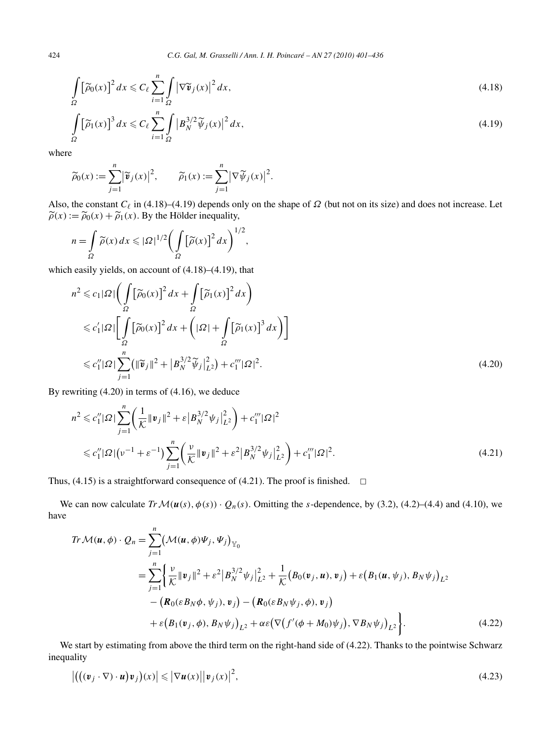$$
\int_{\Omega} \left[ \widetilde{\rho}_0(x) \right]^2 dx \leqslant C_{\ell} \sum_{i=1}^n \int_{\Omega} \left| \nabla \widetilde{\mathbf{v}}_j(x) \right|^2 dx,
$$
\n(4.18)

$$
\int_{\Omega} \left[ \widetilde{\rho}_1(x) \right]^3 dx \leqslant C_{\ell} \sum_{i=1}^n \int_{\Omega} \left| B_N^{3/2} \widetilde{\psi}_j(x) \right|^2 dx,
$$
\n(4.19)

where

$$
\widetilde{\rho}_0(x) := \sum_{j=1}^n |\widetilde{\mathbf{v}}_j(x)|^2, \qquad \widetilde{\rho}_1(x) := \sum_{j=1}^n |\nabla \widetilde{\psi}_j(x)|^2.
$$

Also, the constant  $C_{\ell}$  in (4.18)–(4.19) depends only on the shape of  $\Omega$  (but not on its size) and does not increase. Let  $\widetilde{\rho}(x) := \widetilde{\rho}_0(x) + \widetilde{\rho}_1(x)$ . By the Hölder inequality,

$$
n = \int_{\Omega} \widetilde{\rho}(x) dx \leqslant |\Omega|^{1/2} \bigg( \int_{\Omega} \big[\widetilde{\rho}(x)\big]^2 dx \bigg)^{1/2},
$$

which easily yields, on account of (4.18)–(4.19), that

$$
n^{2} \leqslant c_{1}|\Omega| \left( \int_{\Omega} \left[ \tilde{\rho}_{0}(x) \right]^{2} dx + \int_{\Omega} \left[ \tilde{\rho}_{1}(x) \right]^{2} dx \right)
$$
  
\n
$$
\leqslant c'_{1}|\Omega| \left[ \int_{\Omega} \left[ \tilde{\rho}_{0}(x) \right]^{2} dx + \left( |\Omega| + \int_{\Omega} \left[ \tilde{\rho}_{1}(x) \right]^{3} dx \right) \right]
$$
  
\n
$$
\leqslant c''_{1}|\Omega| \sum_{j=1}^{n} (\|\tilde{\mathbf{v}}_{j}\|^{2} + |B_{N}^{3/2} \tilde{\psi}_{j}|_{L^{2}}^{2}) + c''_{1}|\Omega|^{2}.
$$
\n(4.20)

By rewriting (4.20) in terms of (4.16), we deduce

$$
n^{2} \leq c_{1}'' |\Omega| \sum_{j=1}^{n} \left( \frac{1}{K} \|\mathbf{v}_{j}\|^{2} + \varepsilon \left| B_{N}^{3/2} \psi_{j} \right|_{L^{2}}^{2} \right) + c_{1}''' |\Omega|^{2}
$$
  

$$
\leq c_{1}'' |\Omega| \left( v^{-1} + \varepsilon^{-1} \right) \sum_{j=1}^{n} \left( \frac{v}{K} \|\mathbf{v}_{j}\|^{2} + \varepsilon^{2} \left| B_{N}^{3/2} \psi_{j} \right|_{L^{2}}^{2} \right) + c_{1}''' |\Omega|^{2}.
$$
 (4.21)

Thus, (4.15) is a straightforward consequence of (4.21). The proof is finished.  $\Box$ 

We can now calculate  $Tr \mathcal{M}(u(s), \phi(s)) \cdot Q_n(s)$ . Omitting the *s*-dependence, by (3.2), (4.2)–(4.4) and (4.10), we have

$$
Tr \mathcal{M}(u, \phi) \cdot Q_n = \sum_{j=1}^n (\mathcal{M}(u, \phi)\Psi_j, \Psi_j)_{\mathbb{Y}_0}
$$
  
= 
$$
\sum_{j=1}^n \left\{ \frac{\nu}{K} ||v_j||^2 + \varepsilon^2 |B_N^{3/2} \psi_j|_{L^2}^2 + \frac{1}{K} (B_0(v_j, u), v_j) + \varepsilon (B_1(u, \psi_j), B_N \psi_j)_{L^2} - (\mathbf{R}_0(\varepsilon B_N \phi, \psi_j), v_j) - (\mathbf{R}_0(\varepsilon B_N \psi_j, \phi), v_j) + \varepsilon (B_1(v_j, \phi), B_N \psi_j)_{L^2} + \alpha \varepsilon (\nabla (f'(\phi + M_0) \psi_j), \nabla B_N \psi_j)_{L^2} \right\}.
$$
 (4.22)

We start by estimating from above the third term on the right-hand side of (4.22). Thanks to the pointwise Schwarz inequality

$$
\left| \left( \left( (\boldsymbol{v}_j \cdot \nabla) \cdot \boldsymbol{u} \right) \boldsymbol{v}_j \right) (x) \right| \leqslant \left| \nabla \boldsymbol{u}(x) \right| \left| \boldsymbol{v}_j(x) \right|^2, \tag{4.23}
$$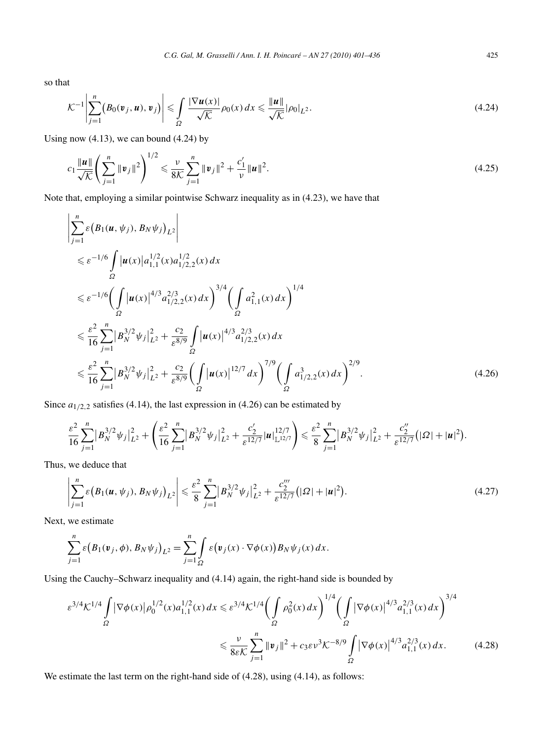so that

$$
\mathcal{K}^{-1}\left|\sum_{j=1}^{n}\left(B_0(\mathbf{v}_j,\mathbf{u}),\mathbf{v}_j\right)\right| \leqslant \int_{\Omega} \frac{|\nabla \mathbf{u}(x)|}{\sqrt{\mathcal{K}}} \rho_0(x) dx \leqslant \frac{\|\mathbf{u}\|}{\sqrt{\mathcal{K}}} |\rho_0|_{L^2}.
$$
\n(4.24)

Using now  $(4.13)$ , we can bound  $(4.24)$  by

$$
c_1 \frac{\|\boldsymbol{u}\|}{\sqrt{\mathcal{K}}} \left( \sum_{j=1}^n \|\boldsymbol{v}_j\|^2 \right)^{1/2} \leq \frac{\nu}{8\mathcal{K}} \sum_{j=1}^n \|\boldsymbol{v}_j\|^2 + \frac{c'_1}{\nu} \|\boldsymbol{u}\|^2.
$$
 (4.25)

Note that, employing a similar pointwise Schwarz inequality as in (4.23), we have that

$$
\left| \sum_{j=1}^{n} \varepsilon (B_1(u, \psi_j), B_N \psi_j)_{L^2} \right|
$$
  
\n
$$
\leq \varepsilon^{-1/6} \int_{\Omega} |u(x)| a_{1,1}^{1/2}(x) a_{1/2,2}^{1/2}(x) dx
$$
  
\n
$$
\leq \varepsilon^{-1/6} \Biggl( \int_{\Omega} |u(x)|^{4/3} a_{1/2,2}^{2/3}(x) dx \Biggr)^{3/4} \Biggl( \int_{\Omega} a_{1,1}^2(x) dx \Biggr)^{1/4}
$$
  
\n
$$
\leq \frac{\varepsilon^2}{16} \sum_{j=1}^{n} |B_N^{3/2} \psi_j|_{L^2}^2 + \frac{c_2}{\varepsilon^{8/9}} \int_{\Omega} |u(x)|^{4/3} a_{1/2,2}^{2/3}(x) dx
$$
  
\n
$$
\leq \frac{\varepsilon^2}{16} \sum_{j=1}^{n} |B_N^{3/2} \psi_j|_{L^2}^2 + \frac{c_2}{\varepsilon^{8/9}} \Biggl( \int_{\Omega} |u(x)|^{12/7} dx \Biggr)^{7/9} \Biggl( \int_{\Omega} a_{1/2,2}^3(x) dx \Biggr)^{2/9}.
$$
 (4.26)

Since  $a_{1/2,2}$  satisfies (4.14), the last expression in (4.26) can be estimated by

$$
\frac{\varepsilon^2}{16} \sum_{j=1}^n |B_N^{3/2} \psi_j|_{L^2}^2 + \left(\frac{\varepsilon^2}{16} \sum_{j=1}^n |B_N^{3/2} \psi_j|_{L^2}^2 + \frac{c_2'}{\varepsilon^{12/7}} |u|_{\mathbb{L}^{12/7}}^{12/7}\right) \leq \frac{\varepsilon^2}{8} \sum_{j=1}^n |B_N^{3/2} \psi_j|_{L^2}^2 + \frac{c_2''}{\varepsilon^{12/7}} (|\Omega| + |u|^2).
$$

Thus, we deduce that

$$
\left| \sum_{j=1}^{n} \varepsilon \left( B_1(u, \psi_j), B_N \psi_j \right)_{L^2} \right| \leq \frac{\varepsilon^2}{8} \sum_{j=1}^{n} \left| B_N^{3/2} \psi_j \right|_{L^2}^2 + \frac{c_2'''}{\varepsilon^{12/7}} \left( |\Omega| + |u|^2 \right). \tag{4.27}
$$

Next, we estimate

$$
\sum_{j=1}^n \varepsilon (B_1(\mathbf{v}_j, \phi), B_N \psi_j)_{L^2} = \sum_{j=1}^n \int_{\Omega} \varepsilon (\mathbf{v}_j(x) \cdot \nabla \phi(x)) B_N \psi_j(x) dx.
$$

Using the Cauchy–Schwarz inequality and (4.14) again, the right-hand side is bounded by

$$
\varepsilon^{3/4} \mathcal{K}^{1/4} \int_{\Omega} |\nabla \phi(x)| \rho_0^{1/2}(x) a_{1,1}^{1/2}(x) dx \leq \varepsilon^{3/4} \mathcal{K}^{1/4} \Biggl( \int_{\Omega} \rho_0^2(x) dx \Biggr)^{1/4} \Biggl( \int_{\Omega} |\nabla \phi(x)|^{4/3} a_{1,1}^{2/3}(x) dx \Biggr)^{3/4} \leq \frac{\nu}{8\varepsilon \mathcal{K}} \sum_{j=1}^n \|v_j\|^2 + c_3 \varepsilon \nu^3 \mathcal{K}^{-8/9} \int_{\Omega} |\nabla \phi(x)|^{4/3} a_{1,1}^{2/3}(x) dx. \tag{4.28}
$$

We estimate the last term on the right-hand side of  $(4.28)$ , using  $(4.14)$ , as follows: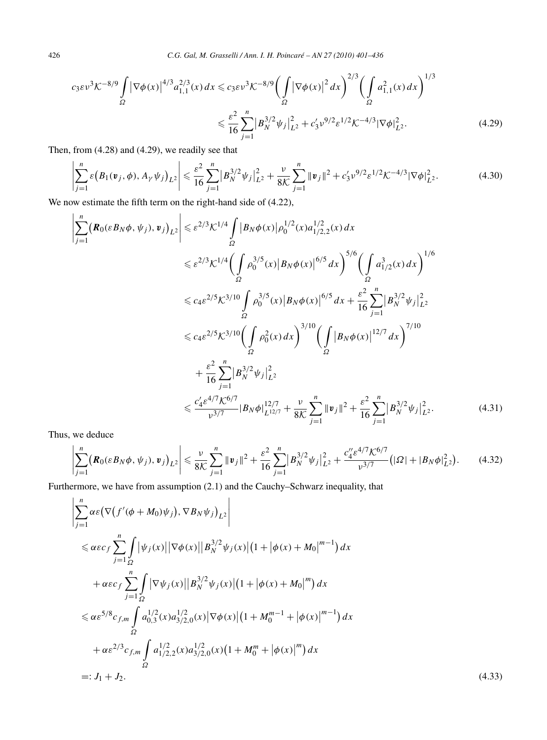$$
c_3 \varepsilon v^3 \mathcal{K}^{-8/9} \int_{\Omega} |\nabla \phi(x)|^{4/3} a_{1,1}^{2/3}(x) dx \le c_3 \varepsilon v^3 \mathcal{K}^{-8/9} \Big( \int_{\Omega} |\nabla \phi(x)|^2 dx \Big)^{2/3} \Big( \int_{\Omega} a_{1,1}^2(x) dx \Big)^{1/3}
$$
  

$$
\le \frac{\varepsilon^2}{16} \sum_{j=1}^n |B_N^{3/2} \psi_j|_{L^2}^2 + c_3' v^{9/2} \varepsilon^{1/2} \mathcal{K}^{-4/3} |\nabla \phi|_{L^2}^2. \tag{4.29}
$$

Then, from (4.28) and (4.29), we readily see that

$$
\left|\sum_{j=1}^{n} \varepsilon \left(B_1(\mathbf{v}_j, \phi), A_{\gamma} \psi_j\right)_{L^2}\right| \leq \frac{\varepsilon^2}{16} \sum_{j=1}^{n} \left|B_N^{3/2} \psi_j\right|_{L^2}^2 + \frac{\nu}{8\mathcal{K}} \sum_{j=1}^{n} \|\mathbf{v}_j\|^2 + c_3' \nu^{9/2} \varepsilon^{1/2} \mathcal{K}^{-4/3} |\nabla \phi|_{L^2}^2. \tag{4.30}
$$

We now estimate the fifth term on the right-hand side of  $(4.22)$ ,

$$
\left| \sum_{j=1}^{n} (\mathbf{R}_{0}(\varepsilon B_{N}\phi, \psi_{j}), \mathbf{v}_{j})_{L^{2}} \right| \leq \varepsilon^{2/3} \mathcal{K}^{1/4} \int_{\Omega} |B_{N}\phi(x)| \rho_{0}^{1/2}(x) a_{1/2,2}^{1/2}(x) dx
$$
  
\n
$$
\leq \varepsilon^{2/3} \mathcal{K}^{1/4} \Biggl( \int_{\Omega} \rho_{0}^{3/5}(x) |B_{N}\phi(x)|^{6/5} dx \Biggr)^{5/6} \Biggl( \int_{\Omega} a_{1/2}^{3}(x) dx \Biggr)^{1/6}
$$
  
\n
$$
\leq c_{4} \varepsilon^{2/5} \mathcal{K}^{3/10} \int_{\Omega} \rho_{0}^{3/5}(x) |B_{N}\phi(x)|^{6/5} dx + \frac{\varepsilon^{2}}{16} \sum_{j=1}^{n} |B_{N}^{3/2}\psi_{j}|^{2}_{L^{2}}
$$
  
\n
$$
\leq c_{4} \varepsilon^{2/5} \mathcal{K}^{3/10} \Biggl( \int_{\Omega} \rho_{0}^{2}(x) dx \Biggr)^{3/10} \Biggl( \int_{\Omega} |B_{N}\phi(x)|^{12/7} dx \Biggr)^{7/10}
$$
  
\n
$$
+ \frac{\varepsilon^{2}}{16} \sum_{j=1}^{n} |B_{N}^{3/2}\psi_{j}|^{2}_{L^{2}}
$$
  
\n
$$
\leq \frac{c'_{4} \varepsilon^{4/7} \mathcal{K}^{6/7}}{\nu^{3/7}} |B_{N}\phi|_{L^{12/7}}^{12/7} + \frac{\nu}{8} \mathcal{K} \sum_{j=1}^{n} ||\mathbf{v}_{j}||^{2} + \frac{\varepsilon^{2}}{16} \sum_{j=1}^{n} |B_{N}^{3/2}\psi_{j}|^{2}_{L^{2}}.
$$
 (4.31)

Thus, we deduce

$$
\left|\sum_{j=1}^{n} \left( \mathbf{R}_{0}(\varepsilon B_{N} \phi, \psi_{j}), \mathbf{v}_{j} \right)_{L^{2}} \right| \leq \frac{\nu}{8 \mathcal{K}} \sum_{j=1}^{n} \|\mathbf{v}_{j}\|^{2} + \frac{\varepsilon^{2}}{16} \sum_{j=1}^{n} \left|B_{N}^{3/2} \psi_{j}\right|_{L^{2}}^{2} + \frac{c_{4}^{\prime\prime} \varepsilon^{4/7} \mathcal{K}^{6/7}}{\nu^{3/7}} \left( |\varOmega| + \left|B_{N} \phi\right|_{L^{2}}^{2} \right). \tag{4.32}
$$

Furthermore, we have from assumption (2.1) and the Cauchy–Schwarz inequality, that

$$
\left| \sum_{j=1}^{n} \alpha \varepsilon \left( \nabla \left( f'(\phi + M_0) \psi_j \right), \nabla B_N \psi_j \right)_{L^2} \right|
$$
\n
$$
\leq \alpha \varepsilon \varepsilon f \sum_{j=1}^{n} \int_{\Omega} |\psi_j(x)| |\nabla \phi(x)| |B_N^{3/2} \psi_j(x)| (1 + |\phi(x) + M_0|^{m-1}) dx
$$
\n
$$
+ \alpha \varepsilon \varepsilon f \sum_{j=1}^{n} \int_{\Omega} |\nabla \psi_j(x)| |B_N^{3/2} \psi_j(x)| (1 + |\phi(x) + M_0|^m) dx
$$
\n
$$
\leq \alpha \varepsilon^{5/8} c_{f,m} \int_{\Omega} a_{0,3}^{1/2} (x) a_{3/2,0}^{1/2} (x) |\nabla \phi(x)| (1 + M_0^{m-1} + |\phi(x)|^{m-1}) dx
$$
\n
$$
+ \alpha \varepsilon^{2/3} c_{f,m} \int_{\Omega} a_{1/2,2}^{1/2} (x) a_{3/2,0}^{1/2} (x) (1 + M_0^m + |\phi(x)|^m) dx
$$
\n
$$
=: J_1 + J_2.
$$
\n(4.33)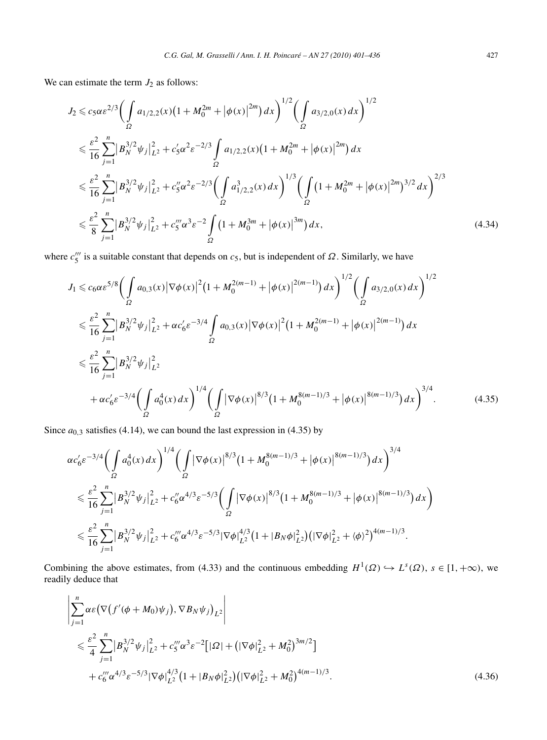We can estimate the term  $J_2$  as follows:

$$
J_{2} \leq c_{5}\alpha \varepsilon^{2/3} \Biggl( \int_{\Omega} a_{1/2,2}(x) \left(1 + M_{0}^{2m} + |\phi(x)|^{2m}\right) dx \Biggr)^{1/2} \Biggl( \int_{\Omega} a_{3/2,0}(x) dx \Biggr)^{1/2}
$$
  
\n
$$
\leq \frac{\varepsilon^{2}}{16} \sum_{j=1}^{n} |B_{N}^{3/2} \psi_{j}|_{L^{2}}^{2} + c_{5}'\alpha^{2} \varepsilon^{-2/3} \int_{\Omega} a_{1/2,2}(x) \left(1 + M_{0}^{2m} + |\phi(x)|^{2m}\right) dx
$$
  
\n
$$
\leq \frac{\varepsilon^{2}}{16} \sum_{j=1}^{n} |B_{N}^{3/2} \psi_{j}|_{L^{2}}^{2} + c_{5}''\alpha^{2} \varepsilon^{-2/3} \Biggl( \int_{\Omega} a_{1/2,2}^{3}(x) dx \Biggr)^{1/3} \Biggl( \int_{\Omega} \left(1 + M_{0}^{2m} + |\phi(x)|^{2m}\right)^{3/2} dx \Biggr)^{2/3}
$$
  
\n
$$
\leq \frac{\varepsilon^{2}}{8} \sum_{j=1}^{n} |B_{N}^{3/2} \psi_{j}|_{L^{2}}^{2} + c_{5}'''\alpha^{3} \varepsilon^{-2} \int_{\Omega} \left(1 + M_{0}^{3m} + |\phi(x)|^{3m}\right) dx,
$$
\n(4.34)

where  $c_5^{\prime\prime\prime}$  is a suitable constant that depends on  $c_5$ , but is independent of  $\Omega$ . Similarly, we have

$$
J_{1} \leq c_{6}\alpha\varepsilon^{5/8} \Biggl(\int_{\Omega} a_{0,3}(x) |\nabla\phi(x)|^{2} (1 + M_{0}^{2(m-1)} + |\phi(x)|^{2(m-1)}) dx\Biggr)^{1/2} \Biggl(\int_{\Omega} a_{3/2,0}(x) dx\Biggr)^{1/2}
$$
  

$$
\leq \frac{\varepsilon^{2}}{16} \sum_{j=1}^{n} |B_{N}^{3/2} \psi_{j}|_{L^{2}}^{2} + \alpha c_{6}' \varepsilon^{-3/4} \int_{\Omega} a_{0,3}(x) |\nabla\phi(x)|^{2} (1 + M_{0}^{2(m-1)} + |\phi(x)|^{2(m-1)}) dx
$$
  

$$
\leq \frac{\varepsilon^{2}}{16} \sum_{j=1}^{n} |B_{N}^{3/2} \psi_{j}|_{L^{2}}^{2}
$$
  

$$
+ \alpha c_{6}' \varepsilon^{-3/4} \Biggl(\int_{\Omega} a_{0}^{4}(x) dx\Biggr)^{1/4} \Biggl(\int_{\Omega} |\nabla\phi(x)|^{8/3} (1 + M_{0}^{8(m-1)/3} + |\phi(x)|^{8(m-1)/3}) dx\Biggr)^{3/4}.
$$
 (4.35)

Since  $a_{0,3}$  satisfies (4.14), we can bound the last expression in (4.35) by

 $\overline{1}$ 

$$
\alpha c_6' \varepsilon^{-3/4} \Biggl( \int\limits_{\Omega} a_0^4(x) dx \Biggr)^{1/4} \Biggl( \int\limits_{\Omega} |\nabla \phi(x)|^{8/3} \bigl( 1 + M_0^{8(m-1)/3} + |\phi(x)|^{8(m-1)/3} \bigr) dx \Biggr)^{3/4}
$$
  

$$
\leq \frac{\varepsilon^2}{16} \sum_{j=1}^n |B_N^{3/2} \psi_j|_{L^2}^2 + c_6'' \alpha^{4/3} \varepsilon^{-5/3} \Biggl( \int\limits_{\Omega} |\nabla \phi(x)|^{8/3} \bigl( 1 + M_0^{8(m-1)/3} + |\phi(x)|^{8(m-1)/3} \bigr) dx \Biggr)
$$
  

$$
\leq \frac{\varepsilon^2}{16} \sum_{j=1}^n |B_N^{3/2} \psi_j|_{L^2}^2 + c_6''' \alpha^{4/3} \varepsilon^{-5/3} |\nabla \phi|_{L^2}^{4/3} \bigl( 1 + |B_N \phi|_{L^2}^2 \bigr) \bigl( |\nabla \phi|_{L^2}^2 + \langle \phi \rangle^2 \bigr)^{4(m-1)/3}.
$$

Combining the above estimates, from (4.33) and the continuous embedding  $H^1(\Omega) \hookrightarrow L^s(\Omega)$ ,  $s \in [1, +\infty)$ , we readily deduce that

$$
\left| \sum_{j=1}^{n} \alpha \varepsilon \left( \nabla \left( f'(\phi + M_0) \psi_j \right), \nabla B_N \psi_j \right)_{L^2} \right|
$$
\n
$$
\leq \frac{\varepsilon^2}{4} \sum_{j=1}^{n} \left| B_N^{3/2} \psi_j \right|_{L^2}^2 + c_5'' \alpha^3 \varepsilon^{-2} \left[ |\Omega| + \left( |\nabla \phi|_{L^2}^2 + M_0^2 \right)^{3m/2} \right] \right.
$$
\n
$$
+ c_6''' \alpha^{4/3} \varepsilon^{-5/3} |\nabla \phi|_{L^2}^{4/3} \left( 1 + |B_N \phi|_{L^2}^2 \right) \left( |\nabla \phi|_{L^2}^2 + M_0^2 \right)^{4(m-1)/3} .
$$
\n(4.36)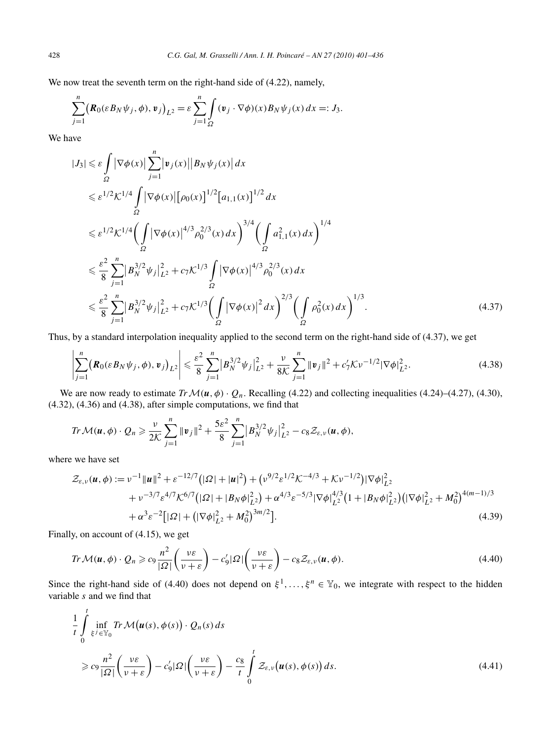We now treat the seventh term on the right-hand side of (4.22), namely,

$$
\sum_{j=1}^n (\mathbf{R}_0(\varepsilon B_N \psi_j, \phi), \mathbf{v}_j)_{L^2} = \varepsilon \sum_{j=1}^n \int_{\Omega} (\mathbf{v}_j \cdot \nabla \phi)(x) B_N \psi_j(x) dx =: J_3.
$$

We have

$$
|J_{3}| \leq \varepsilon \int_{\Omega} |\nabla \phi(x)| \sum_{j=1}^{n} |v_{j}(x)| |B_{N} \psi_{j}(x)| dx
$$
  
\n
$$
\leq \varepsilon^{1/2} K^{1/4} \int_{\Omega} |\nabla \phi(x)| [\rho_{0}(x)]^{1/2} [a_{1,1}(x)]^{1/2} dx
$$
  
\n
$$
\leq \varepsilon^{1/2} K^{1/4} \Biggl( \int_{\Omega} |\nabla \phi(x)|^{4/3} \rho_{0}^{2/3}(x) dx \Biggr)^{3/4} \Biggl( \int_{\Omega} a_{1,1}^{2}(x) dx \Biggr)^{1/4}
$$
  
\n
$$
\leq \frac{\varepsilon^{2}}{8} \sum_{j=1}^{n} |B_{N}^{3/2} \psi_{j}|^{2}_{L^{2}} + c_{7} K^{1/3} \int_{\Omega} |\nabla \phi(x)|^{4/3} \rho_{0}^{2/3}(x) dx
$$
  
\n
$$
\leq \frac{\varepsilon^{2}}{8} \sum_{j=1}^{n} |B_{N}^{3/2} \psi_{j}|^{2}_{L^{2}} + c_{7} K^{1/3} \Biggl( \int_{\Omega} |\nabla \phi(x)|^{2} dx \Biggr)^{2/3} \Biggl( \int_{\Omega} \rho_{0}^{2}(x) dx \Biggr)^{1/3}.
$$
 (4.37)

Thus, by a standard interpolation inequality applied to the second term on the right-hand side of (4.37), we get

$$
\left|\sum_{j=1}^{n} (\mathbf{R}_{0}(\varepsilon B_{N}\psi_{j}, \phi), \mathbf{v}_{j})_{L^{2}}\right| \leq \frac{\varepsilon^{2}}{8} \sum_{j=1}^{n} |B_{N}^{3/2}\psi_{j}|_{L^{2}}^{2} + \frac{\nu}{8\mathcal{K}} \sum_{j=1}^{n} \|\mathbf{v}_{j}\|^{2} + c_{7}'\mathcal{K}\nu^{-1/2}|\nabla\phi|_{L^{2}}^{2}.
$$
\n(4.38)

We are now ready to estimate  $Tr \mathcal{M}(u, \phi) \cdot Q_n$ . Recalling (4.22) and collecting inequalities (4.24)–(4.27), (4.30), (4.32), (4.36) and (4.38), after simple computations, we find that

$$
Tr \mathcal{M}(\boldsymbol{u},\phi) \cdot Q_n \geqslant \frac{\nu}{2\mathcal{K}} \sum_{j=1}^n \|\boldsymbol{v}_j\|^2 + \frac{5\varepsilon^2}{8} \sum_{j=1}^n \big|B_N^{3/2} \psi_j\big|_{L^2}^2 - c_8 \mathcal{Z}_{\varepsilon,\nu}(\boldsymbol{u},\phi),
$$

where we have set

*t*

$$
\mathcal{Z}_{\varepsilon,\nu}(\boldsymbol{u},\phi) := \nu^{-1} \|\boldsymbol{u}\|^2 + \varepsilon^{-12/7} \left( |\Omega| + |\boldsymbol{u}|^2 \right) + \left( \nu^{9/2} \varepsilon^{1/2} \mathcal{K}^{-4/3} + \mathcal{K} \nu^{-1/2} \right) |\nabla \phi|_{L^2}^2 + \nu^{-3/7} \varepsilon^{4/7} \mathcal{K}^{6/7} \left( |\Omega| + |B_N \phi|_{L^2}^2 \right) + \alpha^{4/3} \varepsilon^{-5/3} |\nabla \phi|_{L^2}^{4/3} \left( 1 + |B_N \phi|_{L^2}^2 \right) \left( |\nabla \phi|_{L^2}^2 + M_0^2 \right)^{4(m-1)/3} + \alpha^3 \varepsilon^{-2} \left[ |\Omega| + \left( |\nabla \phi|_{L^2}^2 + M_0^2 \right)^{3m/2} \right].
$$
\n(4.39)

Finally, on account of (4.15), we get

$$
Tr \mathcal{M}(\boldsymbol{u}, \phi) \cdot Q_n \geqslant c_9 \frac{n^2}{|\Omega|} \left( \frac{\nu \varepsilon}{\nu + \varepsilon} \right) - c_9' |\Omega| \left( \frac{\nu \varepsilon}{\nu + \varepsilon} \right) - c_8 \mathcal{Z}_{\varepsilon, \nu}(\boldsymbol{u}, \phi). \tag{4.40}
$$

Since the right-hand side of (4.40) does not depend on  $\xi^1, \ldots, \xi^n \in Y_0$ , we integrate with respect to the hidden variable *s* and we find that

$$
\frac{1}{t} \int_{\xi} \inf_{\xi \in \mathbb{Y}_0} Tr \mathcal{M}(\boldsymbol{u}(s), \phi(s)) \cdot Q_n(s) ds
$$
\n
$$
\geq c_9 \frac{n^2}{|\Omega|} \left( \frac{\nu \varepsilon}{\nu + \varepsilon} \right) - c_9' |\Omega| \left( \frac{\nu \varepsilon}{\nu + \varepsilon} \right) - \frac{c_8}{t} \int_0^t \mathcal{Z}_{\varepsilon, \nu}(\boldsymbol{u}(s), \phi(s)) ds.
$$
\n(4.41)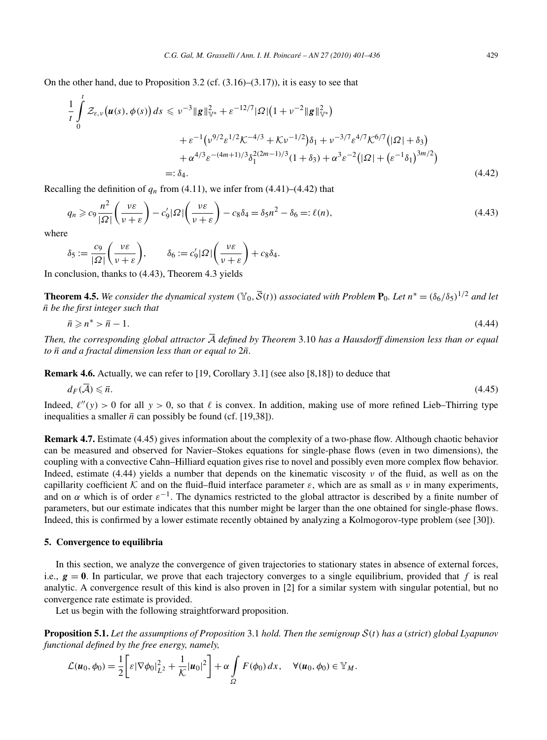On the other hand, due to Proposition 3.2 (cf.  $(3.16)$ – $(3.17)$ ), it is easy to see that

$$
\frac{1}{t} \int_{0}^{t} \mathcal{Z}_{\varepsilon,\nu}(\boldsymbol{u}(s),\phi(s)) ds \leq v^{-3} \|\boldsymbol{g}\|_{\mathbb{V}^{*}}^{2} + \varepsilon^{-12/7} |\Omega| (1 + v^{-2} \|\boldsymbol{g}\|_{\mathbb{V}^{*}}^{2}) \n+ \varepsilon^{-1} (v^{9/2} \varepsilon^{1/2} \mathcal{K}^{-4/3} + \mathcal{K} v^{-1/2}) \delta_{1} + v^{-3/7} \varepsilon^{4/7} \mathcal{K}^{6/7} (|\Omega| + \delta_{3}) \n+ \alpha^{4/3} \varepsilon^{-(4m+1)/3} \delta_{1}^{2(2m-1)/3} (1 + \delta_{3}) + \alpha^{3} \varepsilon^{-2} (|\Omega| + (\varepsilon^{-1} \delta_{1})^{3m/2}) \n=:\delta_{4}.
$$
\n(4.42)

Recalling the definition of  $q_n$  from (4.11), we infer from (4.41)–(4.42) that

$$
q_n \geqslant c_9 \frac{n^2}{|\Omega|} \left( \frac{\nu \varepsilon}{\nu + \varepsilon} \right) - c_9' |\Omega| \left( \frac{\nu \varepsilon}{\nu + \varepsilon} \right) - c_8 \delta_4 = \delta_5 n^2 - \delta_6 =: \ell(n),\tag{4.43}
$$

where

$$
\delta_5 := \frac{c_9}{|\Omega|} \left( \frac{\nu \varepsilon}{\nu + \varepsilon} \right), \qquad \delta_6 := c_9' |\Omega| \left( \frac{\nu \varepsilon}{\nu + \varepsilon} \right) + c_8 \delta_4.
$$

In conclusion, thanks to (4.43), Theorem 4.3 yields

**Theorem 4.5.** We consider the dynamical system  $(\mathbb{Y}_0, \overline{S}(t))$  associated with Problem  $\mathbf{P}_0$ . Let  $n^* = (\delta_0/\delta_5)^{1/2}$  and let *n be the first integer such that*

$$
\bar{n} \geqslant n^* > \bar{n} - 1. \tag{4.44}
$$

*Then, the corresponding global attractor* A *defined by Theorem* 3.10 *has a Hausdorff dimension less than or equal to*  $\bar{n}$  *and a fractal dimension less than or equal to*  $2\bar{n}$ *.* 

**Remark 4.6.** Actually, we can refer to [19, Corollary 3.1] (see also [8,18]) to deduce that

$$
d_F(\overline{\mathcal{A}}) \leqslant \overline{n}.\tag{4.45}
$$

Indeed,  $\ell''(y) > 0$  for all  $y > 0$ , so that  $\ell$  is convex. In addition, making use of more refined Lieb–Thirring type inequalities a smaller  $\bar{n}$  can possibly be found (cf. [19,38]).

**Remark 4.7.** Estimate (4.45) gives information about the complexity of a two-phase flow. Although chaotic behavior can be measured and observed for Navier–Stokes equations for single-phase flows (even in two dimensions), the coupling with a convective Cahn–Hilliard equation gives rise to novel and possibly even more complex flow behavior. Indeed, estimate (4.44) yields a number that depends on the kinematic viscosity *ν* of the fluid, as well as on the capillarity coefficient K and on the fluid–fluid interface parameter  $\varepsilon$ , which are as small as  $\nu$  in many experiments, and on  $\alpha$  which is of order  $\varepsilon^{-1}$ . The dynamics restricted to the global attractor is described by a finite number of parameters, but our estimate indicates that this number might be larger than the one obtained for single-phase flows. Indeed, this is confirmed by a lower estimate recently obtained by analyzing a Kolmogorov-type problem (see [30]).

## **5. Convergence to equilibria**

In this section, we analyze the convergence of given trajectories to stationary states in absence of external forces, i.e.,  $g = 0$ . In particular, we prove that each trajectory converges to a single equilibrium, provided that *f* is real analytic. A convergence result of this kind is also proven in [2] for a similar system with singular potential, but no convergence rate estimate is provided.

Let us begin with the following straightforward proposition.

**Proposition 5.1.** *Let the assumptions of Proposition* 3.1 *hold. Then the semigroup* S*(t) has a* (*strict*) *global Lyapunov functional defined by the free energy, namely,*

$$
\mathcal{L}(\boldsymbol{u}_0,\phi_0)=\frac{1}{2}\bigg[\varepsilon|\nabla\phi_0|_{L^2}^2+\frac{1}{\mathcal{K}}|\boldsymbol{u}_0|^2\bigg]+\alpha\int\limits_{\Omega}F(\phi_0)\,dx,\quad\forall(\boldsymbol{u}_0,\phi_0)\in\mathbb{Y}_M.
$$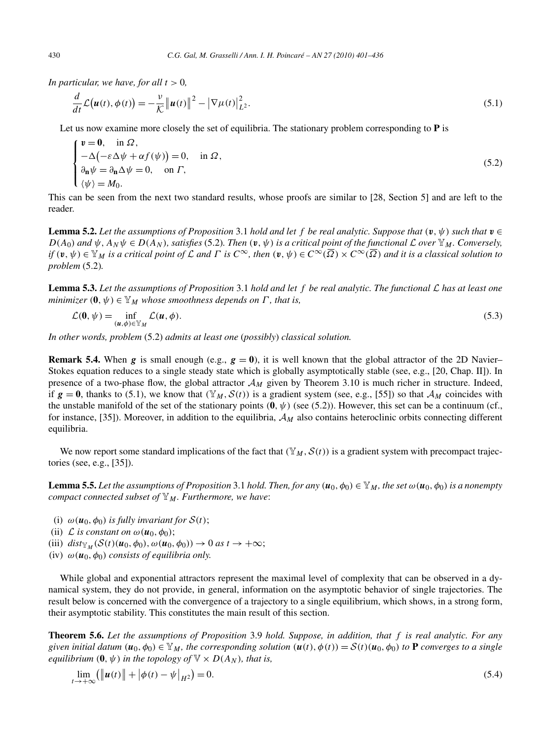*In particular, we have, for all*  $t > 0$ *,* 

$$
\frac{d}{dt}\mathcal{L}\big(\bm{u}(t),\phi(t)\big)=-\frac{v}{\mathcal{K}}\big\|\bm{u}(t)\big\|^2-\big|\nabla\mu(t)\big|_{L^2}^2.
$$
\n(5.1)

Let us now examine more closely the set of equilibria. The stationary problem corresponding to **P** is

$$
\begin{cases}\n\mathbf{v} = \mathbf{0}, & \text{in } \Omega, \\
-\Delta(-\varepsilon \Delta \psi + \alpha f(\psi)) = 0, & \text{in } \Omega, \\
\partial_{\mathbf{n}} \psi = \partial_{\mathbf{n}} \Delta \psi = 0, & \text{on } \Gamma, \\
\langle \psi \rangle = M_0.\n\end{cases}
$$
\n(5.2)

This can be seen from the next two standard results, whose proofs are similar to [28, Section 5] and are left to the reader.

**Lemma 5.2.** Let the assumptions of Proposition 3.1 hold and let f be real analytic. Suppose that  $(v, \psi)$  such that  $v \in \mathbb{R}$  $D(A_0)$  and  $\psi$ ,  $A_N \psi \in D(A_N)$ , satisfies (5.2). Then  $(\mathbf{v}, \psi)$  is a critical point of the functional  $\mathcal L$  over  $\mathbb Y_M$ . Conversely, if  $(\mathfrak{v}, \psi) \in \mathbb{Y}_M$  is a critical point of  $\mathcal L$  and  $\Gamma$  is  $C^\infty$ , then  $(\mathfrak{v}, \psi) \in C^\infty(\overline{\Omega}) \times C^\infty(\overline{\Omega})$  and it is a classical solution to *problem* (5.2)*.*

**Lemma 5.3.** *Let the assumptions of Proposition* 3.1 *hold and let f be real analytic. The functional* L *has at least one minimizer*  $(0, \psi) \in Y_M$  *whose smoothness depends on*  $\Gamma$ *, that is,* 

$$
\mathcal{L}(\mathbf{0}, \psi) = \inf_{(\mathbf{u}, \phi) \in \mathbb{Y}_M} \mathcal{L}(\mathbf{u}, \phi). \tag{5.3}
$$

*In other words, problem* (5.2) *admits at least one* (*possibly*) *classical solution.*

**Remark 5.4.** When *g* is small enough (e.g.,  $g = 0$ ), it is well known that the global attractor of the 2D Navier– Stokes equation reduces to a single steady state which is globally asymptotically stable (see, e.g., [20, Chap. II]). In presence of a two-phase flow, the global attractor  $\mathcal{A}_M$  given by Theorem 3.10 is much richer in structure. Indeed, if  $g = 0$ , thanks to (5.1), we know that  $(\mathbb{Y}_M, \mathcal{S}(t))$  is a gradient system (see, e.g., [55]) so that  $\mathcal{A}_M$  coincides with the unstable manifold of the set of the stationary points  $(0, \psi)$  (see (5.2)). However, this set can be a continuum (cf., for instance, [35]). Moreover, in addition to the equilibria, A*<sup>M</sup>* also contains heteroclinic orbits connecting different equilibria.

We now report some standard implications of the fact that  $(\mathbb{Y}_M, \mathcal{S}(t))$  is a gradient system with precompact trajectories (see, e.g., [35]).

**Lemma 5.5.** Let the assumptions of Proposition 3.1 hold. Then, for any  $(u_0, \phi_0) \in \mathbb{Y}_M$ , the set  $\omega(u_0, \phi_0)$  is a nonempty *compact connected subset of*  $\mathbb{Y}_M$ *. Furthermore, we have:* 

- (i)  $\omega(\mathbf{u}_0, \phi_0)$  *is fully invariant for*  $S(t)$ ;
- (ii)  $\mathcal L$  *is constant on*  $\omega(\boldsymbol{u}_0, \phi_0)$ ;
- (iii)  $dist_{\mathbb{Y}_M}(\mathcal{S}(t)(\boldsymbol{u}_0, \phi_0), \omega(\boldsymbol{u}_0, \phi_0)) \to 0 \text{ as } t \to +\infty;$
- (iv)  $\omega(u_0, \phi_0)$  *consists of equilibria only.*

While global and exponential attractors represent the maximal level of complexity that can be observed in a dynamical system, they do not provide, in general, information on the asymptotic behavior of single trajectories. The result below is concerned with the convergence of a trajectory to a single equilibrium, which shows, in a strong form, their asymptotic stability. This constitutes the main result of this section.

**Theorem 5.6.** *Let the assumptions of Proposition* 3.9 *hold. Suppose, in addition, that f is real analytic. For any* given initial datum  $(u_0, \phi_0) \in \mathbb{Y}_M$ , the corresponding solution  $(u(t), \phi(t)) = S(t)(u_0, \phi_0)$  to **P** converges to a single *equilibrium*  $(\mathbf{0}, \psi)$  *in the topology of*  $\mathbb{V} \times D(A_N)$ *, that is,* 

$$
\lim_{t \to +\infty} (\|u(t)\| + |\phi(t) - \psi|_{H^2}) = 0.
$$
\n(5.4)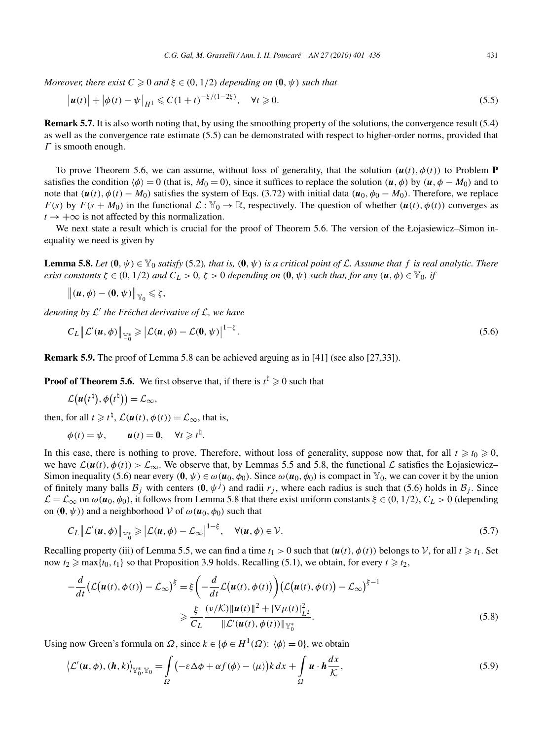*Moreover, there exist*  $C \geqslant 0$  *and*  $\xi \in (0, 1/2)$  *depending on*  $(\mathbf{0}, \psi)$  *such that* 

$$
|u(t)| + |\phi(t) - \psi|_{H^1} \leq C(1+t)^{-\xi/(1-2\xi)}, \quad \forall t \geq 0.
$$
 (5.5)

**Remark 5.7.** It is also worth noting that, by using the smoothing property of the solutions, the convergence result (5.4) as well as the convergence rate estimate (5.5) can be demonstrated with respect to higher-order norms, provided that *Γ* is smooth enough.

To prove Theorem 5.6, we can assume, without loss of generality, that the solution  $(\mathbf{u}(t), \phi(t))$  to Problem **P** satisfies the condition  $\langle \phi \rangle = 0$  (that is,  $M_0 = 0$ ), since it suffices to replace the solution  $(\mathbf{u}, \phi)$  by  $(\mathbf{u}, \phi - M_0)$  and to note that  $(\mathbf{u}(t), \phi(t) - M_0)$  satisfies the system of Eqs. (3.72) with initial data  $(\mathbf{u}_0, \phi_0 - M_0)$ . Therefore, we replace *F(s)* by  $F(s + M_0)$  in the functional  $\mathcal{L}: \mathcal{Y}_0 \to \mathbb{R}$ , respectively. The question of whether  $(u(t), \phi(t))$  converges as  $t \rightarrow +\infty$  is not affected by this normalization.

We next state a result which is crucial for the proof of Theorem 5.6. The version of the Łojasiewicz–Simon inequality we need is given by

**Lemma 5.8.** Let  $(0, \psi) \in \mathbb{Y}_0$  *satisfy* (5.2)*, that is,*  $(0, \psi)$  *is a critical point of* L. Assume that f *is real analytic. There* exist constants  $\zeta \in (0, 1/2)$  and  $C_L > 0$ ,  $\zeta > 0$  depending on  $(0, \psi)$  such that, for any  $(u, \phi) \in Y_0$ , if

$$
\big\| (u,\phi) - (0,\psi) \big\|_{\mathbb{Y}_0} \leqslant \zeta,
$$

*denoting by* <sup>L</sup> *the Fréchet derivative of* L*, we have*

$$
C_L \left\| \mathcal{L}'(u, \phi) \right\|_{\mathbb{Y}_0^*} \geqslant \left| \mathcal{L}(u, \phi) - \mathcal{L}(0, \psi) \right|^{1-\zeta}.
$$
\n
$$
(5.6)
$$

**Remark 5.9.** The proof of Lemma 5.8 can be achieved arguing as in [41] (see also [27,33]).

**Proof of Theorem 5.6.** We first observe that, if there is  $t^{\frac{1}{2}} \geq 0$  such that

$$
\mathcal{L}\big(\boldsymbol{u}\big(t^{\natural}\big),\phi\big(t^{\natural}\big)\big)=\mathcal{L}_{\infty},
$$

then, for all  $t \ge t^{\frac{1}{2}}$ ,  $\mathcal{L}(\boldsymbol{u}(t), \phi(t)) = \mathcal{L}_{\infty}$ , that is,

$$
\phi(t) = \psi, \qquad u(t) = 0, \quad \forall t \geq t^{\natural}.
$$

In this case, there is nothing to prove. Therefore, without loss of generality, suppose now that, for all  $t \ge t_0 \ge 0$ , we have  $\mathcal{L}(u(t),\phi(t)) > \mathcal{L}_{\infty}$ . We observe that, by Lemmas 5.5 and 5.8, the functional  $\mathcal{L}$  satisfies the Łojasiewicz– Simon inequality (5.6) near every  $(\mathbf{0}, \psi) \in \omega(\mathbf{u}_0, \phi_0)$ . Since  $\omega(\mathbf{u}_0, \phi_0)$  is compact in  $\mathbb{Y}_0$ , we can cover it by the union of finitely many balls  $B_j$  with centers  $(0, \psi^j)$  and radii  $r_j$ , where each radius is such that (5.6) holds in  $B_j$ . Since  $\mathcal{L} = \mathcal{L}_{\infty}$  on  $ω(u_0, φ_0)$ , it follows from Lemma 5.8 that there exist uniform constants  $ξ ∈ (0, 1/2)$ ,  $C_L > 0$  (depending on  $(\mathbf{0}, \psi)$  and a neighborhood V of  $\omega(\mathbf{u}_0, \phi_0)$  such that

$$
C_L \| \mathcal{L}'(u, \phi) \|_{\mathbb{Y}^*_0} \geqslant \left| \mathcal{L}(u, \phi) - \mathcal{L}_{\infty} \right|^{1 - \xi}, \quad \forall (u, \phi) \in \mathcal{V}.
$$

Recalling property (iii) of Lemma 5.5, we can find a time  $t_1 > 0$  such that  $(u(t), \phi(t))$  belongs to  $V$ , for all  $t \ge t_1$ . Set now  $t_2 \ge \max\{t_0, t_1\}$  so that Proposition 3.9 holds. Recalling (5.1), we obtain, for every  $t \ge t_2$ ,

$$
-\frac{d}{dt}\left(\mathcal{L}\left(\boldsymbol{u}(t),\phi(t)\right)-\mathcal{L}_{\infty}\right)^{\xi} = \xi\left(-\frac{d}{dt}\mathcal{L}\left(\boldsymbol{u}(t),\phi(t)\right)\right)\left(\mathcal{L}\left(\boldsymbol{u}(t),\phi(t)\right)-\mathcal{L}_{\infty}\right)^{\xi-1} \ge \frac{\xi}{C_L}\frac{\left(\nu/\mathcal{K}\right)\|\boldsymbol{u}(t)\|^2 + |\nabla\mu(t)|^2_{L^2}}{\|\mathcal{L}'(\boldsymbol{u}(t),\phi(t))\|_{\mathbb{Y}_0^*}}.
$$
\n(5.8)

Using now Green's formula on  $\Omega$ , since  $k \in {\phi \in H^1(\Omega): \phi \geq 0}$ , we obtain

$$
\left\langle \mathcal{L}'(\mathbf{u},\phi),(\mathbf{h},k)\right\rangle_{\mathbb{Y}_{0}^{*},\mathbb{Y}_{0}}=\int_{\Omega} \left(-\varepsilon \Delta \phi + \alpha f(\phi) - \langle \mu \rangle\right) k \, dx + \int_{\Omega} \mathbf{u} \cdot \mathbf{h} \frac{dx}{\mathcal{K}},\tag{5.9}
$$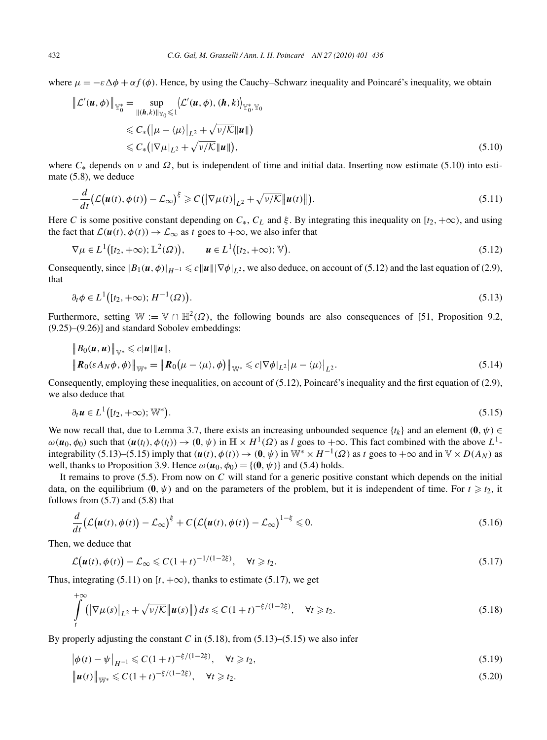where  $\mu = -\varepsilon \Delta \phi + \alpha f(\phi)$ . Hence, by using the Cauchy–Schwarz inequality and Poincaré's inequality, we obtain

$$
\|\mathcal{L}'(\boldsymbol{u},\phi)\|_{\mathbb{Y}_{0}^{*}} = \sup_{\|(h,k)\|_{\mathbb{Y}_{0}} \leq 1} \langle \mathcal{L}'(\boldsymbol{u},\phi), (h,k)\rangle_{\mathbb{Y}_{0}^{*},\mathbb{Y}_{0}}
$$
  
\n
$$
\leq C_{*}(|\mu - \langle \mu \rangle|_{L^{2}} + \sqrt{\nu/K} \|\boldsymbol{u}\|)
$$
  
\n
$$
\leq C_{*}(|\nabla \mu|_{L^{2}} + \sqrt{\nu/K} \|\boldsymbol{u}\|),
$$
\n(5.10)

where  $C_*$  depends on *v* and  $\Omega$ , but is independent of time and initial data. Inserting now estimate (5.10) into estimate (5.8), we deduce

$$
-\frac{d}{dt}\big(\mathcal{L}\big(\boldsymbol{u}(t),\phi(t)\big)-\mathcal{L}_{\infty}\big)^{\xi}\geqslant C\big(\big|\nabla\mu(t)\big|_{L^{2}}+\sqrt{\nu/\mathcal{K}}\big|\boldsymbol{u}(t)\big|\big).
$$
\n(5.11)

Here *C* is some positive constant depending on  $C_*$ ,  $C_L$  and  $\xi$ . By integrating this inequality on [ $t_2$ , + $\infty$ ), and using the fact that  $\mathcal{L}(\mathbf{u}(t), \phi(t)) \to \mathcal{L}_{\infty}$  as *t* goes to  $+\infty$ , we also infer that

$$
\nabla \mu \in L^1([t_2, +\infty); \mathbb{L}^2(\Omega)), \qquad \mathbf{u} \in L^1([t_2, +\infty); \mathbb{V}).
$$
\n
$$
(5.12)
$$

Consequently, since  $|B_1(u, \phi)|_{H^{-1}} \le c||u||\nabla \phi|_{L^2}$ , we also deduce, on account of (5.12) and the last equation of (2.9), that

$$
\partial_t \phi \in L^1\big([t_2, +\infty); H^{-1}(\Omega)\big). \tag{5.13}
$$

Furthermore, setting  $\mathbb{W} := \mathbb{V} \cap \mathbb{H}^2(\Omega)$ , the following bounds are also consequences of [51, Proposition 9.2, (9.25)–(9.26)] and standard Sobolev embeddings:

$$
\|B_0(u,u)\|_{\mathbb{V}^*} \leqslant c|u|\|u\|,
$$
  

$$
\|R_0(\varepsilon A_N \phi, \phi)\|_{\mathbb{W}^*} = \|R_0\big(\mu - \langle \mu \rangle, \phi\big)\|_{\mathbb{W}^*} \leqslant c|\nabla \phi|_{L^2}\big|\mu - \langle \mu \rangle\big|_{L^2}.
$$
 (5.14)

Consequently, employing these inequalities, on account of (5.12), Poincaré's inequality and the first equation of (2.9), we also deduce that

$$
\partial_t \mathbf{u} \in L^1\big( [t_2, +\infty) ; \mathbb{W}^* \big). \tag{5.15}
$$

We now recall that, due to Lemma 3.7, there exists an increasing unbounded sequence  $\{t_k\}$  and an element  $(0, \psi) \in$  $\omega(\mathbf{u}_0, \phi_0)$  such that  $(\mathbf{u}(t_l), \phi(t_l)) \to (\mathbf{0}, \psi)$  in  $\mathbb{H} \times H^1(\Omega)$  as *l* goes to  $+\infty$ . This fact combined with the above  $L^1$ integrability (5.13)–(5.15) imply that  $(u(t), \phi(t)) \rightarrow (0, \psi)$  in  $\mathbb{W}^* \times H^{-1}(\Omega)$  as t goes to  $+\infty$  and in  $\mathbb{V} \times D(A_N)$  as well, thanks to Proposition 3.9. Hence  $\omega(\mathbf{u}_0, \phi_0) = \{(\mathbf{0}, \psi)\}\$ and (5.4) holds.

It remains to prove (5.5). From now on *C* will stand for a generic positive constant which depends on the initial data, on the equilibrium  $(0, \psi)$  and on the parameters of the problem, but it is independent of time. For  $t \geq t_2$ , it follows from  $(5.7)$  and  $(5.8)$  that

$$
\frac{d}{dt}\big(\mathcal{L}\big(\boldsymbol{u}(t),\phi(t)\big)-\mathcal{L}_{\infty}\big)^{\xi}+C\big(\mathcal{L}\big(\boldsymbol{u}(t),\phi(t)\big)-\mathcal{L}_{\infty}\big)^{1-\xi}\leqslant 0.\tag{5.16}
$$

Then, we deduce that

$$
\mathcal{L}\big(\boldsymbol{u}(t),\phi(t)\big)-\mathcal{L}_{\infty}\leqslant C(1+t)^{-1/(1-2\xi)},\quad\forall t\geqslant t_2.
$$
\n
$$
(5.17)
$$

Thus, integrating (5.11) on  $[t, +\infty)$ , thanks to estimate (5.17), we get

$$
\int\limits_t^{+\infty} \left( \left| \nabla \mu(s) \right|_{L^2} + \sqrt{\nu/\mathcal{K}} \left| \mu(s) \right| \right) ds \leqslant C \left( 1+t \right)^{-\xi/(1-2\xi)}, \quad \forall t \geqslant t_2.
$$
\n
$$
(5.18)
$$

By properly adjusting the constant  $C$  in  $(5.18)$ , from  $(5.13)$ – $(5.15)$  we also infer

$$
\left|\phi(t) - \psi\right|_{H^{-1}} \leq C(1+t)^{-\xi/(1-2\xi)}, \quad \forall t \geq t_2,
$$
\n(5.19)

$$
\|u(t)\|_{\mathbb{W}^*} \leq C(1+t)^{-\xi/(1-2\xi)}, \quad \forall t \geq t_2.
$$
\n(5.20)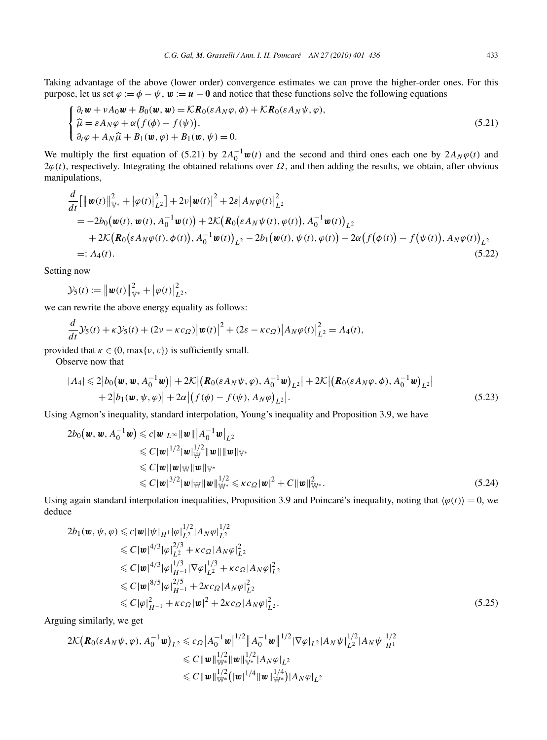Taking advantage of the above (lower order) convergence estimates we can prove the higher-order ones. For this purpose, let us set  $\varphi := \varphi - \psi$ ,  $w := u - 0$  and notice that these functions solve the following equations

$$
\begin{cases} \n\partial_t \mathbf{w} + vA_0 \mathbf{w} + B_0(\mathbf{w}, \mathbf{w}) = \mathcal{K} \mathbf{R}_0(\varepsilon A_N \varphi, \phi) + \mathcal{K} \mathbf{R}_0(\varepsilon A_N \psi, \varphi), \\ \n\widehat{\mu} = \varepsilon A_N \varphi + \alpha \big( f(\phi) - f(\psi) \big), \\ \n\partial_t \varphi + A_N \widehat{\mu} + B_1(\mathbf{w}, \varphi) + B_1(\mathbf{w}, \psi) = 0. \n\end{cases} \tag{5.21}
$$

We multiply the first equation of (5.21) by  $2A_0^{-1}w(t)$  and the second and third ones each one by  $2A_N\varphi(t)$  and  $2\varphi(t)$ , respectively. Integrating the obtained relations over  $\Omega$ , and then adding the results, we obtain, after obvious manipulations,

$$
\frac{d}{dt}[\|\mathbf{w}(t)\|_{\mathbb{V}^*}^2 + |\varphi(t)|_{L^2}^2] + 2\nu |\mathbf{w}(t)|^2 + 2\varepsilon |A_N \varphi(t)|_{L^2}^2 \n= -2b_0(\mathbf{w}(t), \mathbf{w}(t), A_0^{-1} \mathbf{w}(t)) + 2\mathcal{K}(\mathbf{R}_0(\varepsilon A_N \psi(t), \varphi(t)), A_0^{-1} \mathbf{w}(t))_{L^2} \n+ 2\mathcal{K}(\mathbf{R}_0(\varepsilon A_N \varphi(t), \phi(t)), A_0^{-1} \mathbf{w}(t))_{L^2} - 2b_1(\mathbf{w}(t), \psi(t), \varphi(t)) - 2\alpha (f(\phi(t)) - f(\psi(t)), A_N \varphi(t))_{L^2} \n=: A_4(t).
$$
\n(5.22)

Setting now

*d*

$$
\mathcal{Y}_5(t) := \left\| \boldsymbol{w}(t) \right\|_{\mathbb{V}^*}^2 + \left| \varphi(t) \right|_{L^2}^2,
$$

we can rewrite the above energy equality as follows:

$$
\frac{d}{dt}\mathcal{Y}_5(t) + \kappa \mathcal{Y}_5(t) + (2\nu - \kappa c_{\Omega})\big|\boldsymbol{w}(t)\big|^2 + (2\varepsilon - \kappa c_{\Omega})\big|A_N\varphi(t)\big|_{L^2}^2 = A_4(t),
$$

provided that  $\kappa \in (0, \max\{\nu, \varepsilon\})$  is sufficiently small.

Observe now that

$$
|A_4| \leq 2|b_0(\mathbf{w}, \mathbf{w}, A_0^{-1}\mathbf{w})| + 2\mathcal{K} |(\mathbf{R}_0(\varepsilon A_N\psi, \varphi), A_0^{-1}\mathbf{w})_{L^2}| + 2\mathcal{K} |(\mathbf{R}_0(\varepsilon A_N\varphi, \varphi), A_0^{-1}\mathbf{w})_{L^2}|
$$
  
+ 2|b\_1(\mathbf{w}, \psi, \varphi)| + 2\alpha |(f(\varphi) - f(\psi), A\_N\varphi)\_{L^2}|. \t(5.23)

Using Agmon's inequality, standard interpolation, Young's inequality and Proposition 3.9, we have

$$
2b_0(\mathbf{w}, \mathbf{w}, A_0^{-1}\mathbf{w}) \leq c|\mathbf{w}|_{L^{\infty}} \|\mathbf{w}\| |A_0^{-1}\mathbf{w}|_{L^2}
$$
  
\n
$$
\leq C|\mathbf{w}|^{1/2} |\mathbf{w}|_{\mathbb{W}}^{1/2} \|\mathbf{w}\| \|\mathbf{w}\|_{\mathbb{V}^*}
$$
  
\n
$$
\leq C|\mathbf{w}||\mathbf{w}||\mathbf{w}\| \|\mathbf{w}\|_{\mathbb{V}^*}
$$
  
\n
$$
\leq C|\mathbf{w}|^{3/2} |\mathbf{w}||\mathbf{w}\| \|\mathbf{w}\|_{\mathbb{W}^*}^{1/2} \leq Kc_{\Omega} |\mathbf{w}|^2 + C \|\mathbf{w}\|_{\mathbb{W}^*}^2.
$$
\n(5.24)

Using again standard interpolation inequalities, Proposition 3.9 and Poincaré's inequality, noting that  $\langle \varphi(t) \rangle = 0$ , we deduce

$$
2b_1(\mathbf{w}, \psi, \varphi) \leq c|\mathbf{w}||\psi|_{H^1}|\varphi|_{L^2}^{1/2}|A_N\varphi|_{L^2}^{1/2}
$$
  
\n
$$
\leq C|\mathbf{w}|^{4/3}|\varphi|_{L^2}^{2/3} + \kappa c_{\Omega}|A_N\varphi|_{L^2}^2
$$
  
\n
$$
\leq C|\mathbf{w}|^{4/3}|\varphi|_{H^{-1}}^{1/3}|\nabla\varphi|_{L^2}^{1/3} + \kappa c_{\Omega}|A_N\varphi|_{L^2}^2
$$
  
\n
$$
\leq C|\mathbf{w}|^{8/5}|\varphi|_{H^{-1}}^{2/5} + 2\kappa c_{\Omega}|A_N\varphi|_{L^2}^2
$$
  
\n
$$
\leq C|\varphi|_{H^{-1}}^2 + \kappa c_{\Omega}|\mathbf{w}|^2 + 2\kappa c_{\Omega}|A_N\varphi|_{L^2}^2.
$$
\n(5.25)

Arguing similarly, we get

$$
2\mathcal{K}(\mathbf{R}_{0}(\varepsilon A_{N}\psi,\varphi),A_{0}^{-1}\mathbf{w})_{L^{2}} \leqslant c_{\Omega}|A_{0}^{-1}\mathbf{w}|^{1/2}||A_{0}^{-1}\mathbf{w}||^{1/2}|\nabla\varphi|_{L^{2}}|A_{N}\psi|_{L^{2}}^{1/2}|A_{N}\psi|_{H^{1}}^{1/2}
$$
  
\n
$$
\leqslant C||\mathbf{w}||_{\mathbb{W}^{*}}^{1/2}||\mathbf{w}||_{\mathbb{W}^{*}}^{1/2}|A_{N}\varphi|_{L^{2}}
$$
  
\n
$$
\leqslant C||\mathbf{w}||_{\mathbb{W}^{*}}^{1/2}(|\mathbf{w}|^{1/4}||\mathbf{w}||_{\mathbb{W}^{*}}^{1/4})|A_{N}\varphi|_{L^{2}}
$$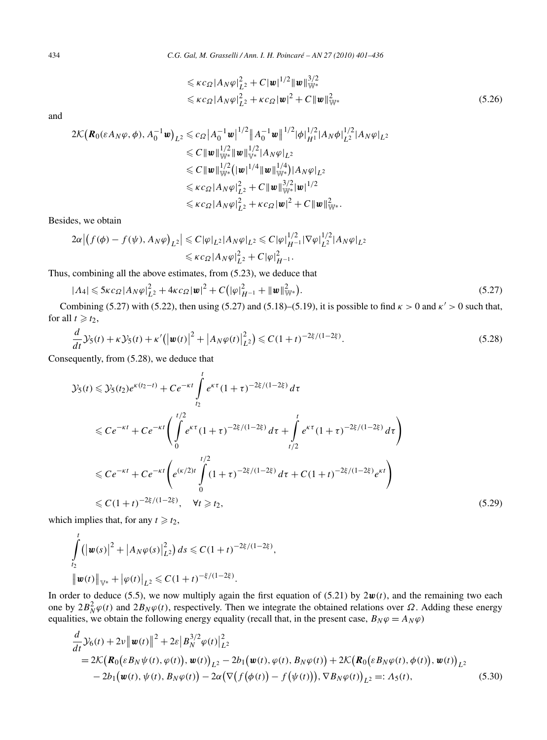$$
\leqslant \kappa c_{\Omega} |A_{N} \varphi|_{L^{2}}^{2} + C |\mathbf{w}|^{1/2} ||\mathbf{w}||_{\mathbb{W}^{*}}^{3/2}
$$
  

$$
\leqslant \kappa c_{\Omega} |A_{N} \varphi|_{L^{2}}^{2} + \kappa c_{\Omega} |\mathbf{w}|^{2} + C ||\mathbf{w}||_{\mathbb{W}^{*}}^{2}
$$
(5.26)

and

$$
2\mathcal{K}(\mathbf{R}_{0}(\varepsilon A_{N}\varphi,\phi),A_{0}^{-1}\mathbf{w})_{L^{2}} \leq c_{\Omega}|A_{0}^{-1}\mathbf{w}|^{1/2}||A_{0}^{-1}\mathbf{w}||^{1/2}|\phi|_{H^{1}}^{1/2}|A_{N}\phi|_{L^{2}}^{1/2}|A_{N}\varphi|_{L^{2}}^{1/2}
$$
  
\n
$$
\leq C||\mathbf{w}||_{\mathbb{W}^{*}}^{1/2}||\mathbf{w}||_{\mathbb{W}^{*}}^{1/2}|A_{N}\varphi|_{L^{2}}
$$
  
\n
$$
\leq C||\mathbf{w}||_{\mathbb{W}^{*}}^{1/2}(|\mathbf{w}|^{1/4}||\mathbf{w}||_{\mathbb{W}^{*}}^{1/4})|A_{N}\varphi|_{L^{2}}
$$
  
\n
$$
\leq \kappa c_{\Omega}|A_{N}\varphi|_{L^{2}}^{2} + C||\mathbf{w}||_{\mathbb{W}^{*}}^{3/2}|\mathbf{w}|^{1/2}
$$
  
\n
$$
\leq \kappa c_{\Omega}|A_{N}\varphi|_{L^{2}}^{2} + \kappa c_{\Omega}|\mathbf{w}|^{2} + C||\mathbf{w}||_{\mathbb{W}^{*}}^{2}.
$$

Besides, we obtain

$$
2\alpha |(f(\phi) - f(\psi), A_N \varphi)_{L^2}| \leq C |\varphi|_{L^2} |A_N \varphi|_{L^2} \leq C |\varphi|_{H^{-1}}^{1/2} |\nabla \varphi|_{L^2}^{1/2} |A_N \varphi|_{L^2}
$$
  

$$
\leq \kappa c_{\Omega} |A_N \varphi|_{L^2}^2 + C |\varphi|_{H^{-1}}^2.
$$

Thus, combining all the above estimates, from (5.23), we deduce that

$$
|A_4| \leqslant 5\kappa c_{\Omega}|A_N\varphi|_{L^2}^2 + 4\kappa c_{\Omega}|\boldsymbol{w}|^2 + C\big(|\varphi|_{H^{-1}}^2 + \|\boldsymbol{w}\|_{\mathbb{W}^*}^2\big). \tag{5.27}
$$

Combining (5.27) with (5.22), then using (5.27) and (5.18)–(5.19), it is possible to find  $\kappa > 0$  and  $\kappa' > 0$  such that, for all  $t \geq t_2$ ,

$$
\frac{d}{dt}\mathcal{Y}_5(t) + \kappa \mathcal{Y}_5(t) + \kappa'(|\mathbf{w}(t)|^2 + |A_N \varphi(t)|^2_{L^2}) \leq C(1+t)^{-2\xi/(1-2\xi)}.
$$
\n(5.28)

Consequently, from (5.28), we deduce that

$$
\mathcal{Y}_5(t) \leq \mathcal{Y}_5(t_2) e^{\kappa(t_2 - t)} + C e^{-\kappa t} \int_{t_2}^t e^{\kappa \tau} (1 + \tau)^{-2\xi/(1 - 2\xi)} d\tau
$$
  
\n
$$
\leq C e^{-\kappa t} + C e^{-\kappa t} \Biggl( \int_0^{t/2} e^{\kappa \tau} (1 + \tau)^{-2\xi/(1 - 2\xi)} d\tau + \int_{t/2}^t e^{\kappa \tau} (1 + \tau)^{-2\xi/(1 - 2\xi)} d\tau \Biggr)
$$
  
\n
$$
\leq C e^{-\kappa t} + C e^{-\kappa t} \Biggl( e^{(\kappa/2)t} \int_0^{t/2} (1 + \tau)^{-2\xi/(1 - 2\xi)} d\tau + C (1 + t)^{-2\xi/(1 - 2\xi)} e^{\kappa t} \Biggr)
$$
  
\n
$$
\leq C (1 + t)^{-2\xi/(1 - 2\xi)}, \quad \forall t \geq t_2,
$$
\n(5.29)

which implies that, for any  $t \ge t_2$ ,

$$
\int_{t_2}^t \left( \left| \boldsymbol{w}(s) \right|^2 + \left| A_N \varphi(s) \right|^2_{L^2} \right) ds \leq C (1+t)^{-2\xi/(1-2\xi)},
$$
\n
$$
\left\| \boldsymbol{w}(t) \right\|_{\mathbb{V}^*} + \left| \varphi(t) \right|_{L^2} \leq C (1+t)^{-\xi/(1-2\xi)}.
$$

In order to deduce (5.5), we now multiply again the first equation of (5.21) by  $2w(t)$ , and the remaining two each one by  $2B_N^2\varphi(t)$  and  $2B_N\varphi(t)$ , respectively. Then we integrate the obtained relations over *Ω*. Adding these energy equalities, we obtain the following energy equality (recall that, in the present case,  $B_N \varphi = A_N \varphi$ )

$$
\frac{d}{dt}\mathcal{Y}_{6}(t) + 2\nu \|\mathbf{w}(t)\|^{2} + 2\varepsilon |B_{N}^{3/2}\varphi(t)|^{2}_{L^{2}}\n= 2\mathcal{K}\big(\mathbf{R}_{0}(\varepsilon B_{N}\psi(t), \varphi(t)), \mathbf{w}(t)\big)_{L^{2}} - 2b_{1}(\mathbf{w}(t), \varphi(t), B_{N}\varphi(t)) + 2\mathcal{K}\big(\mathbf{R}_{0}(\varepsilon B_{N}\varphi(t), \phi(t)), \mathbf{w}(t)\big)_{L^{2}}\n- 2b_{1}(\mathbf{w}(t), \psi(t), B_{N}\varphi(t)) - 2\alpha \big(\nabla \big(f(\phi(t)) - f(\psi(t))\big), \nabla B_{N}\varphi(t)\big)_{L^{2}} =: \Lambda_{5}(t),
$$
\n(5.30)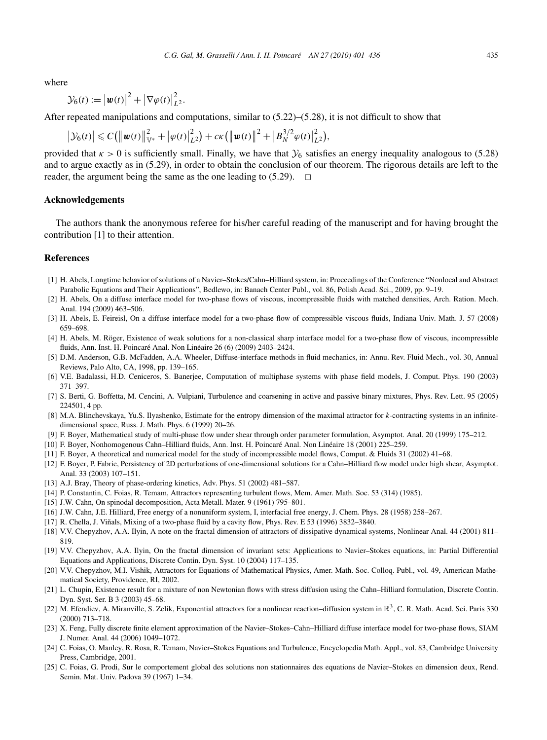where

$$
\mathcal{Y}_6(t) := \left| \boldsymbol{w}(t) \right|^2 + \left| \nabla \varphi(t) \right|^2_{L^2}.
$$

After repeated manipulations and computations, similar to  $(5.22)$ – $(5.28)$ , it is not difficult to show that

$$
\left|\mathcal{Y}_{6}(t)\right| \leqslant C\big(\big\|\boldsymbol{w}(t)\big\|_{\mathbb{V}^{*}}^{2} + \big|\varphi(t)\big|_{L^{2}}^{2}\big) + c\kappa\big(\big\|\boldsymbol{w}(t)\big\|^{2} + \big|\boldsymbol{B}_{N}^{3/2}\varphi(t)\big|_{L^{2}}^{2}\big),
$$

provided that  $\kappa > 0$  is sufficiently small. Finally, we have that  $\mathcal{Y}_6$  satisfies an energy inequality analogous to (5.28) and to argue exactly as in (5.29), in order to obtain the conclusion of our theorem. The rigorous details are left to the reader, the argument being the same as the one leading to  $(5.29)$ .  $\Box$ 

#### **Acknowledgements**

The authors thank the anonymous referee for his/her careful reading of the manuscript and for having brought the contribution [1] to their attention.

#### **References**

- [1] H. Abels, Longtime behavior of solutions of a Navier–Stokes/Cahn–Hilliard system, in: Proceedings of the Conference "Nonlocal and Abstract Parabolic Equations and Their Applications", Bedlewo, in: Banach Center Publ., vol. 86, Polish Acad. Sci., 2009, pp. 9–19.
- [2] H. Abels, On a diffuse interface model for two-phase flows of viscous, incompressible fluids with matched densities, Arch. Ration. Mech. Anal. 194 (2009) 463–506.
- [3] H. Abels, E. Feireisl, On a diffuse interface model for a two-phase flow of compressible viscous fluids, Indiana Univ. Math. J. 57 (2008) 659–698.
- [4] H. Abels, M. Röger, Existence of weak solutions for a non-classical sharp interface model for a two-phase flow of viscous, incompressible fluids, Ann. Inst. H. Poincaré Anal. Non Linéaire 26 (6) (2009) 2403–2424.
- [5] D.M. Anderson, G.B. McFadden, A.A. Wheeler, Diffuse-interface methods in fluid mechanics, in: Annu. Rev. Fluid Mech., vol. 30, Annual Reviews, Palo Alto, CA, 1998, pp. 139–165.
- [6] V.E. Badalassi, H.D. Ceniceros, S. Banerjee, Computation of multiphase systems with phase field models, J. Comput. Phys. 190 (2003) 371–397.
- [7] S. Berti, G. Boffetta, M. Cencini, A. Vulpiani, Turbulence and coarsening in active and passive binary mixtures, Phys. Rev. Lett. 95 (2005) 224501, 4 pp.
- [8] M.A. Blinchevskaya, Yu.S. Ilyashenko, Estimate for the entropy dimension of the maximal attractor for *k*-contracting systems in an infinitedimensional space, Russ. J. Math. Phys. 6 (1999) 20–26.
- [9] F. Boyer, Mathematical study of multi-phase flow under shear through order parameter formulation, Asymptot. Anal. 20 (1999) 175–212.
- [10] F. Boyer, Nonhomogenous Cahn–Hilliard fluids, Ann. Inst. H. Poincaré Anal. Non Linéaire 18 (2001) 225–259.
- [11] F. Boyer, A theoretical and numerical model for the study of incompressible model flows, Comput. & Fluids 31 (2002) 41–68.
- [12] F. Boyer, P. Fabrie, Persistency of 2D perturbations of one-dimensional solutions for a Cahn–Hilliard flow model under high shear, Asymptot. Anal. 33 (2003) 107–151.
- [13] A.J. Bray, Theory of phase-ordering kinetics, Adv. Phys. 51 (2002) 481–587.
- [14] P. Constantin, C. Foias, R. Temam, Attractors representing turbulent flows, Mem. Amer. Math. Soc. 53 (314) (1985).
- [15] J.W. Cahn, On spinodal decomposition, Acta Metall. Mater. 9 (1961) 795–801.
- [16] J.W. Cahn, J.E. Hilliard, Free energy of a nonuniform system, I, interfacial free energy, J. Chem. Phys. 28 (1958) 258–267.
- [17] R. Chella, J. Viñals, Mixing of a two-phase fluid by a cavity flow, Phys. Rev. E 53 (1996) 3832–3840.
- [18] V.V. Chepyzhov, A.A. Ilyin, A note on the fractal dimension of attractors of dissipative dynamical systems, Nonlinear Anal. 44 (2001) 811– 819.
- [19] V.V. Chepyzhov, A.A. Ilyin, On the fractal dimension of invariant sets: Applications to Navier–Stokes equations, in: Partial Differential Equations and Applications, Discrete Contin. Dyn. Syst. 10 (2004) 117–135.
- [20] V.V. Chepyzhov, M.I. Vishik, Attractors for Equations of Mathematical Physics, Amer. Math. Soc. Colloq. Publ., vol. 49, American Mathematical Society, Providence, RI, 2002.
- [21] L. Chupin, Existence result for a mixture of non Newtonian flows with stress diffusion using the Cahn–Hilliard formulation, Discrete Contin. Dyn. Syst. Ser. B 3 (2003) 45–68.
- [22] M. Efendiev, A. Miranville, S. Zelik, Exponential attractors for a nonlinear reaction–diffusion system in  $\mathbb{R}^3$ , C. R. Math. Acad. Sci. Paris 330 (2000) 713–718.
- [23] X. Feng, Fully discrete finite element approximation of the Navier–Stokes–Cahn–Hilliard diffuse interface model for two-phase flows, SIAM J. Numer. Anal. 44 (2006) 1049–1072.
- [24] C. Foias, O. Manley, R. Rosa, R. Temam, Navier–Stokes Equations and Turbulence, Encyclopedia Math. Appl., vol. 83, Cambridge University Press, Cambridge, 2001.
- [25] C. Foias, G. Prodi, Sur le comportement global des solutions non stationnaires des equations de Navier–Stokes en dimension deux, Rend. Semin. Mat. Univ. Padova 39 (1967) 1–34.